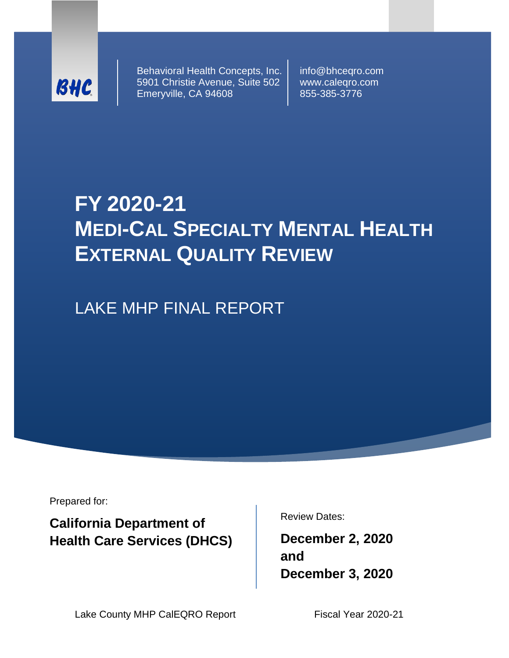

Behavioral Health Concepts, Inc. 5901 Christie Avenue, Suite 502 Emeryville, CA 94608

info@bhceqro.com www.caleqro.com 855-385-3776

# **FY 2020-21 MEDI-CAL SPECIALTY MENTAL HEALTH EXTERNAL QUALITY REVIEW**

LAKE MHP FINAL REPORT

Prepared for:

**California Department of Health Care Services (DHCS)** Review Dates:

**December 2, 2020 and December 3, 2020**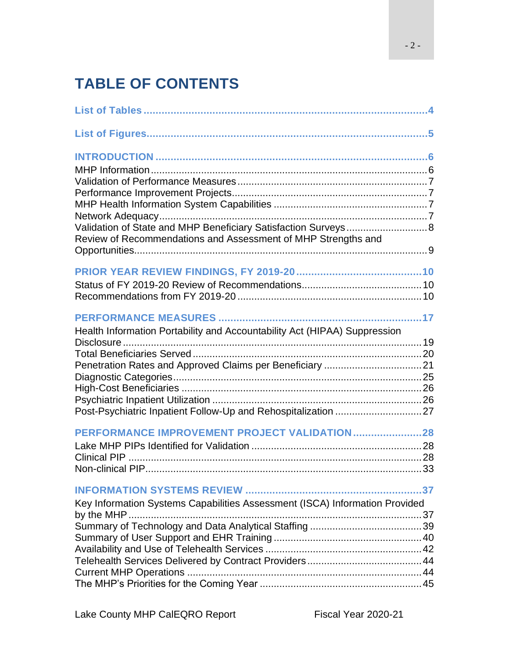# **TABLE OF CONTENTS**

| Validation of State and MHP Beneficiary Satisfaction Surveys 8              |  |
|-----------------------------------------------------------------------------|--|
| Review of Recommendations and Assessment of MHP Strengths and               |  |
|                                                                             |  |
|                                                                             |  |
|                                                                             |  |
|                                                                             |  |
| Health Information Portability and Accountability Act (HIPAA) Suppression   |  |
|                                                                             |  |
|                                                                             |  |
|                                                                             |  |
|                                                                             |  |
|                                                                             |  |
|                                                                             |  |
| PERFORMANCE IMPROVEMENT PROJECT VALIDATION28                                |  |
|                                                                             |  |
|                                                                             |  |
|                                                                             |  |
|                                                                             |  |
| Key Information Systems Capabilities Assessment (ISCA) Information Provided |  |
|                                                                             |  |
|                                                                             |  |
|                                                                             |  |
|                                                                             |  |
|                                                                             |  |
|                                                                             |  |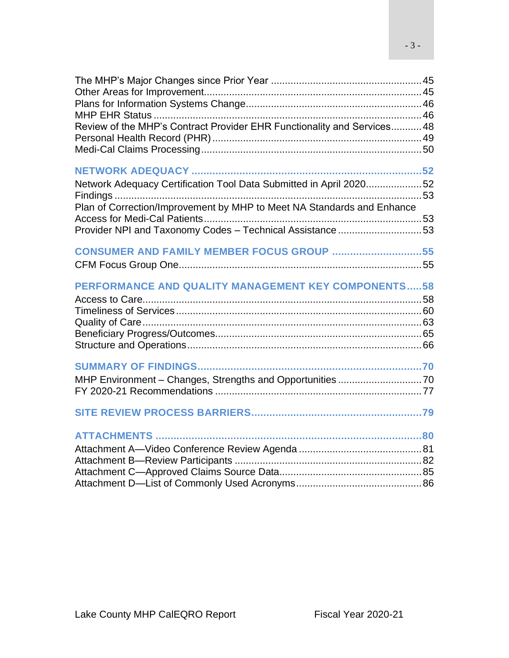| Review of the MHP's Contract Provider EHR Functionality and Services 48                                                                      |  |
|----------------------------------------------------------------------------------------------------------------------------------------------|--|
|                                                                                                                                              |  |
| Network Adequacy Certification Tool Data Submitted in April 202052<br>Plan of Correction/Improvement by MHP to Meet NA Standards and Enhance |  |
|                                                                                                                                              |  |
| Provider NPI and Taxonomy Codes - Technical Assistance53                                                                                     |  |
| CONSUMER AND FAMILY MEMBER FOCUS GROUP 55                                                                                                    |  |
|                                                                                                                                              |  |
| PERFORMANCE AND QUALITY MANAGEMENT KEY COMPONENTS58                                                                                          |  |
|                                                                                                                                              |  |
|                                                                                                                                              |  |
|                                                                                                                                              |  |
|                                                                                                                                              |  |
|                                                                                                                                              |  |
|                                                                                                                                              |  |
|                                                                                                                                              |  |
|                                                                                                                                              |  |
|                                                                                                                                              |  |
|                                                                                                                                              |  |
|                                                                                                                                              |  |
|                                                                                                                                              |  |
|                                                                                                                                              |  |
|                                                                                                                                              |  |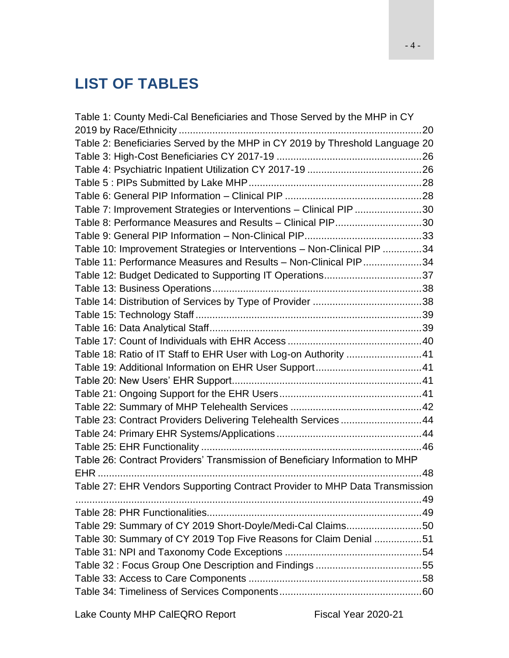# <span id="page-3-0"></span>**LIST OF TABLES**

| Table 1: County Medi-Cal Beneficiaries and Those Served by the MHP in CY     |  |
|------------------------------------------------------------------------------|--|
|                                                                              |  |
| Table 2: Beneficiaries Served by the MHP in CY 2019 by Threshold Language 20 |  |
|                                                                              |  |
|                                                                              |  |
|                                                                              |  |
|                                                                              |  |
| Table 7: Improvement Strategies or Interventions - Clinical PIP 30           |  |
| Table 8: Performance Measures and Results - Clinical PIP30                   |  |
|                                                                              |  |
| Table 10: Improvement Strategies or Interventions - Non-Clinical PIP 34      |  |
| Table 11: Performance Measures and Results - Non-Clinical PIP34              |  |
| Table 12: Budget Dedicated to Supporting IT Operations37                     |  |
|                                                                              |  |
|                                                                              |  |
|                                                                              |  |
|                                                                              |  |
|                                                                              |  |
| Table 18: Ratio of IT Staff to EHR User with Log-on Authority 41             |  |
|                                                                              |  |
|                                                                              |  |
|                                                                              |  |
|                                                                              |  |
| Table 23: Contract Providers Delivering Telehealth Services 44               |  |
|                                                                              |  |
|                                                                              |  |
| Table 26: Contract Providers' Transmission of Beneficiary Information to MHP |  |
|                                                                              |  |
| Table 27: EHR Vendors Supporting Contract Provider to MHP Data Transmission  |  |
|                                                                              |  |
|                                                                              |  |
| Table 29: Summary of CY 2019 Short-Doyle/Medi-Cal Claims50                   |  |
| Table 30: Summary of CY 2019 Top Five Reasons for Claim Denial 51            |  |
|                                                                              |  |
|                                                                              |  |
|                                                                              |  |
|                                                                              |  |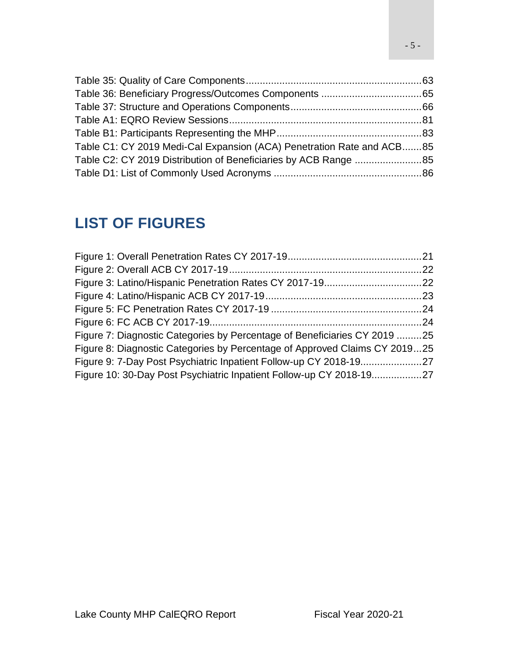| Table C1: CY 2019 Medi-Cal Expansion (ACA) Penetration Rate and ACB85 |  |
|-----------------------------------------------------------------------|--|
|                                                                       |  |
|                                                                       |  |

# <span id="page-4-0"></span>**LIST OF FIGURES**

| Figure 7: Diagnostic Categories by Percentage of Beneficiaries CY 2019 25  |  |
|----------------------------------------------------------------------------|--|
| Figure 8: Diagnostic Categories by Percentage of Approved Claims CY 201925 |  |
|                                                                            |  |
| Figure 10: 30-Day Post Psychiatric Inpatient Follow-up CY 2018-1927        |  |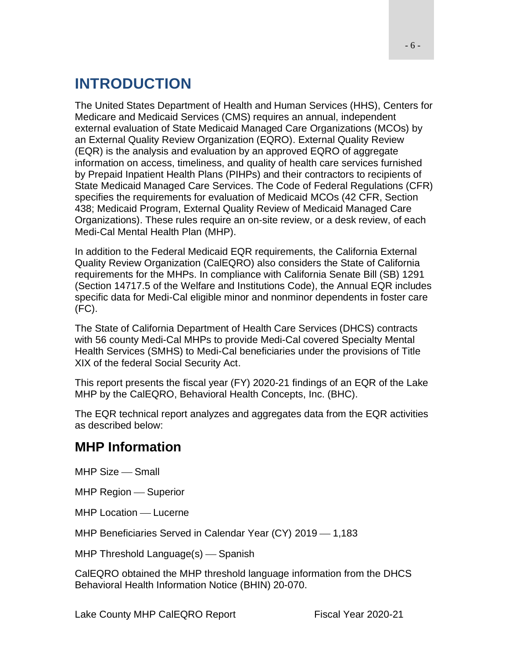# <span id="page-5-0"></span>**INTRODUCTION**

The United States Department of Health and Human Services (HHS), Centers for Medicare and Medicaid Services (CMS) requires an annual, independent external evaluation of State Medicaid Managed Care Organizations (MCOs) by an External Quality Review Organization (EQRO). External Quality Review (EQR) is the analysis and evaluation by an approved EQRO of aggregate information on access, timeliness, and quality of health care services furnished by Prepaid Inpatient Health Plans (PIHPs) and their contractors to recipients of State Medicaid Managed Care Services. The Code of Federal Regulations (CFR) specifies the requirements for evaluation of Medicaid MCOs (42 CFR, Section 438; Medicaid Program, External Quality Review of Medicaid Managed Care Organizations). These rules require an on-site review, or a desk review, of each Medi-Cal Mental Health Plan (MHP).

In addition to the Federal Medicaid EQR requirements, the California External Quality Review Organization (CalEQRO) also considers the State of California requirements for the MHPs. In compliance with California Senate Bill (SB) 1291 (Section 14717.5 of the Welfare and Institutions Code), the Annual EQR includes specific data for Medi-Cal eligible minor and nonminor dependents in foster care (FC).

The State of California Department of Health Care Services (DHCS) contracts with 56 county Medi-Cal MHPs to provide Medi-Cal covered Specialty Mental Health Services (SMHS) to Medi-Cal beneficiaries under the provisions of Title XIX of the federal Social Security Act.

This report presents the fiscal year (FY) 2020-21 findings of an EQR of the Lake MHP by the CalEQRO, Behavioral Health Concepts, Inc. (BHC).

The EQR technical report analyzes and aggregates data from the EQR activities as described below:

# <span id="page-5-1"></span>**MHP Information**

MHP Size – Small

MHP Region – Superior

MHP Location – Lucerne

MHP Beneficiaries Served in Calendar Year (CY) 2019 - 1,183

 $MHP$  Threshold Language $(s)$  — Spanish

CalEQRO obtained the MHP threshold language information from the DHCS Behavioral Health Information Notice (BHIN) 20-070.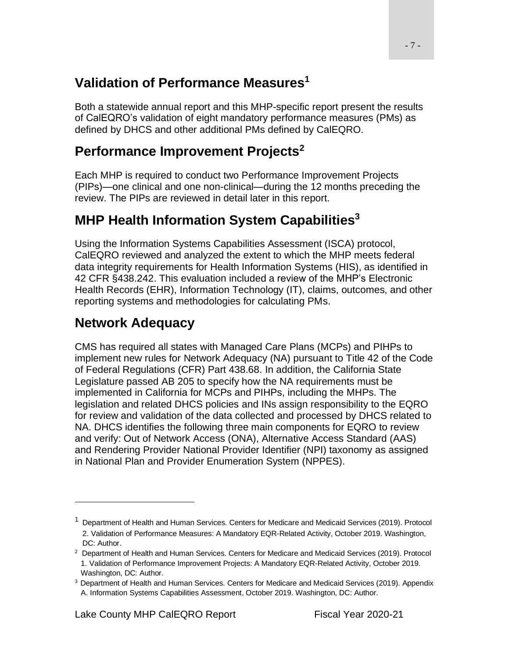# <span id="page-6-0"></span>**Validation of Performance Measures<sup>1</sup>**

Both a statewide annual report and this MHP-specific report present the results of CalEQRO's validation of eight mandatory performance measures (PMs) as defined by DHCS and other additional PMs defined by CalEQRO.

# <span id="page-6-1"></span>**Performance Improvement Projects<sup>2</sup>**

Each MHP is required to conduct two Performance Improvement Projects (PIPs)—one clinical and one non-clinical—during the 12 months preceding the review. The PIPs are reviewed in detail later in this report.

# <span id="page-6-2"></span>**MHP Health Information System Capabilities<sup>3</sup>**

Using the Information Systems Capabilities Assessment (ISCA) protocol, CalEQRO reviewed and analyzed the extent to which the MHP meets federal data integrity requirements for Health Information Systems (HIS), as identified in 42 CFR §438.242. This evaluation included a review of the MHP's Electronic Health Records (EHR), Information Technology (IT), claims, outcomes, and other reporting systems and methodologies for calculating PMs.

# <span id="page-6-3"></span>**Network Adequacy**

CMS has required all states with Managed Care Plans (MCPs) and PIHPs to implement new rules for Network Adequacy (NA) pursuant to Title 42 of the Code of Federal Regulations (CFR) Part 438.68. In addition, the California State Legislature passed AB 205 to specify how the NA requirements must be implemented in California for MCPs and PIHPs, including the MHPs. The legislation and related DHCS policies and INs assign responsibility to the EQRO for review and validation of the data collected and processed by DHCS related to NA. DHCS identifies the following three main components for EQRO to review and verify: Out of Network Access (ONA), Alternative Access Standard (AAS) and Rendering Provider National Provider Identifier (NPI) taxonomy as assigned in National Plan and Provider Enumeration System (NPPES).

<sup>&</sup>lt;sup>1</sup> Department of Health and Human Services. Centers for Medicare and Medicaid Services (2019). Protocol 2. Validation of Performance Measures: A Mandatory EQR-Related Activity, October 2019. Washington, DC: Author.

<sup>2</sup> Department of Health and Human Services. Centers for Medicare and Medicaid Services (2019). Protocol 1. Validation of Performance Improvement Projects: A Mandatory EQR-Related Activity, October 2019. Washington, DC: Author.

<sup>&</sup>lt;sup>3</sup> Department of Health and Human Services. Centers for Medicare and Medicaid Services (2019). Appendix A. Information Systems Capabilities Assessment, October 2019. Washington, DC: Author.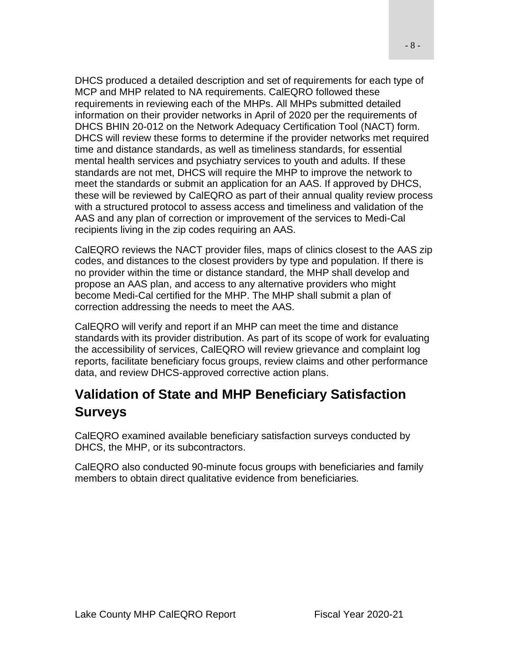DHCS produced a detailed description and set of requirements for each type of MCP and MHP related to NA requirements. CalEQRO followed these requirements in reviewing each of the MHPs. All MHPs submitted detailed information on their provider networks in April of 2020 per the requirements of DHCS BHIN 20-012 on the Network Adequacy Certification Tool (NACT) form. DHCS will review these forms to determine if the provider networks met required time and distance standards, as well as timeliness standards, for essential mental health services and psychiatry services to youth and adults. If these standards are not met, DHCS will require the MHP to improve the network to meet the standards or submit an application for an AAS. If approved by DHCS, these will be reviewed by CalEQRO as part of their annual quality review process with a structured protocol to assess access and timeliness and validation of the AAS and any plan of correction or improvement of the services to Medi-Cal recipients living in the zip codes requiring an AAS.

CalEQRO reviews the NACT provider files, maps of clinics closest to the AAS zip codes, and distances to the closest providers by type and population. If there is no provider within the time or distance standard, the MHP shall develop and propose an AAS plan, and access to any alternative providers who might become Medi-Cal certified for the MHP. The MHP shall submit a plan of correction addressing the needs to meet the AAS.

CalEQRO will verify and report if an MHP can meet the time and distance standards with its provider distribution. As part of its scope of work for evaluating the accessibility of services, CalEQRO will review grievance and complaint log reports, facilitate beneficiary focus groups, review claims and other performance data, and review DHCS-approved corrective action plans.

# <span id="page-7-0"></span>**Validation of State and MHP Beneficiary Satisfaction Surveys**

CalEQRO examined available beneficiary satisfaction surveys conducted by DHCS, the MHP, or its subcontractors.

CalEQRO also conducted 90-minute focus groups with beneficiaries and family members to obtain direct qualitative evidence from beneficiaries.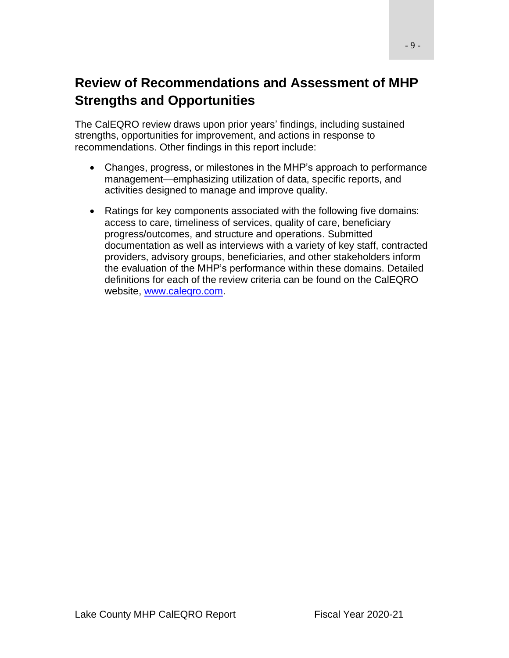# <span id="page-8-0"></span>**Review of Recommendations and Assessment of MHP Strengths and Opportunities**

The CalEQRO review draws upon prior years' findings, including sustained strengths, opportunities for improvement, and actions in response to recommendations. Other findings in this report include:

- Changes, progress, or milestones in the MHP's approach to performance management—emphasizing utilization of data, specific reports, and activities designed to manage and improve quality.
- Ratings for key components associated with the following five domains: access to care, timeliness of services, quality of care, beneficiary progress/outcomes, and structure and operations. Submitted documentation as well as interviews with a variety of key staff, contracted providers, advisory groups, beneficiaries, and other stakeholders inform the evaluation of the MHP's performance within these domains. Detailed definitions for each of the review criteria can be found on the CalEQRO website, [www.caleqro.com.](http://www.caleqro.com/)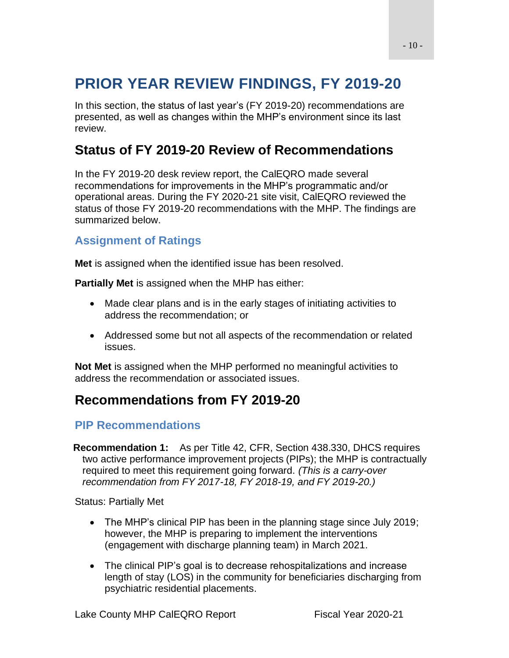# <span id="page-9-0"></span>**PRIOR YEAR REVIEW FINDINGS, FY 2019-20**

In this section, the status of last year's (FY 2019-20) recommendations are presented, as well as changes within the MHP's environment since its last review.

# <span id="page-9-1"></span>**Status of FY 2019-20 Review of Recommendations**

In the FY 2019-20 desk review report, the CalEQRO made several recommendations for improvements in the MHP's programmatic and/or operational areas. During the FY 2020-21 site visit, CalEQRO reviewed the status of those FY 2019-20 recommendations with the MHP. The findings are summarized below.

### **Assignment of Ratings**

**Met** is assigned when the identified issue has been resolved.

**Partially Met** is assigned when the MHP has either:

- Made clear plans and is in the early stages of initiating activities to address the recommendation; or
- Addressed some but not all aspects of the recommendation or related issues.

**Not Met** is assigned when the MHP performed no meaningful activities to address the recommendation or associated issues.

# <span id="page-9-2"></span>**Recommendations from FY 2019-20**

### **PIP Recommendations**

**Recommendation 1:** As per Title 42, CFR, Section 438.330, DHCS requires two active performance improvement projects (PIPs); the MHP is contractually required to meet this requirement going forward. *(This is a carry-over recommendation from FY 2017-18, FY 2018-19, and FY 2019-20.)*

Status: Partially Met

- The MHP's clinical PIP has been in the planning stage since July 2019; however, the MHP is preparing to implement the interventions (engagement with discharge planning team) in March 2021.
- The clinical PIP's goal is to decrease rehospitalizations and increase length of stay (LOS) in the community for beneficiaries discharging from psychiatric residential placements.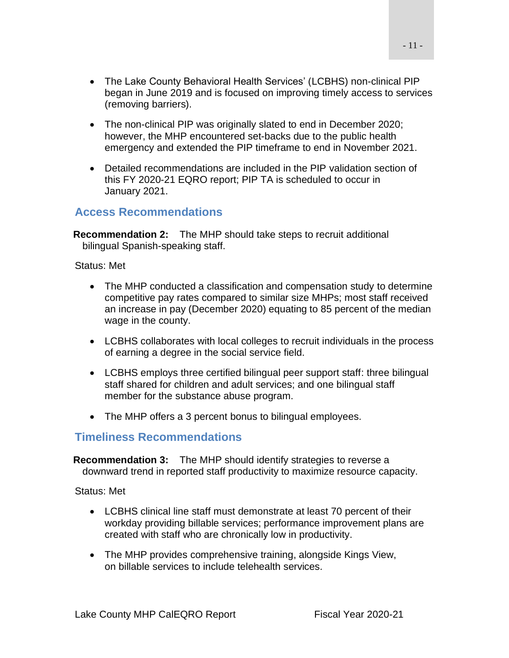- The Lake County Behavioral Health Services' (LCBHS) non-clinical PIP began in June 2019 and is focused on improving timely access to services (removing barriers).
- The non-clinical PIP was originally slated to end in December 2020; however, the MHP encountered set-backs due to the public health emergency and extended the PIP timeframe to end in November 2021.
- Detailed recommendations are included in the PIP validation section of this FY 2020-21 EQRO report; PIP TA is scheduled to occur in January 2021.

### **Access Recommendations**

**Recommendation 2:** The MHP should take steps to recruit additional bilingual Spanish-speaking staff.

Status: Met

- The MHP conducted a classification and compensation study to determine competitive pay rates compared to similar size MHPs; most staff received an increase in pay (December 2020) equating to 85 percent of the median wage in the county.
- LCBHS collaborates with local colleges to recruit individuals in the process of earning a degree in the social service field.
- LCBHS employs three certified bilingual peer support staff: three bilingual staff shared for children and adult services; and one bilingual staff member for the substance abuse program.
- The MHP offers a 3 percent bonus to bilingual employees.

### **Timeliness Recommendations**

**Recommendation 3:** The MHP should identify strategies to reverse a downward trend in reported staff productivity to maximize resource capacity.

Status: Met

- LCBHS clinical line staff must demonstrate at least 70 percent of their workday providing billable services; performance improvement plans are created with staff who are chronically low in productivity.
- The MHP provides comprehensive training, alongside Kings View, on billable services to include telehealth services.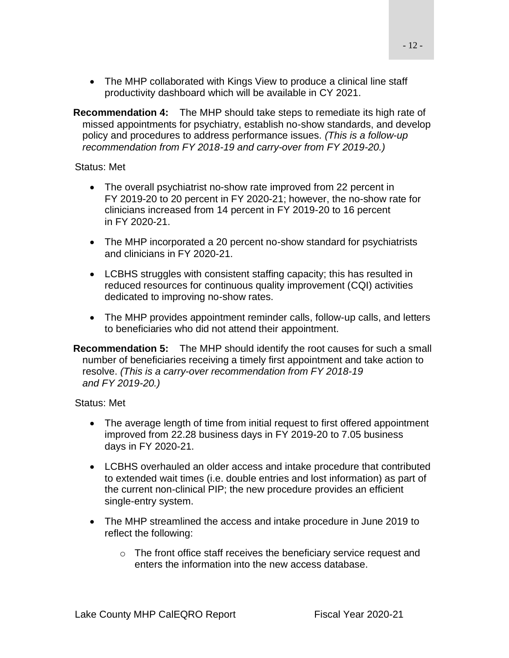• The MHP collaborated with Kings View to produce a clinical line staff productivity dashboard which will be available in CY 2021.

**Recommendation 4:** The MHP should take steps to remediate its high rate of missed appointments for psychiatry, establish no-show standards, and develop policy and procedures to address performance issues. *(This is a follow-up recommendation from FY 2018-19 and carry-over from FY 2019-20.)*

Status: Met

- The overall psychiatrist no-show rate improved from 22 percent in FY 2019-20 to 20 percent in FY 2020-21; however, the no-show rate for clinicians increased from 14 percent in FY 2019-20 to 16 percent in FY 2020-21.
- The MHP incorporated a 20 percent no-show standard for psychiatrists and clinicians in FY 2020-21.
- LCBHS struggles with consistent staffing capacity; this has resulted in reduced resources for continuous quality improvement (CQI) activities dedicated to improving no-show rates.
- The MHP provides appointment reminder calls, follow-up calls, and letters to beneficiaries who did not attend their appointment.

**Recommendation 5:** The MHP should identify the root causes for such a small number of beneficiaries receiving a timely first appointment and take action to resolve. *(This is a carry-over recommendation from FY 2018-19 and FY 2019-20.)*

Status: Met

- The average length of time from initial request to first offered appointment improved from 22.28 business days in FY 2019-20 to 7.05 business days in FY 2020-21.
- LCBHS overhauled an older access and intake procedure that contributed to extended wait times (i.e. double entries and lost information) as part of the current non-clinical PIP; the new procedure provides an efficient single-entry system.
- The MHP streamlined the access and intake procedure in June 2019 to reflect the following:
	- o The front office staff receives the beneficiary service request and enters the information into the new access database.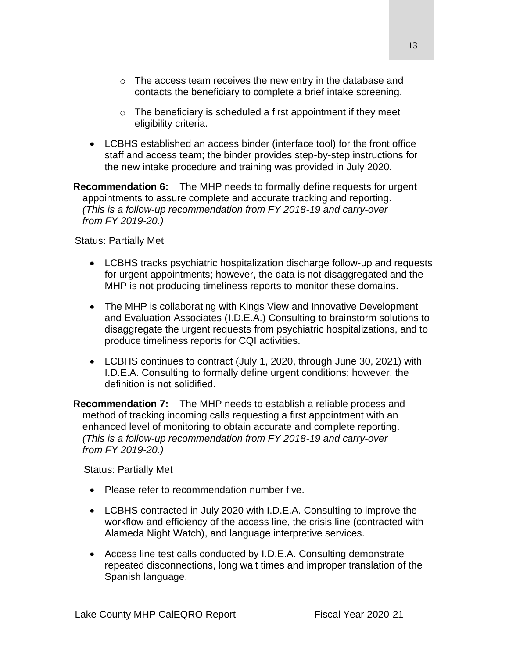- o The access team receives the new entry in the database and contacts the beneficiary to complete a brief intake screening.
- $\circ$  The beneficiary is scheduled a first appointment if they meet eligibility criteria.
- LCBHS established an access binder (interface tool) for the front office staff and access team; the binder provides step-by-step instructions for the new intake procedure and training was provided in July 2020.

**Recommendation 6:** The MHP needs to formally define requests for urgent appointments to assure complete and accurate tracking and reporting. *(This is a follow-up recommendation from FY 2018-19 and carry-over from FY 2019-20.)*

Status: Partially Met

- LCBHS tracks psychiatric hospitalization discharge follow-up and requests for urgent appointments; however, the data is not disaggregated and the MHP is not producing timeliness reports to monitor these domains.
- The MHP is collaborating with Kings View and Innovative Development and Evaluation Associates (I.D.E.A.) Consulting to brainstorm solutions to disaggregate the urgent requests from psychiatric hospitalizations, and to produce timeliness reports for CQI activities.
- LCBHS continues to contract (July 1, 2020, through June 30, 2021) with I.D.E.A. Consulting to formally define urgent conditions; however, the definition is not solidified.

**Recommendation 7:** The MHP needs to establish a reliable process and method of tracking incoming calls requesting a first appointment with an enhanced level of monitoring to obtain accurate and complete reporting. *(This is a follow-up recommendation from FY 2018-19 and carry-over from FY 2019-20.)*

Status: Partially Met

- Please refer to recommendation number five.
- LCBHS contracted in July 2020 with I.D.E.A. Consulting to improve the workflow and efficiency of the access line, the crisis line (contracted with Alameda Night Watch), and language interpretive services.
- Access line test calls conducted by I.D.E.A. Consulting demonstrate repeated disconnections, long wait times and improper translation of the Spanish language.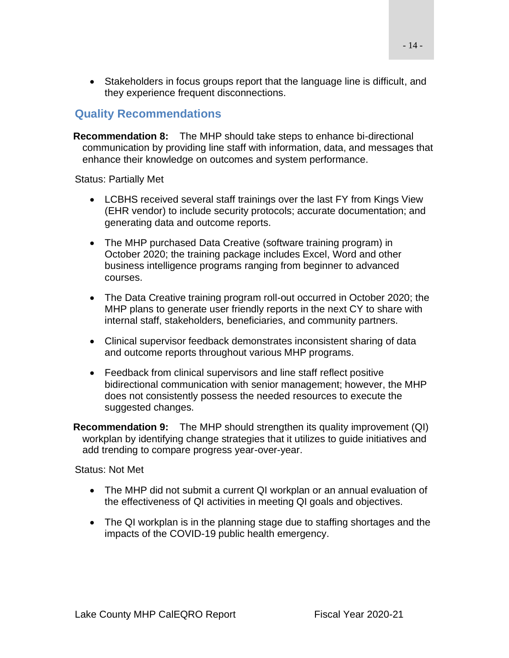• Stakeholders in focus groups report that the language line is difficult, and they experience frequent disconnections.

### **Quality Recommendations**

**Recommendation 8:** The MHP should take steps to enhance bi-directional communication by providing line staff with information, data, and messages that enhance their knowledge on outcomes and system performance.

Status: Partially Met

- LCBHS received several staff trainings over the last FY from Kings View (EHR vendor) to include security protocols; accurate documentation; and generating data and outcome reports.
- The MHP purchased Data Creative (software training program) in October 2020; the training package includes Excel, Word and other business intelligence programs ranging from beginner to advanced courses.
- The Data Creative training program roll-out occurred in October 2020; the MHP plans to generate user friendly reports in the next CY to share with internal staff, stakeholders, beneficiaries, and community partners.
- Clinical supervisor feedback demonstrates inconsistent sharing of data and outcome reports throughout various MHP programs.
- Feedback from clinical supervisors and line staff reflect positive bidirectional communication with senior management; however, the MHP does not consistently possess the needed resources to execute the suggested changes.

**Recommendation 9:** The MHP should strengthen its quality improvement (QI) workplan by identifying change strategies that it utilizes to guide initiatives and add trending to compare progress year-over-year.

Status: Not Met

- The MHP did not submit a current QI workplan or an annual evaluation of the effectiveness of QI activities in meeting QI goals and objectives.
- The QI workplan is in the planning stage due to staffing shortages and the impacts of the COVID-19 public health emergency.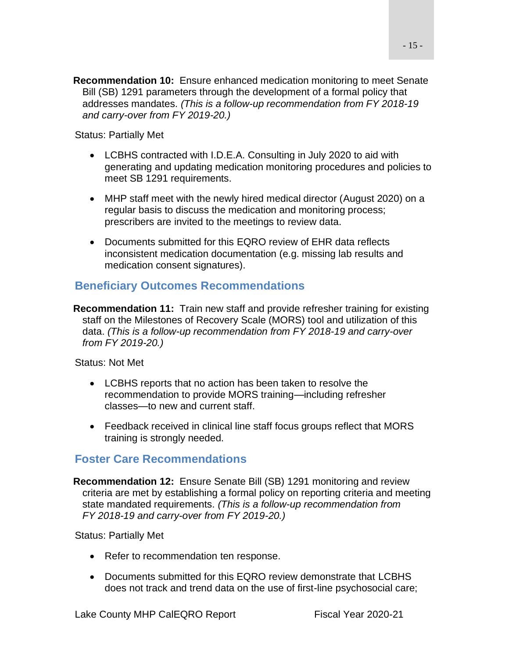**Recommendation 10:** Ensure enhanced medication monitoring to meet Senate Bill (SB) 1291 parameters through the development of a formal policy that addresses mandates. *(This is a follow-up recommendation from FY 2018-19 and carry-over from FY 2019-20.)*

Status: Partially Met

- LCBHS contracted with I.D.E.A. Consulting in July 2020 to aid with generating and updating medication monitoring procedures and policies to meet SB 1291 requirements.
- MHP staff meet with the newly hired medical director (August 2020) on a regular basis to discuss the medication and monitoring process; prescribers are invited to the meetings to review data.
- Documents submitted for this EQRO review of EHR data reflects inconsistent medication documentation (e.g. missing lab results and medication consent signatures).

### **Beneficiary Outcomes Recommendations**

**Recommendation 11:** Train new staff and provide refresher training for existing staff on the Milestones of Recovery Scale (MORS) tool and utilization of this data. *(This is a follow-up recommendation from FY 2018-19 and carry-over from FY 2019-20.)*

Status: Not Met

- LCBHS reports that no action has been taken to resolve the recommendation to provide MORS training—including refresher classes—to new and current staff.
- Feedback received in clinical line staff focus groups reflect that MORS training is strongly needed.

### **Foster Care Recommendations**

**Recommendation 12:** Ensure Senate Bill (SB) 1291 monitoring and review criteria are met by establishing a formal policy on reporting criteria and meeting state mandated requirements. *(This is a follow-up recommendation from FY 2018-19 and carry-over from FY 2019-20.)*

Status: Partially Met

- Refer to recommendation ten response.
- Documents submitted for this EQRO review demonstrate that LCBHS does not track and trend data on the use of first-line psychosocial care;

- 15 -

Lake County MHP CalEQRO Report Fiscal Year 2020-21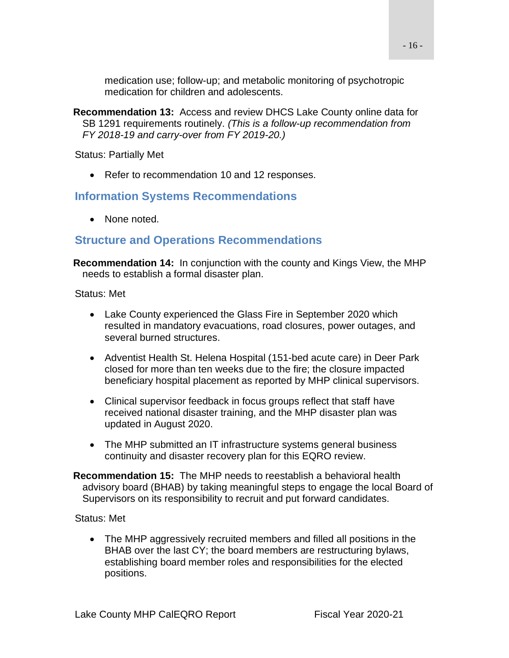medication use; follow-up; and metabolic monitoring of psychotropic medication for children and adolescents.

**Recommendation 13:** Access and review DHCS Lake County online data for SB 1291 requirements routinely. *(This is a follow-up recommendation from FY 2018-19 and carry-over from FY 2019-20.)*

Status: Partially Met

• Refer to recommendation 10 and 12 responses.

### **Information Systems Recommendations**

• None noted.

### **Structure and Operations Recommendations**

**Recommendation 14:** In conjunction with the county and Kings View, the MHP needs to establish a formal disaster plan.

Status: Met

- Lake County experienced the Glass Fire in September 2020 which resulted in mandatory evacuations, road closures, power outages, and several burned structures.
- Adventist Health St. Helena Hospital (151-bed acute care) in Deer Park closed for more than ten weeks due to the fire; the closure impacted beneficiary hospital placement as reported by MHP clinical supervisors.
- Clinical supervisor feedback in focus groups reflect that staff have received national disaster training, and the MHP disaster plan was updated in August 2020.
- The MHP submitted an IT infrastructure systems general business continuity and disaster recovery plan for this EQRO review.
- **Recommendation 15:** The MHP needs to reestablish a behavioral health advisory board (BHAB) by taking meaningful steps to engage the local Board of Supervisors on its responsibility to recruit and put forward candidates.

Status: Met

• The MHP aggressively recruited members and filled all positions in the BHAB over the last CY; the board members are restructuring bylaws, establishing board member roles and responsibilities for the elected positions.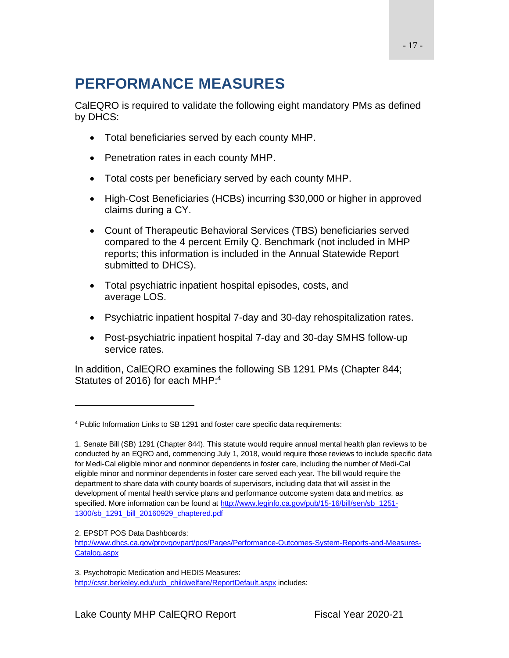# <span id="page-16-0"></span>**PERFORMANCE MEASURES**

CalEQRO is required to validate the following eight mandatory PMs as defined by DHCS:

- Total beneficiaries served by each county MHP.
- Penetration rates in each county MHP.
- Total costs per beneficiary served by each county MHP.
- High-Cost Beneficiaries (HCBs) incurring \$30,000 or higher in approved claims during a CY.
- Count of Therapeutic Behavioral Services (TBS) beneficiaries served compared to the 4 percent Emily Q. Benchmark (not included in MHP reports; this information is included in the Annual Statewide Report submitted to DHCS).
- Total psychiatric inpatient hospital episodes, costs, and average LOS.
- Psychiatric inpatient hospital 7-day and 30-day rehospitalization rates.
- Post-psychiatric inpatient hospital 7-day and 30-day SMHS follow-up service rates.

In addition, CalEQRO examines the following SB 1291 PMs (Chapter 844; Statutes of 2016) for each MHP:<sup>4</sup>

<sup>4</sup> Public Information Links to SB 1291 and foster care specific data requirements:

<sup>1.</sup> Senate Bill (SB) 1291 (Chapter 844). This statute would require annual mental health plan reviews to be conducted by an EQRO and, commencing July 1, 2018, would require those reviews to include specific data for Medi-Cal eligible minor and nonminor dependents in foster care, including the number of Medi-Cal eligible minor and nonminor dependents in foster care served each year. The bill would require the department to share data with county boards of supervisors, including data that will assist in the development of mental health service plans and performance outcome system data and metrics, as specified. More information can be found at [http://www.leginfo.ca.gov/pub/15-16/bill/sen/sb\\_1251-](http://www.leginfo.ca.gov/pub/15-16/bill/sen/sb_1251-1300/sb_1291_bill_20160929_chaptered.pdf) [1300/sb\\_1291\\_bill\\_20160929\\_chaptered.pdf](http://www.leginfo.ca.gov/pub/15-16/bill/sen/sb_1251-1300/sb_1291_bill_20160929_chaptered.pdf)

<sup>2.</sup> EPSDT POS Data Dashboards:

[http://www.dhcs.ca.gov/provgovpart/pos/Pages/Performance-Outcomes-System-Reports-and-Measures-](http://www.dhcs.ca.gov/provgovpart/pos/Pages/Performance-Outcomes-System-Reports-and-Measures-Catalog.aspx)[Catalog.aspx](http://www.dhcs.ca.gov/provgovpart/pos/Pages/Performance-Outcomes-System-Reports-and-Measures-Catalog.aspx)

<sup>3.</sup> Psychotropic Medication and HEDIS Measures: [http://cssr.berkeley.edu/ucb\\_childwelfare/ReportDefault.aspx](http://cssr.berkeley.edu/ucb_childwelfare/ReportDefault.aspx) includes: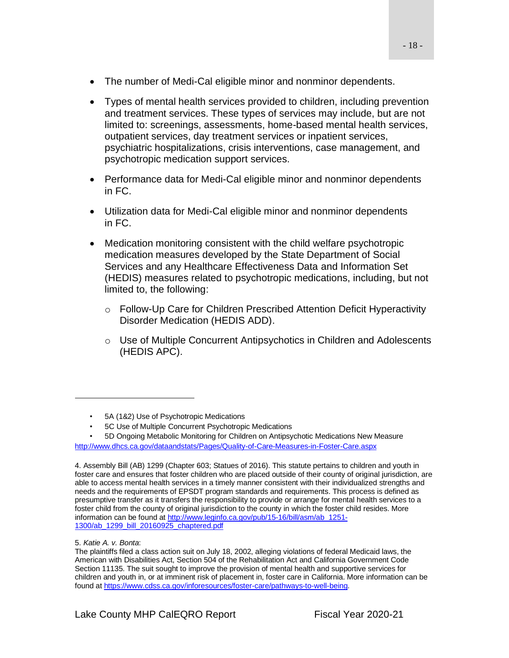- The number of Medi-Cal eligible minor and nonminor dependents.
- Types of mental health services provided to children, including prevention and treatment services. These types of services may include, but are not limited to: screenings, assessments, home-based mental health services, outpatient services, day treatment services or inpatient services, psychiatric hospitalizations, crisis interventions, case management, and psychotropic medication support services.
- Performance data for Medi-Cal eligible minor and nonminor dependents in FC.
- Utilization data for Medi-Cal eligible minor and nonminor dependents in FC.
- Medication monitoring consistent with the child welfare psychotropic medication measures developed by the State Department of Social Services and any Healthcare Effectiveness Data and Information Set (HEDIS) measures related to psychotropic medications, including, but not limited to, the following:
	- o Follow-Up Care for Children Prescribed Attention Deficit Hyperactivity Disorder Medication (HEDIS ADD).
	- $\circ$  Use of Multiple Concurrent Antipsychotics in Children and Adolescents (HEDIS APC).

<sup>•</sup> 5A (1&2) Use of Psychotropic Medications

<sup>•</sup> 5C Use of Multiple Concurrent Psychotropic Medications

<sup>•</sup> 5D Ongoing Metabolic Monitoring for Children on Antipsychotic Medications New Measure <http://www.dhcs.ca.gov/dataandstats/Pages/Quality-of-Care-Measures-in-Foster-Care.aspx>

<sup>4.</sup> Assembly Bill (AB) 1299 (Chapter 603; Statues of 2016). This statute pertains to children and youth in foster care and ensures that foster children who are placed outside of their county of original jurisdiction, are able to access mental health services in a timely manner consistent with their individualized strengths and needs and the requirements of EPSDT program standards and requirements. This process is defined as presumptive transfer as it transfers the responsibility to provide or arrange for mental health services to a foster child from the county of original jurisdiction to the county in which the foster child resides. More information can be found a[t http://www.leginfo.ca.gov/pub/15-16/bill/asm/ab\\_1251-](http://www.leginfo.ca.gov/pub/15-16/bill/asm/ab_1251-1300/ab_1299_bill_20160925_chaptered.pdf) [1300/ab\\_1299\\_bill\\_20160925\\_chaptered.pdf](http://www.leginfo.ca.gov/pub/15-16/bill/asm/ab_1251-1300/ab_1299_bill_20160925_chaptered.pdf)

<sup>5.</sup> *Katie A. v. Bonta*:

The plaintiffs filed a class action suit on July 18, 2002, alleging violations of federal Medicaid laws, the American with Disabilities Act, Section 504 of the Rehabilitation Act and California Government Code Section 11135. The suit sought to improve the provision of mental health and supportive services for children and youth in, or at imminent risk of placement in, foster care in California. More information can be found at [https://www.cdss.ca.gov/inforesources/foster-care/pathways-to-well-being.](https://www.cdss.ca.gov/inforesources/foster-care/pathways-to-well-being)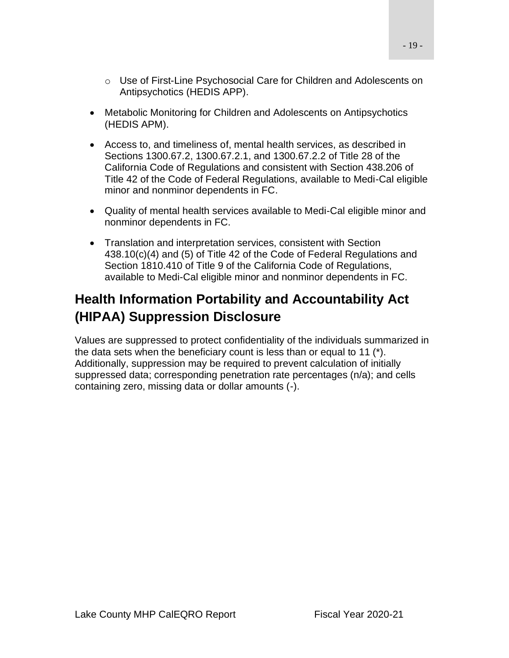- o Use of First-Line Psychosocial Care for Children and Adolescents on Antipsychotics (HEDIS APP).
- Metabolic Monitoring for Children and Adolescents on Antipsychotics (HEDIS APM).
- Access to, and timeliness of, mental health services, as described in Sections 1300.67.2, 1300.67.2.1, and 1300.67.2.2 of Title 28 of the California Code of Regulations and consistent with Section 438.206 of Title 42 of the Code of Federal Regulations, available to Medi-Cal eligible minor and nonminor dependents in FC.
- Quality of mental health services available to Medi-Cal eligible minor and nonminor dependents in FC.
- Translation and interpretation services, consistent with Section 438.10(c)(4) and (5) of Title 42 of the Code of Federal Regulations and Section 1810.410 of Title 9 of the California Code of Regulations, available to Medi-Cal eligible minor and nonminor dependents in FC.

# <span id="page-18-0"></span>**Health Information Portability and Accountability Act (HIPAA) Suppression Disclosure**

Values are suppressed to protect confidentiality of the individuals summarized in the data sets when the beneficiary count is less than or equal to 11 (\*). Additionally, suppression may be required to prevent calculation of initially suppressed data; corresponding penetration rate percentages (n/a); and cells containing zero, missing data or dollar amounts (-).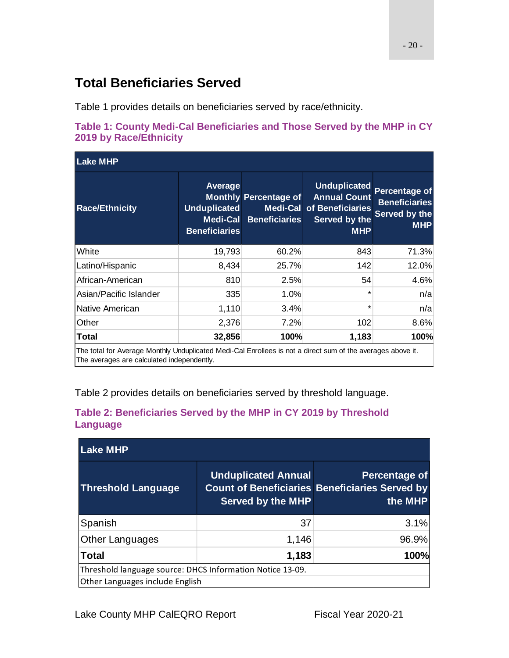# <span id="page-19-0"></span>**Total Beneficiaries Served**

Table 1 provides details on beneficiaries served by race/ethnicity.

<span id="page-19-1"></span>

| Table 1: County Medi-Cal Beneficiaries and Those Served by the MHP in CY |  |  |
|--------------------------------------------------------------------------|--|--|
| <b>2019 by Race/Ethnicity</b>                                            |  |  |

| <b>Lake MHP</b>        |                                                                           |                                                                  |                                                                                               |                                                                             |  |  |
|------------------------|---------------------------------------------------------------------------|------------------------------------------------------------------|-----------------------------------------------------------------------------------------------|-----------------------------------------------------------------------------|--|--|
| <b>Race/Ethnicity</b>  | Average<br><b>Unduplicated</b><br><b>Medi-Cal</b><br><b>Beneficiaries</b> | <b>Monthly Percentage of</b><br>Medi-Cal<br><b>Beneficiaries</b> | <b>Unduplicated</b><br><b>Annual Count</b><br>of Beneficiaries<br>Served by the<br><b>MHP</b> | <b>Percentage of</b><br><b>Beneficiaries</b><br>Served by the<br><b>MHP</b> |  |  |
| White                  | 19,793                                                                    | 60.2%                                                            | 843                                                                                           | 71.3%                                                                       |  |  |
| Latino/Hispanic        | 8,434                                                                     | 25.7%                                                            | 142                                                                                           | 12.0%                                                                       |  |  |
| African-American       | 810                                                                       | 2.5%                                                             | 54                                                                                            | 4.6%                                                                        |  |  |
| Asian/Pacific Islander | 335                                                                       | 1.0%                                                             | $\star$                                                                                       | n/a                                                                         |  |  |
| Native American        | 1,110                                                                     | 3.4%                                                             | *                                                                                             | n/a                                                                         |  |  |
| Other                  | 2,376                                                                     | 7.2%                                                             | 102                                                                                           | 8.6%                                                                        |  |  |
| <b>Total</b>           | 32,856                                                                    | 100%                                                             | 1,183                                                                                         | 100%                                                                        |  |  |

ed Medi-Cal Enrollees is not a The averages are calculated independently.

Table 2 provides details on beneficiaries served by threshold language.

| <b>Lake MHP</b>                                                                              |                                                        |                                                                                   |  |  |  |
|----------------------------------------------------------------------------------------------|--------------------------------------------------------|-----------------------------------------------------------------------------------|--|--|--|
| <b>Threshold Language</b>                                                                    | <b>Unduplicated Annual</b><br><b>Served by the MHP</b> | Percentage of<br><b>Count of Beneficiaries Beneficiaries Served by</b><br>the MHP |  |  |  |
| Spanish                                                                                      | 37                                                     | 3.1%                                                                              |  |  |  |
| <b>Other Languages</b>                                                                       | 1,146                                                  | 96.9%                                                                             |  |  |  |
| <b>Total</b>                                                                                 | 1,183                                                  | 100%                                                                              |  |  |  |
| Threshold language source: DHCS Information Notice 13-09.<br>Other Languages include English |                                                        |                                                                                   |  |  |  |

### <span id="page-19-2"></span>**Table 2: Beneficiaries Served by the MHP in CY 2019 by Threshold Language**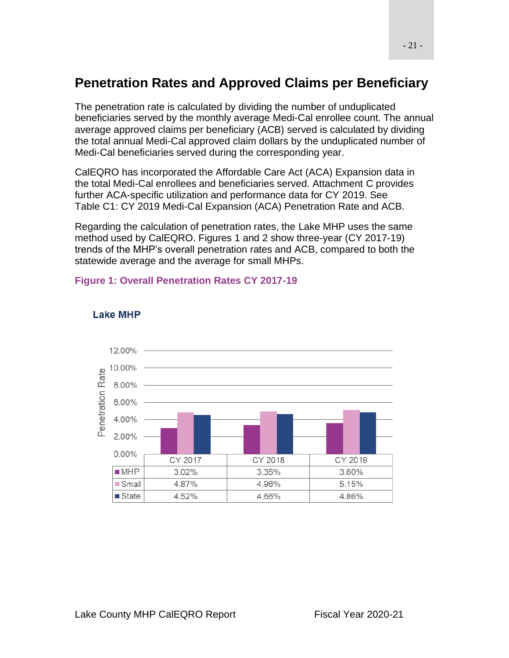# <span id="page-20-0"></span>**Penetration Rates and Approved Claims per Beneficiary**

The penetration rate is calculated by dividing the number of unduplicated beneficiaries served by the monthly average Medi-Cal enrollee count. The annual average approved claims per beneficiary (ACB) served is calculated by dividing the total annual Medi-Cal approved claim dollars by the unduplicated number of Medi-Cal beneficiaries served during the corresponding year.

CalEQRO has incorporated the Affordable Care Act (ACA) Expansion data in the total Medi-Cal enrollees and beneficiaries served. Attachment C provides further ACA-specific utilization and performance data for CY 2019. See Table C1: CY 2019 Medi-Cal Expansion (ACA) Penetration Rate and ACB.

Regarding the calculation of penetration rates, the Lake MHP uses the same method used by CalEQRO. Figures 1 and 2 show three-year (CY 2017-19) trends of the MHP's overall penetration rates and ACB, compared to both the statewide average and the average for small MHPs.

#### <span id="page-20-1"></span>**Figure 1: Overall Penetration Rates CY 2017-19**

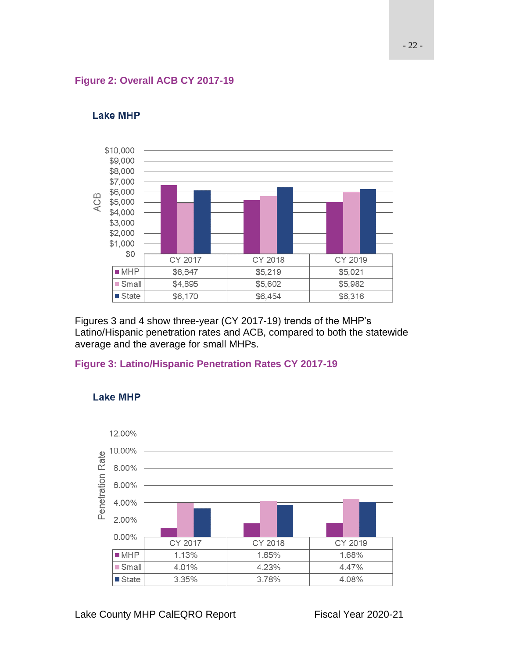#### <span id="page-21-0"></span>**Figure 2: Overall ACB CY 2017-19**



#### **Lake MHP**

Figures 3 and 4 show three-year (CY 2017-19) trends of the MHP's Latino/Hispanic penetration rates and ACB, compared to both the statewide average and the average for small MHPs.

#### <span id="page-21-1"></span>**Figure 3: Latino/Hispanic Penetration Rates CY 2017-19**

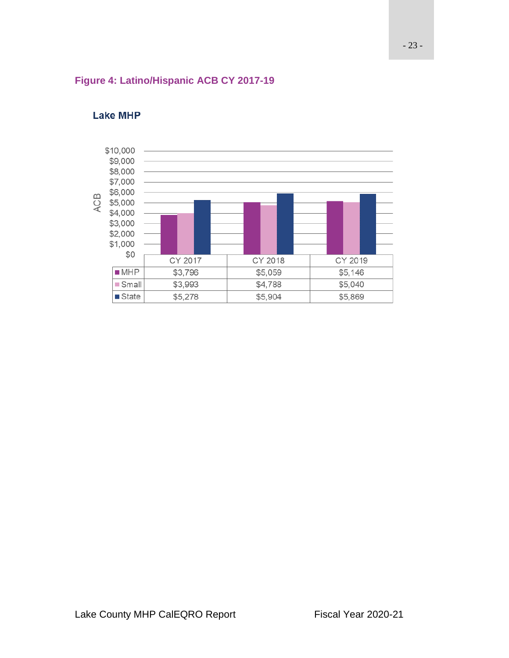#### <span id="page-22-0"></span>**Figure 4: Latino/Hispanic ACB CY 2017-19**

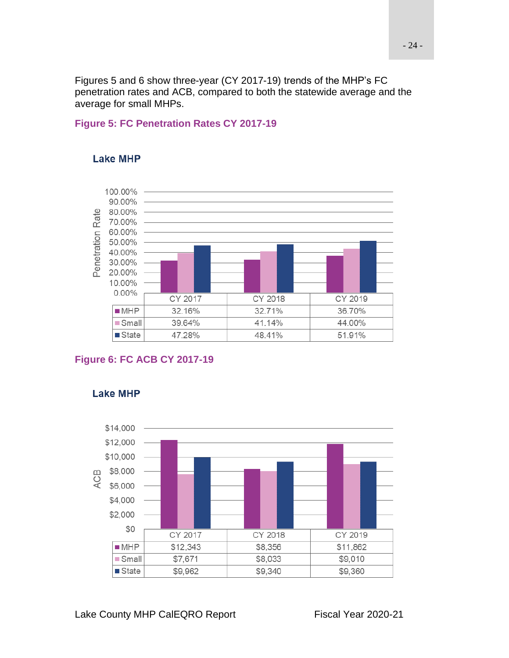Figures 5 and 6 show three-year (CY 2017-19) trends of the MHP's FC penetration rates and ACB, compared to both the statewide average and the average for small MHPs.

### <span id="page-23-0"></span>**Figure 5: FC Penetration Rates CY 2017-19**



#### **Lake MHP**

#### <span id="page-23-1"></span>**Figure 6: FC ACB CY 2017-19**

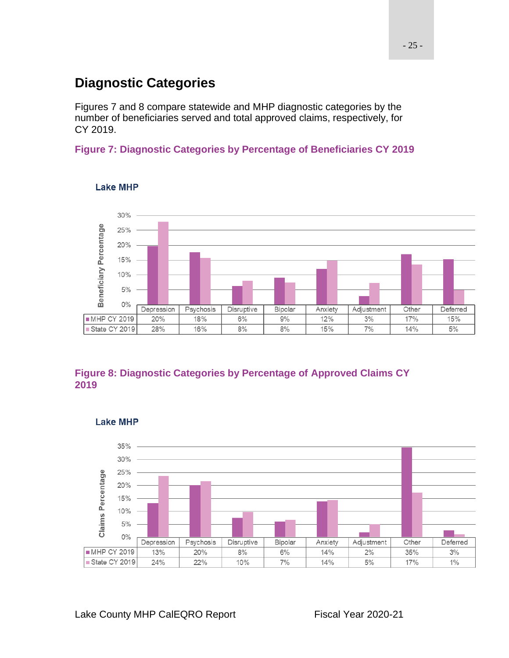# <span id="page-24-0"></span>**Diagnostic Categories**

Figures 7 and 8 compare statewide and MHP diagnostic categories by the number of beneficiaries served and total approved claims, respectively, for CY 2019.

### <span id="page-24-1"></span>**Figure 7: Diagnostic Categories by Percentage of Beneficiaries CY 2019**



#### **Lake MHP**

### <span id="page-24-2"></span>**Figure 8: Diagnostic Categories by Percentage of Approved Claims CY 2019**



#### **Lake MHP**

Lake County MHP CalEQRO Report Fiscal Year 2020-21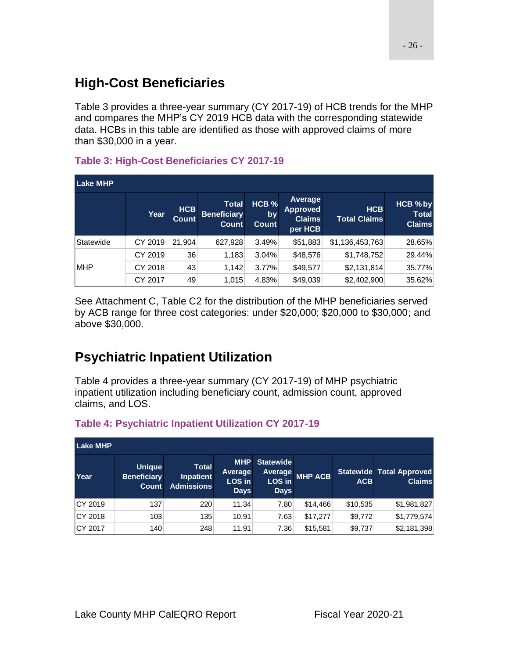# <span id="page-25-0"></span>**High-Cost Beneficiaries**

Table 3 provides a three-year summary (CY 2017-19) of HCB trends for the MHP and compares the MHP's CY 2019 HCB data with the corresponding statewide data. HCBs in this table are identified as those with approved claims of more than \$30,000 in a year.

### <span id="page-25-2"></span>**Table 3: High-Cost Beneficiaries CY 2017-19**

| <b>Lake MHP</b> |         |                            |                                             |                                        |                                                        |                                   |                                           |
|-----------------|---------|----------------------------|---------------------------------------------|----------------------------------------|--------------------------------------------------------|-----------------------------------|-------------------------------------------|
|                 | Year    | <b>HCB</b><br><b>Count</b> | <b>Total</b><br><b>Beneficiary</b><br>Count | HCB <sub>%</sub><br>by<br><b>Count</b> | Average<br><b>Approved</b><br><b>Claims</b><br>per HCB | <b>HCB</b><br><b>Total Claims</b> | HCB % by<br><b>Total</b><br><b>Claims</b> |
| Statewide       | CY 2019 | 21.904                     | 627,928                                     | 3.49%                                  | \$51,883                                               | \$1,136,453,763                   | 28.65%                                    |
|                 | CY 2019 | 36                         | 1,183                                       | 3.04%                                  | \$48,576                                               | \$1,748,752                       | 29.44%                                    |
| <b>MHP</b>      | CY 2018 | 43                         | 1,142                                       | 3.77%                                  | \$49,577                                               | \$2,131,814                       | 35.77%                                    |
|                 | CY 2017 | 49                         | 1.015                                       | 4.83%                                  | \$49,039                                               | \$2,402,900                       | 35.62%                                    |

See Attachment C, Table C2 for the distribution of the MHP beneficiaries served by ACB range for three cost categories: under \$20,000; \$20,000 to \$30,000; and above \$30,000.

# <span id="page-25-1"></span>**Psychiatric Inpatient Utilization**

Table 4 provides a three-year summary (CY 2017-19) of MHP psychiatric inpatient utilization including beneficiary count, admission count, approved claims, and LOS.

| <b>Lake MHP</b> |                                                     |                                                       |                                                |                                                      |                |            |                                                  |
|-----------------|-----------------------------------------------------|-------------------------------------------------------|------------------------------------------------|------------------------------------------------------|----------------|------------|--------------------------------------------------|
| Year            | <b>Unique</b><br><b>Beneficiary</b><br><b>Count</b> | <b>Total</b><br><b>Inpatient</b><br><b>Admissions</b> | <b>MHP</b><br>Average<br>LOS in<br><b>Days</b> | <b>Statewide</b><br>Average<br>LOS in<br><b>Days</b> | <b>MHP ACB</b> | <b>ACB</b> | <b>Statewide Total Approved</b><br><b>Claims</b> |
| CY 2019         | 137                                                 | 220                                                   | 11.34                                          | 7.80                                                 | \$14,466       | \$10,535   | \$1,981,827                                      |
| CY 2018         | 103                                                 | 135                                                   | 10.91                                          | 7.63                                                 | \$17,277       | \$9,772    | \$1,779,574                                      |
| CY 2017         | 140                                                 | 248                                                   | 11.91                                          | 7.36                                                 | \$15,581       | \$9,737    | \$2,181,398                                      |

### <span id="page-25-3"></span>**Table 4: Psychiatric Inpatient Utilization CY 2017-19**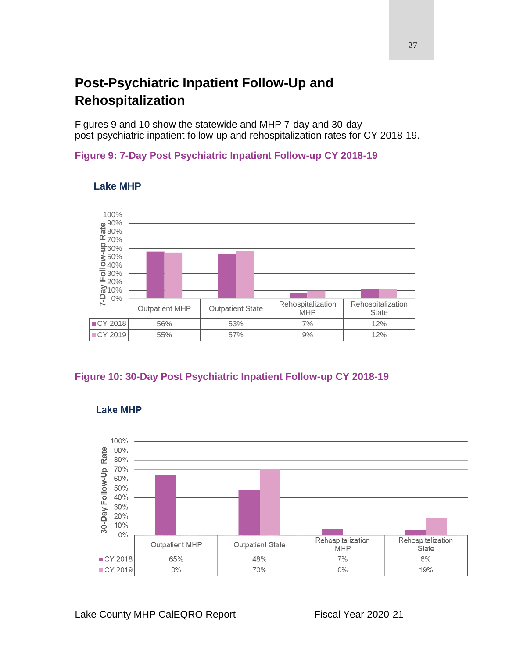# <span id="page-26-0"></span>**Post-Psychiatric Inpatient Follow-Up and Rehospitalization**

Figures 9 and 10 show the statewide and MHP 7-day and 30-day post-psychiatric inpatient follow-up and rehospitalization rates for CY 2018-19.

#### <span id="page-26-1"></span>**Figure 9: 7-Day Post Psychiatric Inpatient Follow-up CY 2018-19**



#### **Lake MHP**

### <span id="page-26-2"></span>**Figure 10: 30-Day Post Psychiatric Inpatient Follow-up CY 2018-19**



### **Lake MHP**

Lake County MHP CalEQRO Report Fiscal Year 2020-21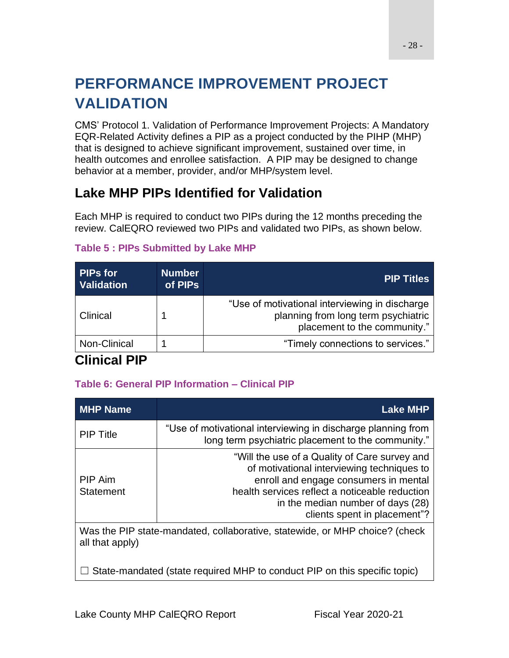# <span id="page-27-0"></span>**PERFORMANCE IMPROVEMENT PROJECT VALIDATION**

CMS' Protocol 1. Validation of Performance Improvement Projects: A Mandatory EQR-Related Activity defines a PIP as a project conducted by the PIHP (MHP) that is designed to achieve significant improvement, sustained over time, in health outcomes and enrollee satisfaction. A PIP may be designed to change behavior at a member, provider, and/or MHP/system level.

# <span id="page-27-1"></span>**Lake MHP PIPs Identified for Validation**

Each MHP is required to conduct two PIPs during the 12 months preceding the review. CalEQRO reviewed two PIPs and validated two PIPs, as shown below.

| <b>PIPs for</b><br><b>Validation</b> | <b>Number</b><br>of PIPs | PIP Titles                                                                                                            |
|--------------------------------------|--------------------------|-----------------------------------------------------------------------------------------------------------------------|
| Clinical                             |                          | "Use of motivational interviewing in discharge<br>planning from long term psychiatric<br>placement to the community." |
| Non-Clinical                         |                          | "Timely connections to services."                                                                                     |

### <span id="page-27-3"></span>**Table 5 : PIPs Submitted by Lake MHP**

# <span id="page-27-2"></span>**Clinical PIP**

### <span id="page-27-4"></span>**Table 6: General PIP Information – Clinical PIP**

| <b>MHP Name</b>                                                             | <b>Lake MHP</b>                                                                                                                                                                                                                                             |  |  |
|-----------------------------------------------------------------------------|-------------------------------------------------------------------------------------------------------------------------------------------------------------------------------------------------------------------------------------------------------------|--|--|
| <b>PIP Title</b>                                                            | "Use of motivational interviewing in discharge planning from<br>long term psychiatric placement to the community."                                                                                                                                          |  |  |
| PIP Aim<br><b>Statement</b>                                                 | "Will the use of a Quality of Care survey and<br>of motivational interviewing techniques to<br>enroll and engage consumers in mental<br>health services reflect a noticeable reduction<br>in the median number of days (28)<br>clients spent in placement"? |  |  |
| Was the PIP state-mandated, collaborative, statewide, or MHP choice? (check |                                                                                                                                                                                                                                                             |  |  |

Was the PIP state-mandated, collaborative, statewide, or MHP choice? (check all that apply)

 $\Box$  State-mandated (state required MHP to conduct PIP on this specific topic)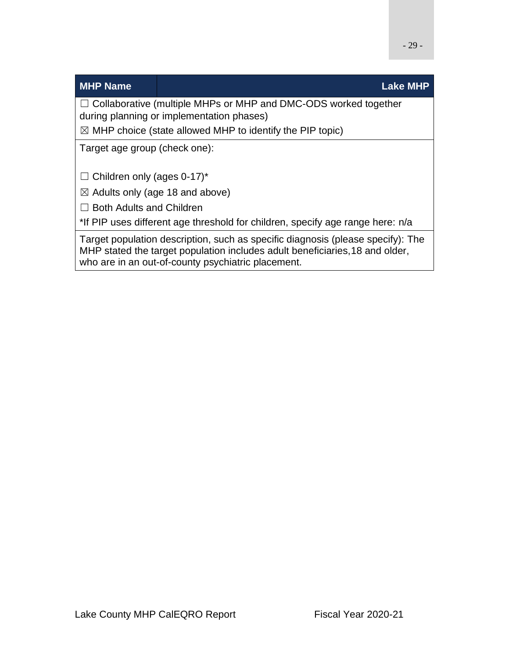### **MHP Name Lake MHP**

☐ Collaborative (multiple MHPs or MHP and DMC-ODS worked together during planning or implementation phases)

 $\boxtimes$  MHP choice (state allowed MHP to identify the PIP topic)

Target age group (check one):

 $\Box$  Children only (ages 0-17)\*

 $\boxtimes$  Adults only (age 18 and above)

□ Both Adults and Children

\*If PIP uses different age threshold for children, specify age range here: n/a

Target population description, such as specific diagnosis (please specify): The MHP stated the target population includes adult beneficiaries,18 and older, who are in an out-of-county psychiatric placement.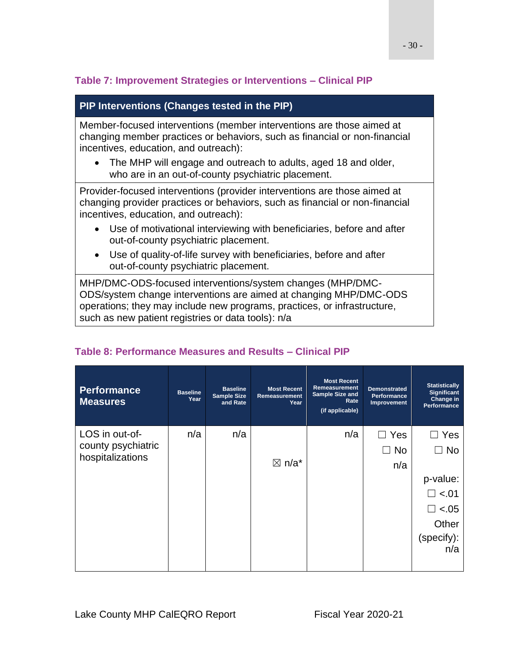### <span id="page-29-0"></span>**Table 7: Improvement Strategies or Interventions – Clinical PIP**

### **PIP Interventions (Changes tested in the PIP)**

Member-focused interventions (member interventions are those aimed at changing member practices or behaviors, such as financial or non-financial incentives, education, and outreach):

• The MHP will engage and outreach to adults, aged 18 and older, who are in an out-of-county psychiatric placement.

Provider-focused interventions (provider interventions are those aimed at changing provider practices or behaviors, such as financial or non-financial incentives, education, and outreach):

- Use of motivational interviewing with beneficiaries, before and after out-of-county psychiatric placement.
- Use of quality-of-life survey with beneficiaries, before and after out-of-county psychiatric placement.

MHP/DMC-ODS-focused interventions/system changes (MHP/DMC-ODS/system change interventions are aimed at changing MHP/DMC-ODS operations; they may include new programs, practices, or infrastructure, such as new patient registries or data tools): n/a

| <b>Performance</b><br><b>Measures</b>  | <b>Baseline</b><br>Year | <b>Baseline</b><br><b>Sample Size</b><br>and Rate | <b>Most Recent</b><br>Remeasurement<br>Year | <b>Most Recent</b><br>Remeasurement<br>Sample Size and<br>Rate<br>(if applicable) | <b>Demonstrated</b><br><b>Performance</b><br>Improvement | <b>Statistically</b><br>Significant<br>Change in<br><b>Performance</b> |
|----------------------------------------|-------------------------|---------------------------------------------------|---------------------------------------------|-----------------------------------------------------------------------------------|----------------------------------------------------------|------------------------------------------------------------------------|
| LOS in out-of-                         | n/a                     | n/a                                               |                                             | n/a                                                                               | Yes<br>$\Box$                                            | Yes                                                                    |
| county psychiatric<br>hospitalizations |                         |                                                   |                                             |                                                                                   | l No                                                     | No                                                                     |
|                                        |                         |                                                   | $\boxtimes$ n/a*                            |                                                                                   | n/a                                                      |                                                                        |
|                                        |                         |                                                   |                                             |                                                                                   |                                                          | p-value:                                                               |
|                                        |                         |                                                   |                                             |                                                                                   |                                                          | $\Box$ <.01                                                            |
|                                        |                         |                                                   |                                             |                                                                                   |                                                          | $-.05$<br>$\Box$                                                       |
|                                        |                         |                                                   |                                             |                                                                                   |                                                          | Other                                                                  |
|                                        |                         |                                                   |                                             |                                                                                   |                                                          | (specify):<br>n/a                                                      |
|                                        |                         |                                                   |                                             |                                                                                   |                                                          |                                                                        |

### <span id="page-29-1"></span>**Table 8: Performance Measures and Results – Clinical PIP**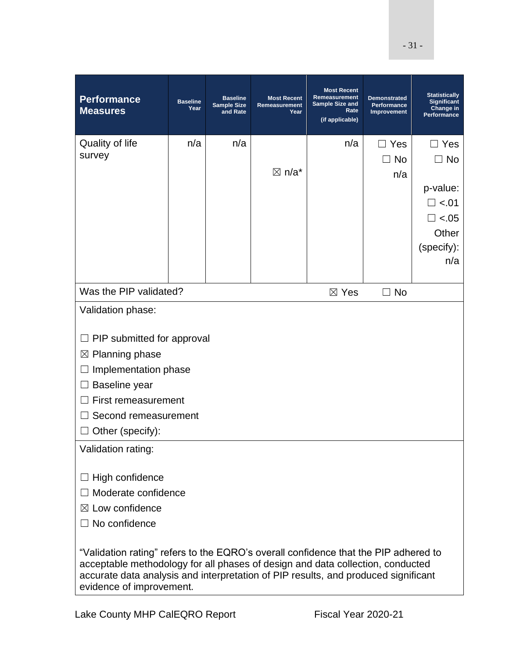| <b>Performance</b><br><b>Measures</b>                                                                                                                                                                                                                                                   | <b>Baseline</b><br>Year                                | <b>Baseline</b><br><b>Sample Size</b><br>and Rate | <b>Most Recent</b><br>Remeasurement<br>Year | <b>Most Recent</b><br>Remeasurement<br><b>Sample Size and</b><br>Rate<br>(if applicable) | <b>Demonstrated</b><br><b>Performance</b><br>Improvement | <b>Statistically</b><br><b>Significant</b><br>Change in<br>Performance |  |  |  |
|-----------------------------------------------------------------------------------------------------------------------------------------------------------------------------------------------------------------------------------------------------------------------------------------|--------------------------------------------------------|---------------------------------------------------|---------------------------------------------|------------------------------------------------------------------------------------------|----------------------------------------------------------|------------------------------------------------------------------------|--|--|--|
| Quality of life                                                                                                                                                                                                                                                                         | n/a                                                    | n/a                                               |                                             | n/a                                                                                      | $\Box$ Yes                                               | Yes                                                                    |  |  |  |
| survey                                                                                                                                                                                                                                                                                  |                                                        |                                                   |                                             |                                                                                          | <b>No</b><br>$\Box$                                      | <b>No</b><br>$\mathsf{L}$                                              |  |  |  |
|                                                                                                                                                                                                                                                                                         |                                                        |                                                   | $\boxtimes$ n/a*                            |                                                                                          | n/a                                                      |                                                                        |  |  |  |
|                                                                                                                                                                                                                                                                                         |                                                        |                                                   |                                             |                                                                                          |                                                          | p-value:                                                               |  |  |  |
|                                                                                                                                                                                                                                                                                         |                                                        |                                                   |                                             |                                                                                          |                                                          | $\square$ <.01<br>$\Box$ <.05                                          |  |  |  |
|                                                                                                                                                                                                                                                                                         |                                                        |                                                   |                                             |                                                                                          |                                                          | Other                                                                  |  |  |  |
|                                                                                                                                                                                                                                                                                         |                                                        |                                                   |                                             |                                                                                          |                                                          | (specify):                                                             |  |  |  |
|                                                                                                                                                                                                                                                                                         |                                                        |                                                   |                                             |                                                                                          |                                                          | n/a                                                                    |  |  |  |
|                                                                                                                                                                                                                                                                                         |                                                        |                                                   |                                             |                                                                                          |                                                          |                                                                        |  |  |  |
|                                                                                                                                                                                                                                                                                         | Was the PIP validated?<br>$\Box$ No<br>$\boxtimes$ Yes |                                                   |                                             |                                                                                          |                                                          |                                                                        |  |  |  |
| Validation phase:                                                                                                                                                                                                                                                                       |                                                        |                                                   |                                             |                                                                                          |                                                          |                                                                        |  |  |  |
|                                                                                                                                                                                                                                                                                         |                                                        |                                                   |                                             |                                                                                          |                                                          |                                                                        |  |  |  |
| PIP submitted for approval<br>$\boxtimes$ Planning phase                                                                                                                                                                                                                                |                                                        |                                                   |                                             |                                                                                          |                                                          |                                                                        |  |  |  |
| Implementation phase                                                                                                                                                                                                                                                                    |                                                        |                                                   |                                             |                                                                                          |                                                          |                                                                        |  |  |  |
| Baseline year                                                                                                                                                                                                                                                                           |                                                        |                                                   |                                             |                                                                                          |                                                          |                                                                        |  |  |  |
| First remeasurement                                                                                                                                                                                                                                                                     |                                                        |                                                   |                                             |                                                                                          |                                                          |                                                                        |  |  |  |
| Second remeasurement                                                                                                                                                                                                                                                                    |                                                        |                                                   |                                             |                                                                                          |                                                          |                                                                        |  |  |  |
| Other (specify):                                                                                                                                                                                                                                                                        |                                                        |                                                   |                                             |                                                                                          |                                                          |                                                                        |  |  |  |
| Validation rating:                                                                                                                                                                                                                                                                      |                                                        |                                                   |                                             |                                                                                          |                                                          |                                                                        |  |  |  |
|                                                                                                                                                                                                                                                                                         |                                                        |                                                   |                                             |                                                                                          |                                                          |                                                                        |  |  |  |
| High confidence                                                                                                                                                                                                                                                                         |                                                        |                                                   |                                             |                                                                                          |                                                          |                                                                        |  |  |  |
| Moderate confidence                                                                                                                                                                                                                                                                     |                                                        |                                                   |                                             |                                                                                          |                                                          |                                                                        |  |  |  |
| $\boxtimes$ Low confidence                                                                                                                                                                                                                                                              |                                                        |                                                   |                                             |                                                                                          |                                                          |                                                                        |  |  |  |
| $\Box$ No confidence                                                                                                                                                                                                                                                                    |                                                        |                                                   |                                             |                                                                                          |                                                          |                                                                        |  |  |  |
| "Validation rating" refers to the EQRO's overall confidence that the PIP adhered to<br>acceptable methodology for all phases of design and data collection, conducted<br>accurate data analysis and interpretation of PIP results, and produced significant<br>evidence of improvement. |                                                        |                                                   |                                             |                                                                                          |                                                          |                                                                        |  |  |  |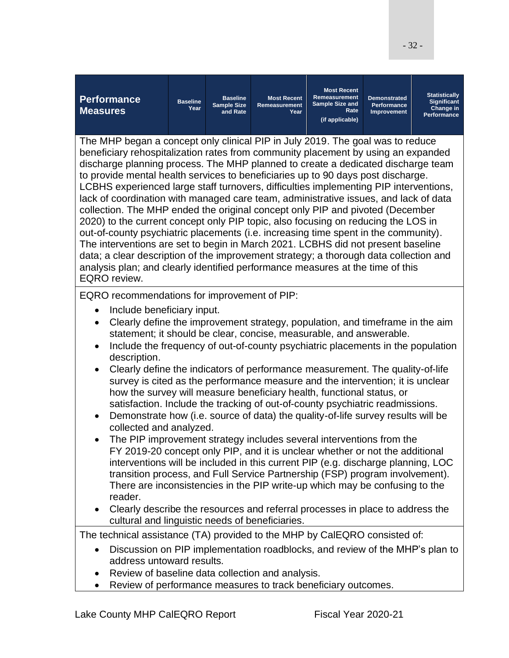| <b>Performance</b><br><b>Measures</b>                                                                                                                                                                                                                                                                                                                                                                                                                                                                                                                                                                                                                                                                                                                                                                                                                                                                                                                                                                                                                                                                                                                                                                                                                                                                                                                                                           | <b>Baseline</b><br>Year                                                                                                                                       | <b>Baseline</b><br><b>Sample Size</b><br>and Rate | <b>Most Recent</b><br>Remeasurement<br>Year | <b>Most Recent</b><br>Remeasurement<br><b>Sample Size and</b><br>Rate<br>(if applicable) | <b>Demonstrated</b><br><b>Performance</b><br>Improvement | <b>Statistically</b><br><b>Significant</b><br>Change in<br>Performance |  |  |  |
|-------------------------------------------------------------------------------------------------------------------------------------------------------------------------------------------------------------------------------------------------------------------------------------------------------------------------------------------------------------------------------------------------------------------------------------------------------------------------------------------------------------------------------------------------------------------------------------------------------------------------------------------------------------------------------------------------------------------------------------------------------------------------------------------------------------------------------------------------------------------------------------------------------------------------------------------------------------------------------------------------------------------------------------------------------------------------------------------------------------------------------------------------------------------------------------------------------------------------------------------------------------------------------------------------------------------------------------------------------------------------------------------------|---------------------------------------------------------------------------------------------------------------------------------------------------------------|---------------------------------------------------|---------------------------------------------|------------------------------------------------------------------------------------------|----------------------------------------------------------|------------------------------------------------------------------------|--|--|--|
| The MHP began a concept only clinical PIP in July 2019. The goal was to reduce<br>beneficiary rehospitalization rates from community placement by using an expanded<br>discharge planning process. The MHP planned to create a dedicated discharge team<br>to provide mental health services to beneficiaries up to 90 days post discharge.<br>LCBHS experienced large staff turnovers, difficulties implementing PIP interventions,<br>lack of coordination with managed care team, administrative issues, and lack of data<br>collection. The MHP ended the original concept only PIP and pivoted (December<br>2020) to the current concept only PIP topic, also focusing on reducing the LOS in<br>out-of-county psychiatric placements (i.e. increasing time spent in the community).<br>The interventions are set to begin in March 2021. LCBHS did not present baseline<br>data; a clear description of the improvement strategy; a thorough data collection and<br>analysis plan; and clearly identified performance measures at the time of this<br>EQRO review.                                                                                                                                                                                                                                                                                                                        |                                                                                                                                                               |                                                   |                                             |                                                                                          |                                                          |                                                                        |  |  |  |
| EQRO recommendations for improvement of PIP:<br>Include beneficiary input.<br>Clearly define the improvement strategy, population, and timeframe in the aim<br>$\bullet$<br>statement; it should be clear, concise, measurable, and answerable.<br>Include the frequency of out-of-county psychiatric placements in the population<br>$\bullet$<br>description.<br>Clearly define the indicators of performance measurement. The quality-of-life<br>$\bullet$<br>survey is cited as the performance measure and the intervention; it is unclear<br>how the survey will measure beneficiary health, functional status, or<br>satisfaction. Include the tracking of out-of-county psychiatric readmissions.<br>Demonstrate how (i.e. source of data) the quality-of-life survey results will be<br>$\bullet$<br>collected and analyzed.<br>The PIP improvement strategy includes several interventions from the<br>FY 2019-20 concept only PIP, and it is unclear whether or not the additional<br>interventions will be included in this current PIP (e.g. discharge planning, LOC<br>transition process, and Full Service Partnership (FSP) program involvement).<br>There are inconsistencies in the PIP write-up which may be confusing to the<br>reader.<br>Clearly describe the resources and referral processes in place to address the<br>cultural and linguistic needs of beneficiaries. |                                                                                                                                                               |                                                   |                                             |                                                                                          |                                                          |                                                                        |  |  |  |
| The technical assistance (TA) provided to the MHP by CalEQRO consisted of:                                                                                                                                                                                                                                                                                                                                                                                                                                                                                                                                                                                                                                                                                                                                                                                                                                                                                                                                                                                                                                                                                                                                                                                                                                                                                                                      |                                                                                                                                                               |                                                   |                                             |                                                                                          |                                                          |                                                                        |  |  |  |
|                                                                                                                                                                                                                                                                                                                                                                                                                                                                                                                                                                                                                                                                                                                                                                                                                                                                                                                                                                                                                                                                                                                                                                                                                                                                                                                                                                                                 | Discussion on PIP implementation roadblocks, and review of the MHP's plan to<br>address untoward results.<br>Review of baseline data collection and analysis. |                                                   |                                             |                                                                                          |                                                          |                                                                        |  |  |  |
| Review of performance measures to track beneficiary outcomes.<br>$\bullet$                                                                                                                                                                                                                                                                                                                                                                                                                                                                                                                                                                                                                                                                                                                                                                                                                                                                                                                                                                                                                                                                                                                                                                                                                                                                                                                      |                                                                                                                                                               |                                                   |                                             |                                                                                          |                                                          |                                                                        |  |  |  |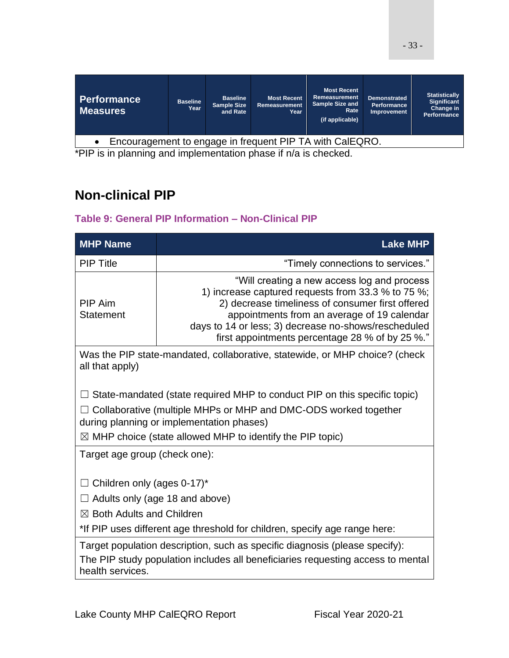| <b>Performance</b><br><b>Measures</b>                    | <b>Baseline</b><br>Year | <b>Baseline</b><br><b>Sample Size</b><br>and Rate | <b>Most Recent</b><br>Remeasurement<br>Year | <b>Most Recent</b><br>Remeasurement<br><b>Sample Size and</b><br>Rate<br>(if applicable) | <b>Demonstrated</b><br><b>Performance</b><br><b>Improvement</b> | <b>Statistically</b><br><b>Significant</b><br>Change in<br>Performance |
|----------------------------------------------------------|-------------------------|---------------------------------------------------|---------------------------------------------|------------------------------------------------------------------------------------------|-----------------------------------------------------------------|------------------------------------------------------------------------|
| Encouragement to engage in frequent PIP TA with CalEQRO. |                         |                                                   |                                             |                                                                                          |                                                                 |                                                                        |

• Encouragement to engage in frequent PIP TA with CalEQRO.

\*PIP is in planning and implementation phase if n/a is checked.

# <span id="page-32-0"></span>**Non-clinical PIP**

### <span id="page-32-1"></span>**Table 9: General PIP Information – Non-Clinical PIP**

| <b>MHP Name</b>                                                                                | <b>Lake MHP</b>                                                                                                                                                                                                                                                                                                  |  |  |  |  |  |  |  |
|------------------------------------------------------------------------------------------------|------------------------------------------------------------------------------------------------------------------------------------------------------------------------------------------------------------------------------------------------------------------------------------------------------------------|--|--|--|--|--|--|--|
| <b>PIP Title</b>                                                                               | "Timely connections to services."                                                                                                                                                                                                                                                                                |  |  |  |  |  |  |  |
| <b>PIP Aim</b><br><b>Statement</b>                                                             | "Will creating a new access log and process"<br>1) increase captured requests from 33.3 % to 75 %;<br>2) decrease timeliness of consumer first offered<br>appointments from an average of 19 calendar<br>days to 14 or less; 3) decrease no-shows/rescheduled<br>first appointments percentage 28 % of by 25 %." |  |  |  |  |  |  |  |
| Was the PIP state-mandated, collaborative, statewide, or MHP choice? (check<br>all that apply) |                                                                                                                                                                                                                                                                                                                  |  |  |  |  |  |  |  |
|                                                                                                | State-mandated (state required MHP to conduct PIP on this specific topic)                                                                                                                                                                                                                                        |  |  |  |  |  |  |  |
|                                                                                                | Collaborative (multiple MHPs or MHP and DMC-ODS worked together<br>during planning or implementation phases)                                                                                                                                                                                                     |  |  |  |  |  |  |  |
|                                                                                                | $\boxtimes$ MHP choice (state allowed MHP to identify the PIP topic)                                                                                                                                                                                                                                             |  |  |  |  |  |  |  |
| Target age group (check one):                                                                  |                                                                                                                                                                                                                                                                                                                  |  |  |  |  |  |  |  |
| $\Box$ Children only (ages 0-17)*                                                              |                                                                                                                                                                                                                                                                                                                  |  |  |  |  |  |  |  |
|                                                                                                | $\Box$ Adults only (age 18 and above)                                                                                                                                                                                                                                                                            |  |  |  |  |  |  |  |
| $\boxtimes$ Both Adults and Children                                                           |                                                                                                                                                                                                                                                                                                                  |  |  |  |  |  |  |  |
| *If PIP uses different age threshold for children, specify age range here:                     |                                                                                                                                                                                                                                                                                                                  |  |  |  |  |  |  |  |
|                                                                                                | Target population description, such as specific diagnosis (please specify):                                                                                                                                                                                                                                      |  |  |  |  |  |  |  |
| health services.                                                                               | The PIP study population includes all beneficiaries requesting access to mental                                                                                                                                                                                                                                  |  |  |  |  |  |  |  |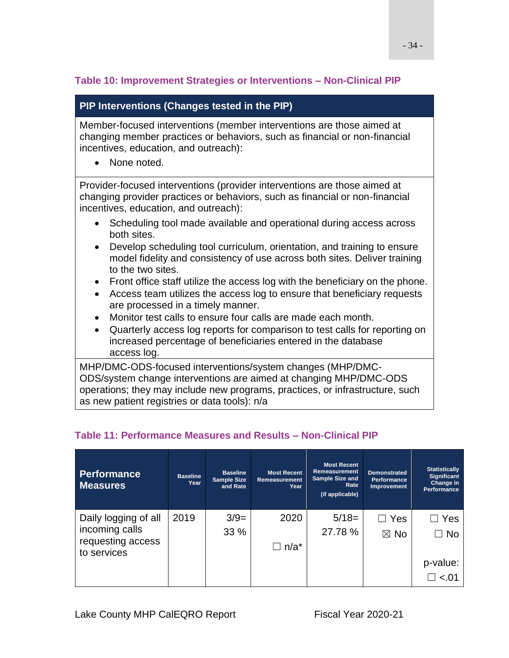### <span id="page-33-0"></span>**Table 10: Improvement Strategies or Interventions – Non-Clinical PIP**

### **PIP Interventions (Changes tested in the PIP)**

Member-focused interventions (member interventions are those aimed at changing member practices or behaviors, such as financial or non-financial incentives, education, and outreach):

• None noted.

Provider-focused interventions (provider interventions are those aimed at changing provider practices or behaviors, such as financial or non-financial incentives, education, and outreach):

- Scheduling tool made available and operational during access across both sites.
- Develop scheduling tool curriculum, orientation, and training to ensure model fidelity and consistency of use across both sites. Deliver training to the two sites.
- Front office staff utilize the access log with the beneficiary on the phone.
- Access team utilizes the access log to ensure that beneficiary requests are processed in a timely manner.
- Monitor test calls to ensure four calls are made each month.
- Quarterly access log reports for comparison to test calls for reporting on increased percentage of beneficiaries entered in the database access log.

MHP/DMC-ODS-focused interventions/system changes (MHP/DMC-ODS/system change interventions are aimed at changing MHP/DMC-ODS operations; they may include new programs, practices, or infrastructure, such as new patient registries or data tools): n/a

| <b>Performance</b><br><b>Measures</b> | <b>Baseline</b><br>Year | <b>Baseline</b><br><b>Sample Size</b><br>and Rate | <b>Most Recent</b><br>Remeasurement<br>Year | <b>Most Recent</b><br>Remeasurement<br><b>Sample Size and</b><br>Rate<br>(if applicable) | <b>Demonstrated</b><br><b>Performance</b><br>Improvement | <b>Statistically</b><br><b>Significant</b><br>Change in<br><b>Performance</b> |
|---------------------------------------|-------------------------|---------------------------------------------------|---------------------------------------------|------------------------------------------------------------------------------------------|----------------------------------------------------------|-------------------------------------------------------------------------------|
| Daily logging of all                  | 2019                    | $3/9=$                                            | 2020                                        | $5/18=$                                                                                  | $\Box$ Yes                                               | $\Box$ Yes                                                                    |
| incoming calls                        |                         | 33 %                                              |                                             | 27.78 %                                                                                  | $\boxtimes$ No                                           | $\Box$ No                                                                     |
| requesting access<br>to services      |                         |                                                   | $\Box$ n/a*                                 |                                                                                          |                                                          |                                                                               |
|                                       |                         |                                                   |                                             |                                                                                          |                                                          | p-value:                                                                      |
|                                       |                         |                                                   |                                             |                                                                                          |                                                          | $\square$ <.01                                                                |

### <span id="page-33-1"></span>**Table 11: Performance Measures and Results – Non-Clinical PIP**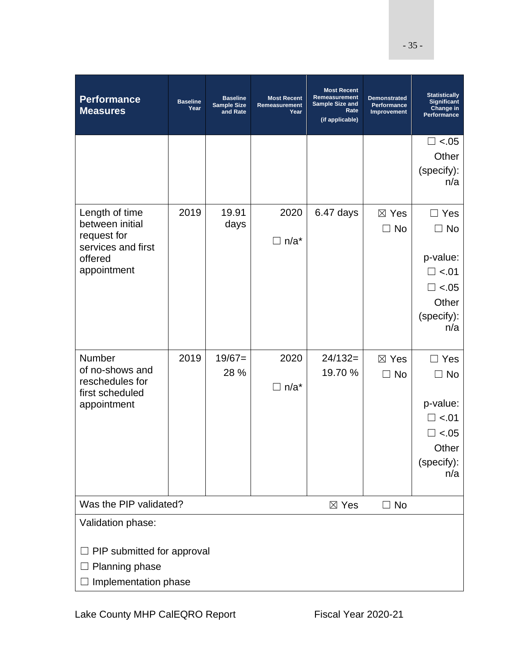| <b>Performance</b><br><b>Measures</b>                                                                     | <b>Baseline</b><br>Year | <b>Baseline</b><br><b>Sample Size</b><br>and Rate | <b>Most Recent</b><br>Remeasurement<br>Year | <b>Most Recent</b><br>Remeasurement<br>Sample Size and<br>Rate<br>(if applicable) | <b>Demonstrated</b><br>Performance<br>Improvement | <b>Statistically</b><br><b>Significant</b><br>Change in<br>Performance                             |  |
|-----------------------------------------------------------------------------------------------------------|-------------------------|---------------------------------------------------|---------------------------------------------|-----------------------------------------------------------------------------------|---------------------------------------------------|----------------------------------------------------------------------------------------------------|--|
|                                                                                                           |                         |                                                   |                                             |                                                                                   |                                                   | $\Box$ <.05<br>Other<br>(specify):<br>n/a                                                          |  |
| Length of time<br>between initial<br>request for<br>services and first<br>offered<br>appointment          | 2019                    | 19.91<br>days                                     | 2020<br>$\Box$ n/a*                         | 6.47 days                                                                         | $\boxtimes$ Yes<br>$\Box$ No                      | $\Box$ Yes<br>$\Box$ No<br>p-value:<br>$\square$ <.01<br>$\Box$ <.05<br>Other<br>(specify):<br>n/a |  |
| Number<br>of no-shows and<br>reschedules for<br>first scheduled<br>appointment                            | 2019                    | $19/67=$<br>28 %                                  | 2020<br>$\Box$ n/a*                         | $24/132=$<br>19.70 %                                                              | $\boxtimes$ Yes<br>$\Box$ No                      | $\Box$ Yes<br>No<br>p-value:<br>$\square$ <.01<br>$\Box$ <.05<br>Other<br>(specify):<br>n/a        |  |
| Was the PIP validated?<br>$\boxtimes$ Yes<br>$\Box$ No<br>Validation phase:<br>PIP submitted for approval |                         |                                                   |                                             |                                                                                   |                                                   |                                                                                                    |  |
| Planning phase<br>Implementation phase                                                                    |                         |                                                   |                                             |                                                                                   |                                                   |                                                                                                    |  |

- 35 -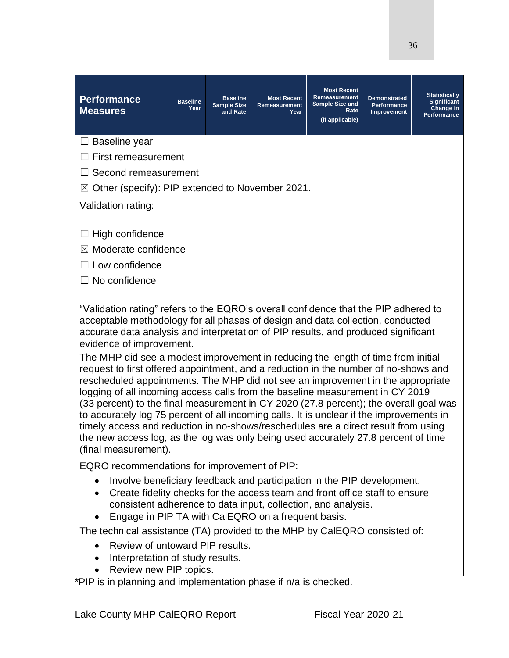| <b>Performance</b><br><b>Measures</b>                                                                                                                                                                                                                                                                                                                                                                                                                                                                                                                                                                                                                                                                                                | <b>Baseline</b><br>Year | <b>Baseline</b><br><b>Sample Size</b><br>and Rate | <b>Most Recent</b><br>Remeasurement<br>Year | <b>Most Recent</b><br>Remeasurement<br><b>Sample Size and</b><br>Rate<br>(if applicable) | <b>Demonstrated</b><br>Performance<br>Improvement | <b>Statistically</b><br><b>Significant</b><br>Change in<br><b>Performance</b> |
|--------------------------------------------------------------------------------------------------------------------------------------------------------------------------------------------------------------------------------------------------------------------------------------------------------------------------------------------------------------------------------------------------------------------------------------------------------------------------------------------------------------------------------------------------------------------------------------------------------------------------------------------------------------------------------------------------------------------------------------|-------------------------|---------------------------------------------------|---------------------------------------------|------------------------------------------------------------------------------------------|---------------------------------------------------|-------------------------------------------------------------------------------|
| $\Box$ Baseline year                                                                                                                                                                                                                                                                                                                                                                                                                                                                                                                                                                                                                                                                                                                 |                         |                                                   |                                             |                                                                                          |                                                   |                                                                               |
| $\Box$ First remeasurement                                                                                                                                                                                                                                                                                                                                                                                                                                                                                                                                                                                                                                                                                                           |                         |                                                   |                                             |                                                                                          |                                                   |                                                                               |
| $\Box$ Second remeasurement                                                                                                                                                                                                                                                                                                                                                                                                                                                                                                                                                                                                                                                                                                          |                         |                                                   |                                             |                                                                                          |                                                   |                                                                               |
| $\boxtimes$ Other (specify): PIP extended to November 2021.                                                                                                                                                                                                                                                                                                                                                                                                                                                                                                                                                                                                                                                                          |                         |                                                   |                                             |                                                                                          |                                                   |                                                                               |
| Validation rating:                                                                                                                                                                                                                                                                                                                                                                                                                                                                                                                                                                                                                                                                                                                   |                         |                                                   |                                             |                                                                                          |                                                   |                                                                               |
| $\Box$ High confidence<br>$\boxtimes$ Moderate confidence<br>$\Box$ Low confidence<br>$\Box$ No confidence                                                                                                                                                                                                                                                                                                                                                                                                                                                                                                                                                                                                                           |                         |                                                   |                                             |                                                                                          |                                                   |                                                                               |
| "Validation rating" refers to the EQRO's overall confidence that the PIP adhered to<br>acceptable methodology for all phases of design and data collection, conducted<br>accurate data analysis and interpretation of PIP results, and produced significant<br>evidence of improvement.                                                                                                                                                                                                                                                                                                                                                                                                                                              |                         |                                                   |                                             |                                                                                          |                                                   |                                                                               |
| The MHP did see a modest improvement in reducing the length of time from initial<br>request to first offered appointment, and a reduction in the number of no-shows and<br>rescheduled appointments. The MHP did not see an improvement in the appropriate<br>logging of all incoming access calls from the baseline measurement in CY 2019<br>(33 percent) to the final measurement in CY 2020 (27.8 percent); the overall goal was<br>to accurately log 75 percent of all incoming calls. It is unclear if the improvements in<br>timely access and reduction in no-shows/reschedules are a direct result from using<br>the new access log, as the log was only being used accurately 27.8 percent of time<br>(final measurement). |                         |                                                   |                                             |                                                                                          |                                                   |                                                                               |
| EQRO recommendations for improvement of PIP:                                                                                                                                                                                                                                                                                                                                                                                                                                                                                                                                                                                                                                                                                         |                         |                                                   |                                             |                                                                                          |                                                   |                                                                               |
| Involve beneficiary feedback and participation in the PIP development.<br>Create fidelity checks for the access team and front office staff to ensure<br>consistent adherence to data input, collection, and analysis.<br>Engage in PIP TA with CalEQRO on a frequent basis.                                                                                                                                                                                                                                                                                                                                                                                                                                                         |                         |                                                   |                                             |                                                                                          |                                                   |                                                                               |
| The technical assistance (TA) provided to the MHP by CalEQRO consisted of:                                                                                                                                                                                                                                                                                                                                                                                                                                                                                                                                                                                                                                                           |                         |                                                   |                                             |                                                                                          |                                                   |                                                                               |
|                                                                                                                                                                                                                                                                                                                                                                                                                                                                                                                                                                                                                                                                                                                                      |                         |                                                   |                                             |                                                                                          |                                                   |                                                                               |

- Review of untoward PIP results.
- Interpretation of study results.
- Review new PIP topics.

\*PIP is in planning and implementation phase if n/a is checked.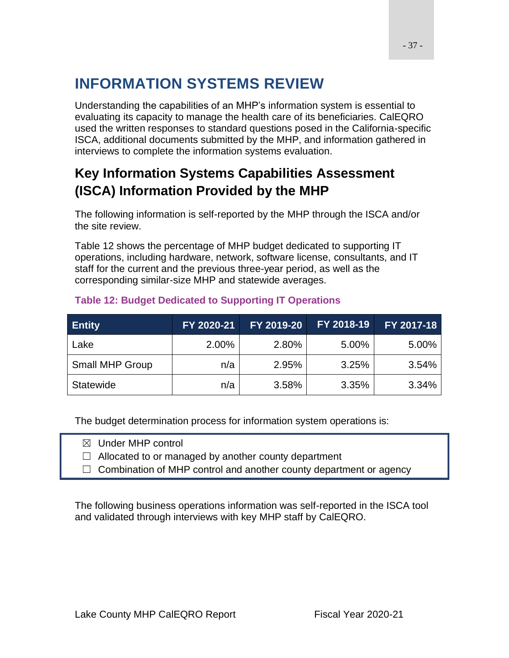# **INFORMATION SYSTEMS REVIEW**

Understanding the capabilities of an MHP's information system is essential to evaluating its capacity to manage the health care of its beneficiaries. CalEQRO used the written responses to standard questions posed in the California-specific ISCA, additional documents submitted by the MHP, and information gathered in interviews to complete the information systems evaluation.

# **Key Information Systems Capabilities Assessment (ISCA) Information Provided by the MHP**

The following information is self-reported by the MHP through the ISCA and/or the site review.

Table 12 shows the percentage of MHP budget dedicated to supporting IT operations, including hardware, network, software license, consultants, and IT staff for the current and the previous three-year period, as well as the corresponding similar-size MHP and statewide averages.

| <b>Entity</b>          | FY 2020-21 | FY 2019-20 | FY 2018-19 | FY 2017-18 |
|------------------------|------------|------------|------------|------------|
| Lake                   | 2.00%      | 2.80%      | 5.00%      | 5.00%      |
| <b>Small MHP Group</b> | n/a        | 2.95%      | 3.25%      | 3.54%      |
| Statewide              | n/a        | 3.58%      | 3.35%      | 3.34%      |

#### **Table 12: Budget Dedicated to Supporting IT Operations**

The budget determination process for information system operations is:

☒ Under MHP control

 $\Box$  Allocated to or managed by another county department

 $\Box$  Combination of MHP control and another county department or agency

The following business operations information was self-reported in the ISCA tool and validated through interviews with key MHP staff by CalEQRO.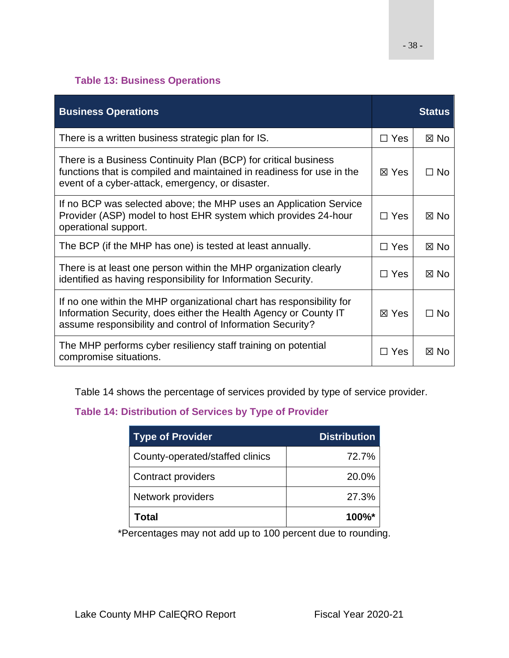### **Table 13: Business Operations**

| <b>Business Operations</b>                                                                                                                                                                             |                 | <b>Status</b>  |
|--------------------------------------------------------------------------------------------------------------------------------------------------------------------------------------------------------|-----------------|----------------|
| There is a written business strategic plan for IS.                                                                                                                                                     | $\Box$ Yes      | $\boxtimes$ No |
| There is a Business Continuity Plan (BCP) for critical business<br>functions that is compiled and maintained in readiness for use in the<br>event of a cyber-attack, emergency, or disaster.           | $\boxtimes$ Yes | $\Box$ No      |
| If no BCP was selected above; the MHP uses an Application Service<br>Provider (ASP) model to host EHR system which provides 24-hour<br>operational support.                                            | $\sqcap$ Yes    | $\boxtimes$ No |
| The BCP (if the MHP has one) is tested at least annually.                                                                                                                                              | $\Box$ Yes      | $\boxtimes$ No |
| There is at least one person within the MHP organization clearly<br>identified as having responsibility for Information Security.                                                                      | $\Box$ Yes      | $\boxtimes$ No |
| If no one within the MHP organizational chart has responsibility for<br>Information Security, does either the Health Agency or County IT<br>assume responsibility and control of Information Security? | ⊠ Yes           | $\Box$ No      |
| The MHP performs cyber resiliency staff training on potential<br>compromise situations.                                                                                                                | $\Box$ Yes      | $\boxtimes$ No |

Table 14 shows the percentage of services provided by type of service provider.

### **Table 14: Distribution of Services by Type of Provider**

| <b>Type of Provider</b>         | <b>Distribution</b> |
|---------------------------------|---------------------|
| County-operated/staffed clinics | 72.7%               |
| Contract providers              | 20.0%               |
| Network providers               | 27.3%               |
| Total                           | $100\%$ *           |

\*Percentages may not add up to 100 percent due to rounding.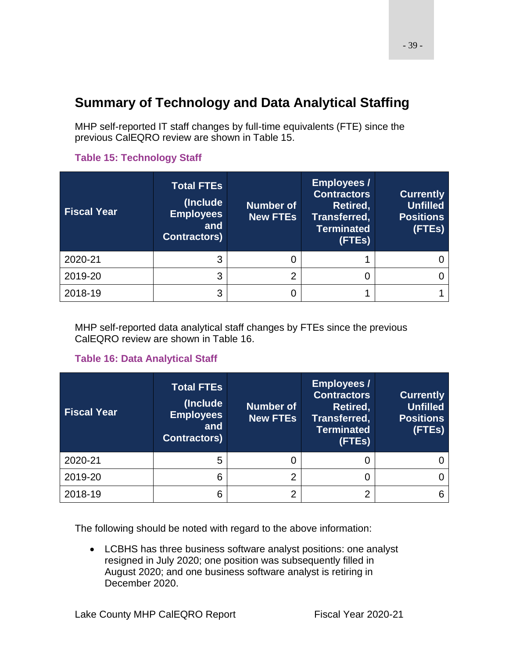# **Summary of Technology and Data Analytical Staffing**

MHP self-reported IT staff changes by full-time equivalents (FTE) since the previous CalEQRO review are shown in Table 15.

| <b>Fiscal Year</b> | <b>Total FTEs</b><br>(Include<br><b>Employees</b><br>and<br><b>Contractors)</b> | <b>Number of</b><br><b>New FTEs</b> | <b>Employees /</b><br><b>Contractors</b><br>Retired,<br>Transferred,<br><b>Terminated</b><br>(FTEs) | <b>Currently</b><br><b>Unfilled</b><br><b>Positions</b><br>(FTEs) |
|--------------------|---------------------------------------------------------------------------------|-------------------------------------|-----------------------------------------------------------------------------------------------------|-------------------------------------------------------------------|
| 2020-21            | 3                                                                               |                                     |                                                                                                     |                                                                   |
| 2019-20            | 3                                                                               | 2                                   |                                                                                                     |                                                                   |
| 2018-19            | 3                                                                               |                                     |                                                                                                     |                                                                   |

### **Table 15: Technology Staff**

MHP self-reported data analytical staff changes by FTEs since the previous CalEQRO review are shown in Table 16.

#### **Table 16: Data Analytical Staff**

| <b>Fiscal Year</b> | <b>Total FTEs</b><br>(Include<br><b>Employees</b><br>and<br><b>Contractors)</b> | <b>Number of</b><br><b>New FTEs</b> | <b>Employees /</b><br><b>Contractors</b><br>Retired,<br>Transferred,<br><b>Terminated</b><br>(FTEs) | <b>Currently</b><br><b>Unfilled</b><br><b>Positions</b><br>(FTEs) |
|--------------------|---------------------------------------------------------------------------------|-------------------------------------|-----------------------------------------------------------------------------------------------------|-------------------------------------------------------------------|
| 2020-21            | 5                                                                               |                                     |                                                                                                     |                                                                   |
| 2019-20            | 6                                                                               | ◠                                   |                                                                                                     |                                                                   |
| 2018-19            | 6                                                                               | ◠                                   | ົ                                                                                                   |                                                                   |

The following should be noted with regard to the above information:

• LCBHS has three business software analyst positions: one analyst resigned in July 2020; one position was subsequently filled in August 2020; and one business software analyst is retiring in December 2020.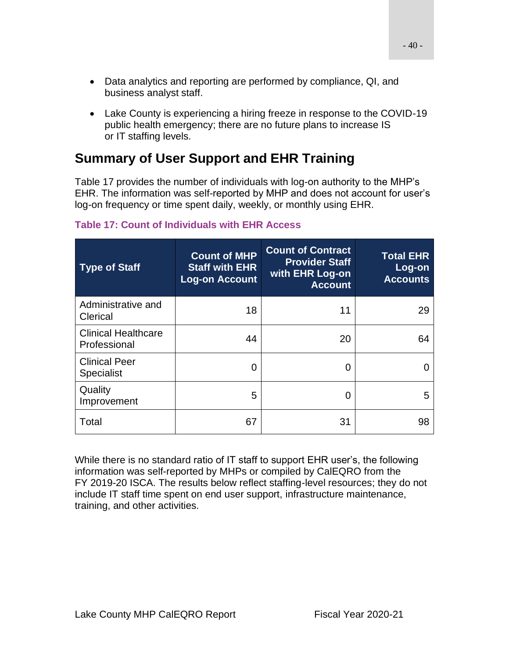- Data analytics and reporting are performed by compliance, QI, and business analyst staff.
- Lake County is experiencing a hiring freeze in response to the COVID-19 public health emergency; there are no future plans to increase IS or IT staffing levels.

# **Summary of User Support and EHR Training**

Table 17 provides the number of individuals with log-on authority to the MHP's EHR. The information was self-reported by MHP and does not account for user's log-on frequency or time spent daily, weekly, or monthly using EHR.

| <b>Type of Staff</b>                       | <b>Count of MHP</b><br><b>Staff with EHR</b><br><b>Log-on Account</b> | <b>Count of Contract</b><br><b>Provider Staff</b><br>with EHR Log-on<br><b>Account</b> | <b>Total EHR</b><br>Log-on<br><b>Accounts</b> |
|--------------------------------------------|-----------------------------------------------------------------------|----------------------------------------------------------------------------------------|-----------------------------------------------|
| Administrative and<br>Clerical             | 18                                                                    | 11                                                                                     | 29                                            |
| <b>Clinical Healthcare</b><br>Professional | 44                                                                    | 20                                                                                     | 64                                            |
| <b>Clinical Peer</b><br><b>Specialist</b>  | O                                                                     | O                                                                                      | $\mathbf{0}$                                  |
| Quality<br>Improvement                     | 5                                                                     | 0                                                                                      | 5                                             |
| Total                                      | 67                                                                    | 31                                                                                     | 98                                            |

### **Table 17: Count of Individuals with EHR Access**

While there is no standard ratio of IT staff to support EHR user's, the following information was self-reported by MHPs or compiled by CalEQRO from the FY 2019-20 ISCA. The results below reflect staffing-level resources; they do not include IT staff time spent on end user support, infrastructure maintenance, training, and other activities.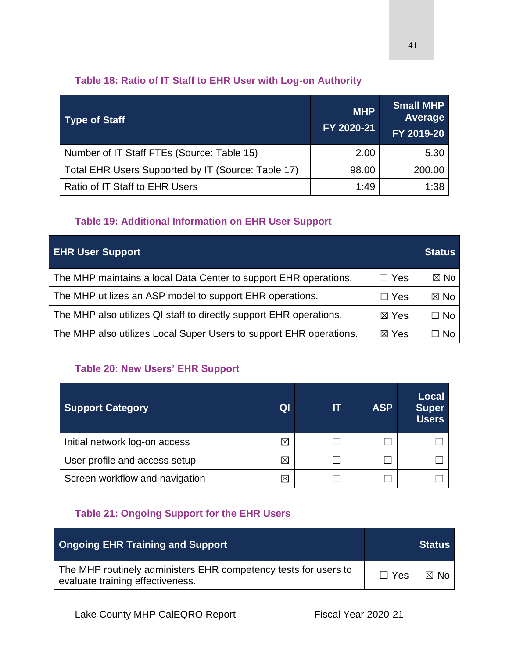### **Table 18: Ratio of IT Staff to EHR User with Log-on Authority**

| <b>Type of Staff</b>                               | <b>MHP</b><br>FY 2020-21 | <b>Small MHP</b><br>Average<br>FY 2019-20 |
|----------------------------------------------------|--------------------------|-------------------------------------------|
| Number of IT Staff FTEs (Source: Table 15)         | 2.00                     | 5.30                                      |
| Total EHR Users Supported by IT (Source: Table 17) | 98.00                    | 200.00                                    |
| Ratio of IT Staff to EHR Users                     | 1:49                     | 1:38                                      |

### **Table 19: Additional Information on EHR User Support**

| <b>EHR User Support</b>                                            |                 | <b>Status</b>  |
|--------------------------------------------------------------------|-----------------|----------------|
| The MHP maintains a local Data Center to support EHR operations.   | $\Box$ Yes      | $\boxtimes$ No |
| The MHP utilizes an ASP model to support EHR operations.           | $\Box$ Yes      | $\boxtimes$ No |
| The MHP also utilizes QI staff to directly support EHR operations. | $\boxtimes$ Yes | $\Box$ No      |
| The MHP also utilizes Local Super Users to support EHR operations. | $\boxtimes$ Yes | $\Box$ No      |

### **Table 20: New Users' EHR Support**

| <b>Support Category</b>        | QI          | ſπ | <b>ASP</b> | <b>Local</b><br><b>Super</b><br><b>Users</b> |
|--------------------------------|-------------|----|------------|----------------------------------------------|
| Initial network log-on access  | $\boxtimes$ |    |            |                                              |
| User profile and access setup  | $\boxtimes$ |    |            |                                              |
| Screen workflow and navigation |             |    |            |                                              |

### **Table 21: Ongoing Support for the EHR Users**

| <b>Ongoing EHR Training and Support</b>                                                             |              | <b>Status</b>              |
|-----------------------------------------------------------------------------------------------------|--------------|----------------------------|
| The MHP routinely administers EHR competency tests for users to<br>evaluate training effectiveness. | $\Box$ Yes I | $\boxtimes$ No $\parallel$ |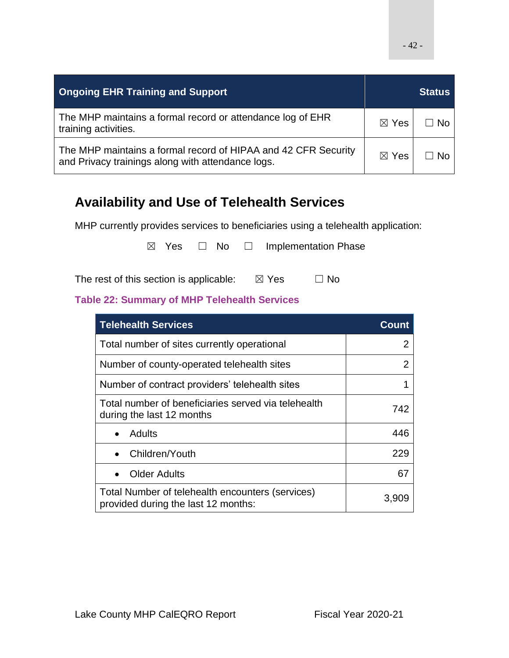| <b>Ongoing EHR Training and Support</b>                                                                             |                 | Status    |
|---------------------------------------------------------------------------------------------------------------------|-----------------|-----------|
| The MHP maintains a formal record or attendance log of EHR<br>training activities.                                  | ⊠ Yes           | $\Box$ No |
| The MHP maintains a formal record of HIPAA and 42 CFR Security<br>and Privacy trainings along with attendance logs. | $\boxtimes$ Yes | $\Box$ No |

## **Availability and Use of Telehealth Services**

MHP currently provides services to beneficiaries using a telehealth application:

 $\boxtimes$  Yes  $\Box$  No  $\Box$  Implementation Phase

The rest of this section is applicable:  $\boxtimes$  Yes  $\Box$  No

### **Table 22: Summary of MHP Telehealth Services**

| <b>Telehealth Services</b>                                                              | Count |
|-----------------------------------------------------------------------------------------|-------|
| Total number of sites currently operational                                             | 2     |
| Number of county-operated telehealth sites                                              | 2     |
| Number of contract providers' telehealth sites                                          |       |
| Total number of beneficiaries served via telehealth<br>during the last 12 months        | 742   |
| Adults                                                                                  | 446   |
| Children/Youth                                                                          | 229   |
| <b>Older Adults</b>                                                                     | 67    |
| Total Number of telehealth encounters (services)<br>provided during the last 12 months: | 3.909 |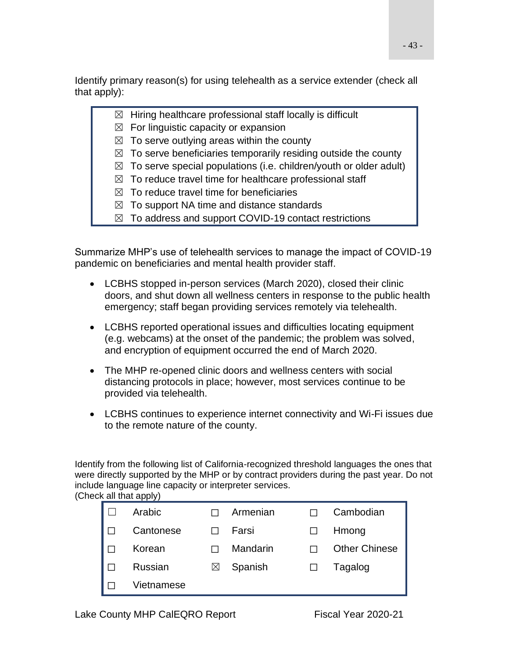Identify primary reason(s) for using telehealth as a service extender (check all that apply):

- $\boxtimes$  Hiring healthcare professional staff locally is difficult
- $\boxtimes$  For linguistic capacity or expansion
- $\boxtimes$  To serve outlying areas within the county
- $\boxtimes$  To serve beneficiaries temporarily residing outside the county
- $\boxtimes$  To serve special populations (i.e. children/youth or older adult)
- $\boxtimes$  To reduce travel time for healthcare professional staff
- $\boxtimes$  To reduce travel time for beneficiaries
- $\boxtimes$  To support NA time and distance standards
- $\boxtimes$  To address and support COVID-19 contact restrictions

Summarize MHP's use of telehealth services to manage the impact of COVID-19 pandemic on beneficiaries and mental health provider staff.

- LCBHS stopped in-person services (March 2020), closed their clinic doors, and shut down all wellness centers in response to the public health emergency; staff began providing services remotely via telehealth.
- LCBHS reported operational issues and difficulties locating equipment (e.g. webcams) at the onset of the pandemic; the problem was solved, and encryption of equipment occurred the end of March 2020.
- The MHP re-opened clinic doors and wellness centers with social distancing protocols in place; however, most services continue to be provided via telehealth.
- LCBHS continues to experience internet connectivity and Wi-Fi issues due to the remote nature of the county.

Identify from the following list of California-recognized threshold languages the ones that were directly supported by the MHP or by contract providers during the past year. Do not include language line capacity or interpreter services. (Check all that apply)

| Arabic     |   | Armenian | Cambodian            |
|------------|---|----------|----------------------|
| Cantonese  |   | Farsi    | Hmong                |
| Korean     |   | Mandarin | <b>Other Chinese</b> |
| Russian    | ⋈ | Spanish  | Tagalog              |
| Vietnamese |   |          |                      |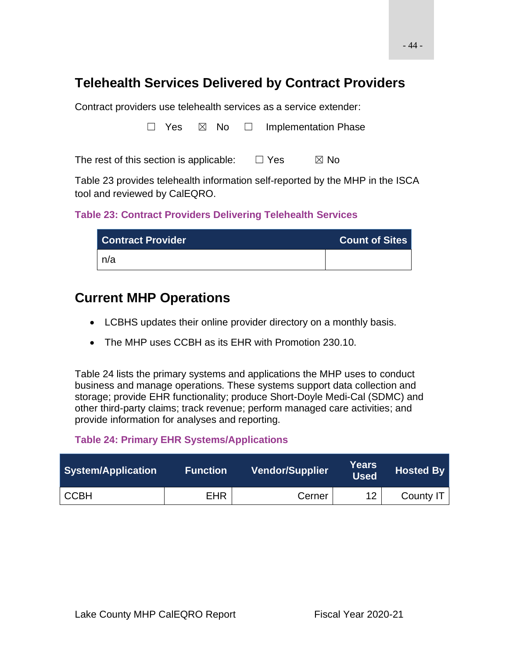## **Telehealth Services Delivered by Contract Providers**

Contract providers use telehealth services as a service extender:

□ Yes ⊠ No □ Implementation Phase

The rest of this section is applicable:  $□$  Yes  $□$  No

Table 23 provides telehealth information self-reported by the MHP in the ISCA tool and reviewed by CalEQRO.

#### **Table 23: Contract Providers Delivering Telehealth Services**

| <b>Contract Provider</b> | <b>Count of Sites</b> |
|--------------------------|-----------------------|
| n/a                      |                       |

## **Current MHP Operations**

- LCBHS updates their online provider directory on a monthly basis.
- The MHP uses CCBH as its EHR with Promotion 230.10.

Table 24 lists the primary systems and applications the MHP uses to conduct business and manage operations. These systems support data collection and storage; provide EHR functionality; produce Short-Doyle Medi-Cal (SDMC) and other third-party claims; track revenue; perform managed care activities; and provide information for analyses and reporting.

#### **Table 24: Primary EHR Systems/Applications**

| System/Application | <b>Function</b> | <b>Vendor/Supplier</b> | Years<br><b>Used</b> | Hosted By |
|--------------------|-----------------|------------------------|----------------------|-----------|
| <b>CCBH</b>        | <b>EHR</b>      | Cerner                 | $12 \overline{ }$    | County IT |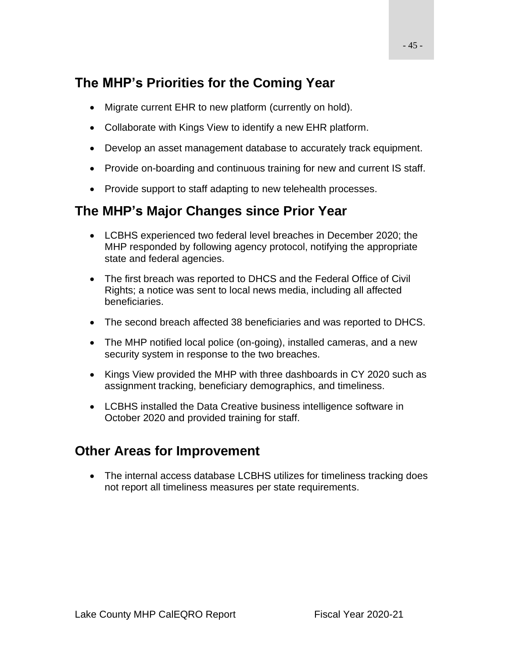# **The MHP's Priorities for the Coming Year**

- Migrate current EHR to new platform (currently on hold).
- Collaborate with Kings View to identify a new EHR platform.
- Develop an asset management database to accurately track equipment.
- Provide on-boarding and continuous training for new and current IS staff.
- Provide support to staff adapting to new telehealth processes.

## **The MHP's Major Changes since Prior Year**

- LCBHS experienced two federal level breaches in December 2020; the MHP responded by following agency protocol, notifying the appropriate state and federal agencies.
- The first breach was reported to DHCS and the Federal Office of Civil Rights; a notice was sent to local news media, including all affected beneficiaries.
- The second breach affected 38 beneficiaries and was reported to DHCS.
- The MHP notified local police (on-going), installed cameras, and a new security system in response to the two breaches.
- Kings View provided the MHP with three dashboards in CY 2020 such as assignment tracking, beneficiary demographics, and timeliness.
- LCBHS installed the Data Creative business intelligence software in October 2020 and provided training for staff.

## **Other Areas for Improvement**

• The internal access database LCBHS utilizes for timeliness tracking does not report all timeliness measures per state requirements.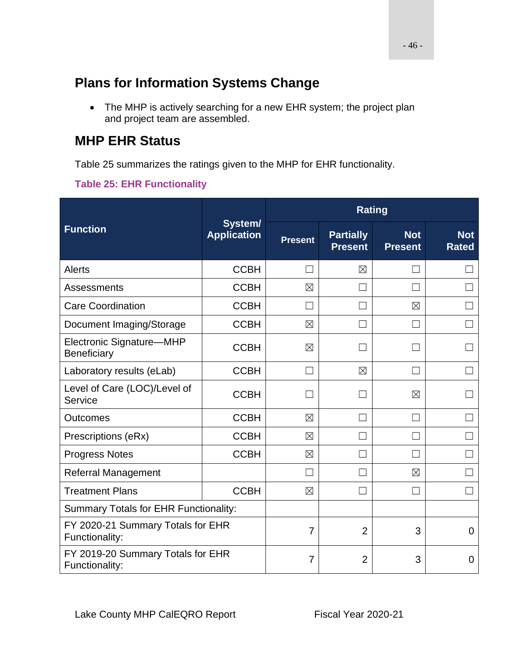# **Plans for Information Systems Change**

• The MHP is actively searching for a new EHR system; the project plan and project team are assembled.

## **MHP EHR Status**

Table 25 summarizes the ratings given to the MHP for EHR functionality.

### **Table 25: EHR Functionality**

|                                                     |                               | <b>Rating</b>  |                                    |                              |                            |  |
|-----------------------------------------------------|-------------------------------|----------------|------------------------------------|------------------------------|----------------------------|--|
| <b>Function</b>                                     | System/<br><b>Application</b> | <b>Present</b> | <b>Partially</b><br><b>Present</b> | <b>Not</b><br><b>Present</b> | <b>Not</b><br><b>Rated</b> |  |
| Alerts                                              | <b>CCBH</b>                   | $\mathcal{L}$  | $\boxtimes$                        | ×                            |                            |  |
| Assessments                                         | <b>CCBH</b>                   | $\boxtimes$    |                                    | M                            |                            |  |
| <b>Care Coordination</b>                            | <b>CCBH</b>                   | П              |                                    | $\boxtimes$                  |                            |  |
| Document Imaging/Storage                            | <b>CCBH</b>                   | $\boxtimes$    | ×                                  |                              |                            |  |
| Electronic Signature-MHP<br>Beneficiary             | <b>CCBH</b>                   | $\boxtimes$    | ×                                  |                              |                            |  |
| Laboratory results (eLab)                           | <b>CCBH</b>                   | П              | $\boxtimes$                        |                              |                            |  |
| Level of Care (LOC)/Level of<br>Service             | <b>CCBH</b>                   |                | ×.                                 | $\boxtimes$                  |                            |  |
| <b>Outcomes</b>                                     | <b>CCBH</b>                   | $\boxtimes$    |                                    | $\Box$                       |                            |  |
| Prescriptions (eRx)                                 | <b>CCBH</b>                   | $\boxtimes$    |                                    |                              |                            |  |
| <b>Progress Notes</b>                               | <b>CCBH</b>                   | $\boxtimes$    |                                    |                              |                            |  |
| <b>Referral Management</b>                          |                               | $\Box$         |                                    | $\boxtimes$                  |                            |  |
| <b>Treatment Plans</b>                              | <b>CCBH</b>                   | $\boxtimes$    |                                    |                              |                            |  |
| <b>Summary Totals for EHR Functionality:</b>        |                               |                |                                    |                              |                            |  |
| FY 2020-21 Summary Totals for EHR<br>Functionality: |                               | $\overline{7}$ | $\overline{2}$                     | 3                            | 0                          |  |
| FY 2019-20 Summary Totals for EHR<br>Functionality: |                               | 7              | $\overline{2}$                     | 3                            | 0                          |  |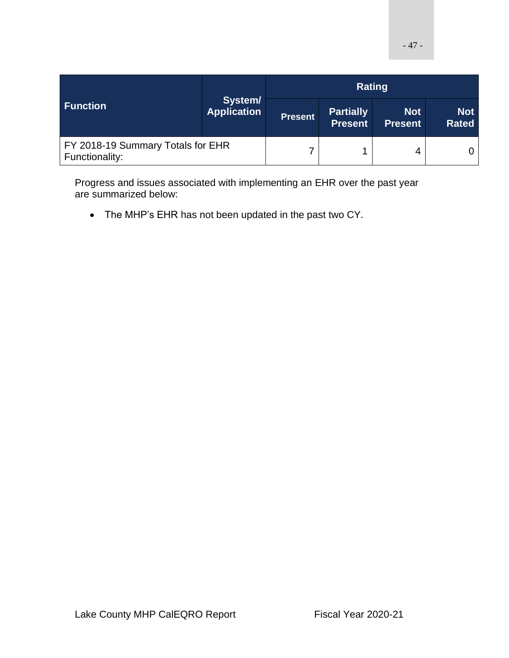|                                                     | System/<br><b>Application</b> | Rating         |                                    |                              |                            |
|-----------------------------------------------------|-------------------------------|----------------|------------------------------------|------------------------------|----------------------------|
| <b>Function</b>                                     |                               | <b>Present</b> | <b>Partially</b><br><b>Present</b> | <b>Not</b><br><b>Present</b> | <b>Not</b><br><b>Rated</b> |
| FY 2018-19 Summary Totals for EHR<br>Functionality: |                               |                | 4                                  |                              |                            |

Progress and issues associated with implementing an EHR over the past year are summarized below:

• The MHP's EHR has not been updated in the past two CY.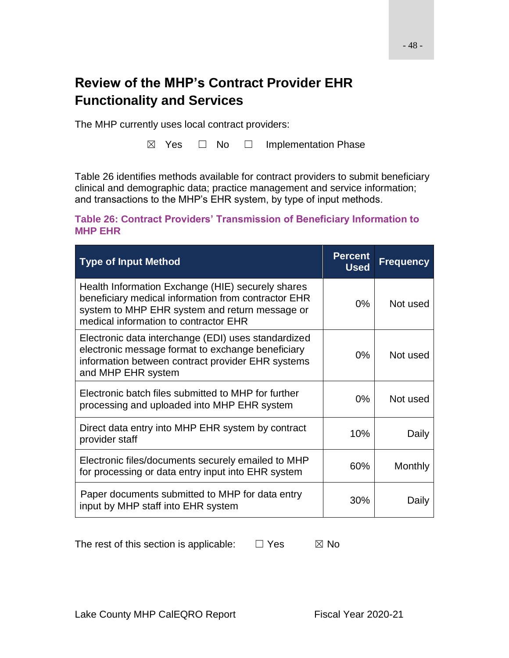# **Review of the MHP's Contract Provider EHR Functionality and Services**

The MHP currently uses local contract providers:

☒ Yes ☐ No ☐ Implementation Phase

Table 26 identifies methods available for contract providers to submit beneficiary clinical and demographic data; practice management and service information; and transactions to the MHP's EHR system, by type of input methods.

#### **Table 26: Contract Providers' Transmission of Beneficiary Information to MHP EHR**

| <b>Type of Input Method</b>                                                                                                                                                                         | <b>Percent</b><br><b>Used</b> | <b>Frequency</b> |
|-----------------------------------------------------------------------------------------------------------------------------------------------------------------------------------------------------|-------------------------------|------------------|
| Health Information Exchange (HIE) securely shares<br>beneficiary medical information from contractor EHR<br>system to MHP EHR system and return message or<br>medical information to contractor EHR | $0\%$                         | Not used         |
| Electronic data interchange (EDI) uses standardized<br>electronic message format to exchange beneficiary<br>information between contract provider EHR systems<br>and MHP EHR system                 | 0%                            | Not used         |
| Electronic batch files submitted to MHP for further<br>processing and uploaded into MHP EHR system                                                                                                  | $0\%$                         | Not used         |
| Direct data entry into MHP EHR system by contract<br>provider staff                                                                                                                                 | 10%                           | Daily            |
| Electronic files/documents securely emailed to MHP<br>for processing or data entry input into EHR system                                                                                            | 60%                           | Monthly          |
| Paper documents submitted to MHP for data entry<br>input by MHP staff into EHR system                                                                                                               | 30%                           | Daily            |

The rest of this section is applicable:  $□$  Yes  $□$  No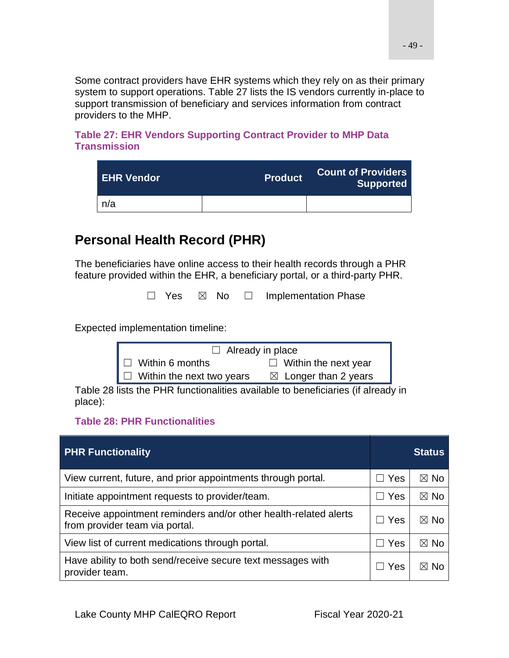Some contract providers have EHR systems which they rely on as their primary system to support operations. Table 27 lists the IS vendors currently in-place to support transmission of beneficiary and services information from contract providers to the MHP.

**Table 27: EHR Vendors Supporting Contract Provider to MHP Data Transmission**

| <b>LEHR Vendor</b> | <b>Product</b> | <b>Count of Providers</b><br>Supported |  |
|--------------------|----------------|----------------------------------------|--|
| n/a                |                |                                        |  |

# **Personal Health Record (PHR)**

The beneficiaries have online access to their health records through a PHR feature provided within the EHR, a beneficiary portal, or a third-party PHR.

□ Yes ⊠ No □ Implementation Phase

Expected implementation timeline:

| $\Box$ Already in place          |                                 |  |  |  |  |
|----------------------------------|---------------------------------|--|--|--|--|
| $\Box$ Within 6 months           | $\Box$ Within the next year     |  |  |  |  |
| $\Box$ Within the next two years | $\boxtimes$ Longer than 2 years |  |  |  |  |

Table 28 lists the PHR functionalities available to beneficiaries (if already in place):

#### **Table 28: PHR Functionalities**

| <b>PHR Functionality</b>                                                                           |                          | <b>Status</b>  |
|----------------------------------------------------------------------------------------------------|--------------------------|----------------|
| View current, future, and prior appointments through portal.                                       | Yes<br>$\vert \ \ \vert$ | ⊠ No           |
| Initiate appointment requests to provider/team.                                                    | $\Box$ Yes               | $\boxtimes$ No |
| Receive appointment reminders and/or other health-related alerts<br>from provider team via portal. | $\Box$ Yes               | ⊠ No           |
| View list of current medications through portal.                                                   | Yes<br>$\Box$            | ⊠ No           |
| Have ability to both send/receive secure text messages with<br>provider team.                      | Yes                      | Nc<br>M        |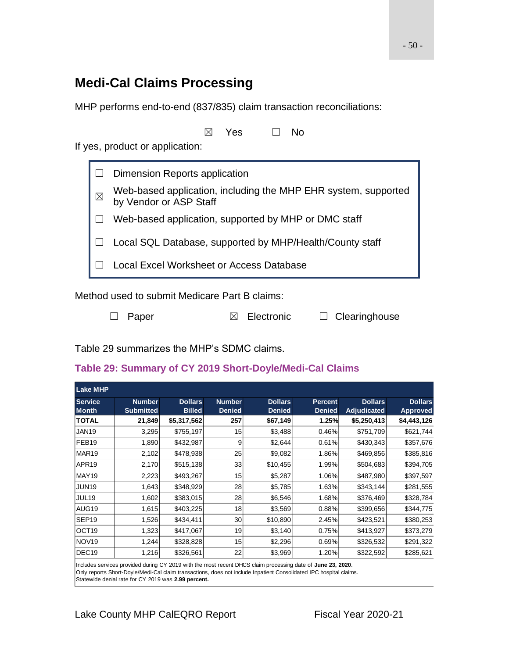## **Medi-Cal Claims Processing**

MHP performs end-to-end (837/835) claim transaction reconciliations:

|   | Yes<br>N٥                                                                                |
|---|------------------------------------------------------------------------------------------|
|   | If yes, product or application:                                                          |
|   | Dimension Reports application                                                            |
| ⊠ | Web-based application, including the MHP EHR system, supported<br>by Vendor or ASP Staff |
|   | Web-based application, supported by MHP or DMC staff                                     |
|   | Local SQL Database, supported by MHP/Health/County staff                                 |
|   | Local Excel Worksheet or Access Database                                                 |
|   |                                                                                          |

Method used to submit Medicare Part B claims:

☐ Paper ☒ Electronic ☐ Clearinghouse

Table 29 summarizes the MHP's SDMC claims.

#### **Table 29: Summary of CY 2019 Short-Doyle/Medi-Cal Claims**

| <b>Lake MHP</b>                |                                   |                                 |                                |                                 |                                 |                               |                                   |
|--------------------------------|-----------------------------------|---------------------------------|--------------------------------|---------------------------------|---------------------------------|-------------------------------|-----------------------------------|
| <b>Service</b><br><b>Month</b> | <b>Number</b><br><b>Submitted</b> | <b>Dollars</b><br><b>Billed</b> | <b>Number</b><br><b>Denied</b> | <b>Dollars</b><br><b>Denied</b> | <b>Percent</b><br><b>Denied</b> | <b>Dollars</b><br>Adjudicated | <b>Dollars</b><br><b>Approved</b> |
| <b>TOTAL</b>                   | 21,849                            | \$5,317,562                     | 257                            | \$67,149                        | 1.25%                           | \$5,250,413                   | \$4,443,126                       |
| <b>JAN19</b>                   | 3,295                             | \$755,197                       | 15                             | \$3,488                         | 0.46%                           | \$751,709                     | \$621,744                         |
| FEB <sub>19</sub>              | 1,890                             | \$432,987                       | 9                              | \$2,644                         | 0.61%                           | \$430,343                     | \$357,676                         |
| MAR19                          | 2,102                             | \$478,938                       | 25                             | \$9,082                         | 1.86%                           | \$469,856                     | \$385,816                         |
| APR <sub>19</sub>              | 2,170                             | \$515,138                       | 33                             | \$10,455                        | 1.99%                           | \$504,683                     | \$394,705                         |
| MAY19                          | 2,223                             | \$493,267                       | 15                             | \$5,287                         | 1.06%                           | \$487,980                     | \$397,597                         |
| JUN19                          | 1,643                             | \$348,929                       | 28                             | \$5,785                         | 1.63%                           | \$343,144                     | \$281,555                         |
| JUL19                          | 1,602                             | \$383,015                       | 28                             | \$6,546                         | 1.68%                           | \$376,469                     | \$328,784                         |
| AUG <sub>19</sub>              | 1,615                             | \$403,225                       | 18                             | \$3,569                         | 0.88%                           | \$399,656                     | \$344,775                         |
| SEP <sub>19</sub>              | 1,526                             | \$434,411                       | 30                             | \$10,890                        | 2.45%                           | \$423,521                     | \$380,253                         |
| OCT <sub>19</sub>              | 1,323                             | \$417,067                       | 19                             | \$3,140                         | 0.75%                           | \$413,927                     | \$373,279                         |
| <b>NOV19</b>                   | 1,244                             | \$328,828                       | 15                             | \$2,296                         | 0.69%                           | \$326,532                     | \$291,322                         |
| DEC <sub>19</sub>              | 1,216                             | \$326,561                       | 22                             | \$3,969                         | 1.20%                           | \$322,592                     | \$285,621                         |

Includes services provided during CY 2019 with the most recent DHCS claim processing date of **June 23, 2020**.

Only reports Short-Doyle/Medi-Cal claim transactions, does not include Inpatient Consolidated IPC hospital claims. Statewide denial rate for CY 2019 was **2.99 percent.**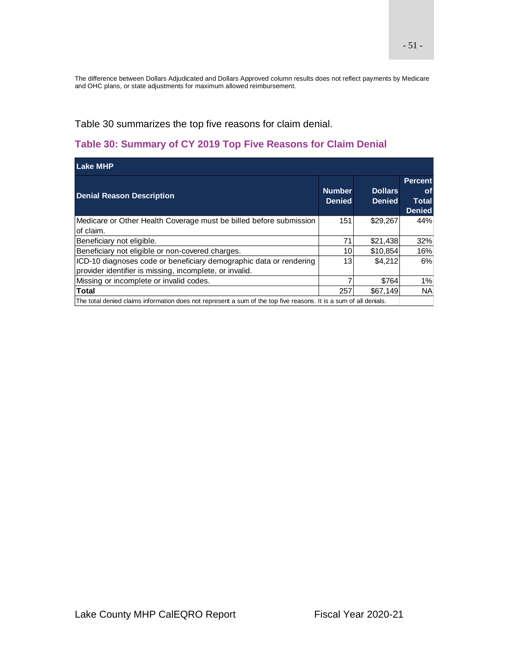The difference between Dollars Adjudicated and Dollars Approved column results does not reflect payments by Medicare and OHC plans, or state adjustments for maximum allowed reimbursement.

Table 30 summarizes the top five reasons for claim denial.

### **Table 30: Summary of CY 2019 Top Five Reasons for Claim Denial**

| <b>Lake MHP</b>                                                                                                               |                                |                                 |                                                              |  |  |  |  |  |  |
|-------------------------------------------------------------------------------------------------------------------------------|--------------------------------|---------------------------------|--------------------------------------------------------------|--|--|--|--|--|--|
| <b>Denial Reason Description</b>                                                                                              | <b>Number</b><br><b>Denied</b> | <b>Dollars</b><br><b>Denied</b> | <b>Percent</b><br><b>of</b><br><b>Total</b><br><b>Denied</b> |  |  |  |  |  |  |
| Medicare or Other Health Coverage must be billed before submission<br>of claim.                                               | 151                            | \$29,267                        | 44%                                                          |  |  |  |  |  |  |
| Beneficiary not eligible.                                                                                                     | 71                             | \$21,438                        | 32%                                                          |  |  |  |  |  |  |
| Beneficiary not eligible or non-covered charges.                                                                              | 10                             | \$10,854                        | 16%                                                          |  |  |  |  |  |  |
| ICD-10 diagnoses code or beneficiary demographic data or rendering<br>provider identifier is missing, incomplete, or invalid. | 13                             | \$4.212                         | 6%                                                           |  |  |  |  |  |  |
| Missing or incomplete or invalid codes.                                                                                       |                                | \$764                           | 1%                                                           |  |  |  |  |  |  |
| <b>Total</b>                                                                                                                  | 257                            | \$67.149                        | <b>NA</b>                                                    |  |  |  |  |  |  |
| The total denied claims information does not represent a sum of the top five reasons. It is a sum of all denials.             |                                |                                 |                                                              |  |  |  |  |  |  |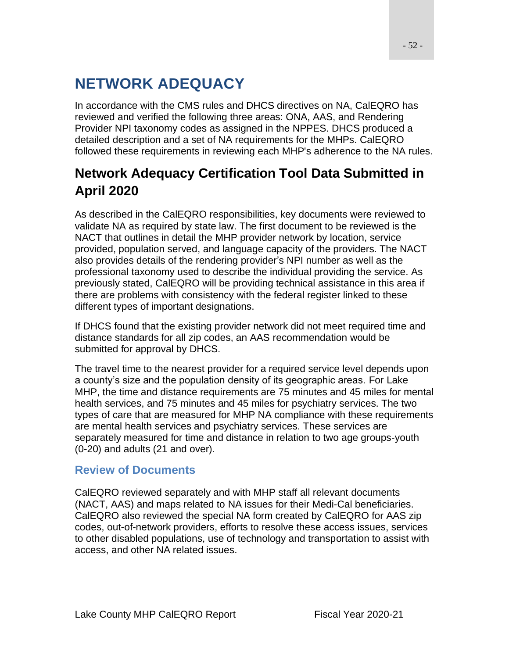# **NETWORK ADEQUACY**

In accordance with the CMS rules and DHCS directives on NA, CalEQRO has reviewed and verified the following three areas: ONA, AAS, and Rendering Provider NPI taxonomy codes as assigned in the NPPES. DHCS produced a detailed description and a set of NA requirements for the MHPs. CalEQRO followed these requirements in reviewing each MHP's adherence to the NA rules.

# **Network Adequacy Certification Tool Data Submitted in April 2020**

As described in the CalEQRO responsibilities, key documents were reviewed to validate NA as required by state law. The first document to be reviewed is the NACT that outlines in detail the MHP provider network by location, service provided, population served, and language capacity of the providers. The NACT also provides details of the rendering provider's NPI number as well as the professional taxonomy used to describe the individual providing the service. As previously stated, CalEQRO will be providing technical assistance in this area if there are problems with consistency with the federal register linked to these different types of important designations.

If DHCS found that the existing provider network did not meet required time and distance standards for all zip codes, an AAS recommendation would be submitted for approval by DHCS.

The travel time to the nearest provider for a required service level depends upon a county's size and the population density of its geographic areas. For Lake MHP, the time and distance requirements are 75 minutes and 45 miles for mental health services, and 75 minutes and 45 miles for psychiatry services. The two types of care that are measured for MHP NA compliance with these requirements are mental health services and psychiatry services. These services are separately measured for time and distance in relation to two age groups-youth (0-20) and adults (21 and over).

### **Review of Documents**

CalEQRO reviewed separately and with MHP staff all relevant documents (NACT, AAS) and maps related to NA issues for their Medi-Cal beneficiaries. CalEQRO also reviewed the special NA form created by CalEQRO for AAS zip codes, out-of-network providers, efforts to resolve these access issues, services to other disabled populations, use of technology and transportation to assist with access, and other NA related issues.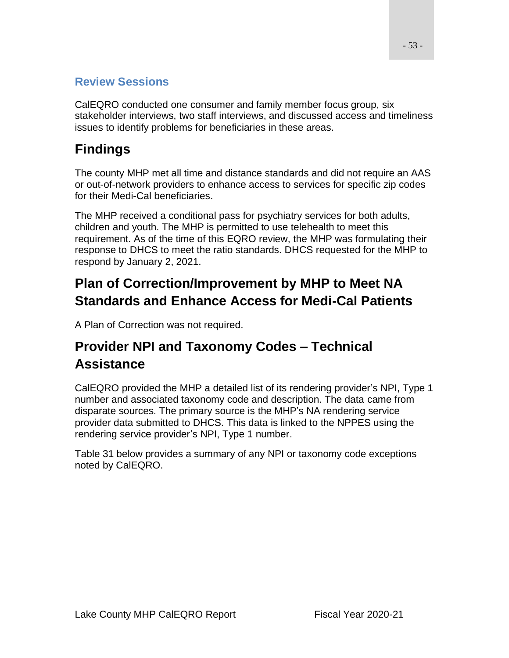### **Review Sessions**

CalEQRO conducted one consumer and family member focus group, six stakeholder interviews, two staff interviews, and discussed access and timeliness issues to identify problems for beneficiaries in these areas.

# **Findings**

The county MHP met all time and distance standards and did not require an AAS or out-of-network providers to enhance access to services for specific zip codes for their Medi-Cal beneficiaries.

The MHP received a conditional pass for psychiatry services for both adults, children and youth. The MHP is permitted to use telehealth to meet this requirement. As of the time of this EQRO review, the MHP was formulating their response to DHCS to meet the ratio standards. DHCS requested for the MHP to respond by January 2, 2021.

# **Plan of Correction/Improvement by MHP to Meet NA Standards and Enhance Access for Medi-Cal Patients**

A Plan of Correction was not required.

# **Provider NPI and Taxonomy Codes – Technical Assistance**

CalEQRO provided the MHP a detailed list of its rendering provider's NPI, Type 1 number and associated taxonomy code and description. The data came from disparate sources. The primary source is the MHP's NA rendering service provider data submitted to DHCS. This data is linked to the NPPES using the rendering service provider's NPI, Type 1 number.

Table 31 below provides a summary of any NPI or taxonomy code exceptions noted by CalEQRO.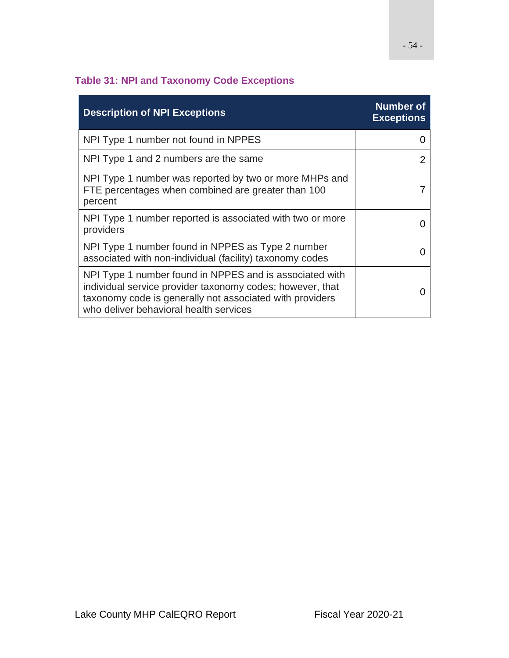## **Table 31: NPI and Taxonomy Code Exceptions**

| <b>Description of NPI Exceptions</b>                                                                                                                                                                                       | <b>Number of</b><br><b>Exceptions</b> |
|----------------------------------------------------------------------------------------------------------------------------------------------------------------------------------------------------------------------------|---------------------------------------|
| NPI Type 1 number not found in NPPES                                                                                                                                                                                       |                                       |
| NPI Type 1 and 2 numbers are the same                                                                                                                                                                                      |                                       |
| NPI Type 1 number was reported by two or more MHPs and<br>FTE percentages when combined are greater than 100<br>percent                                                                                                    |                                       |
| NPI Type 1 number reported is associated with two or more<br>providers                                                                                                                                                     |                                       |
| NPI Type 1 number found in NPPES as Type 2 number<br>associated with non-individual (facility) taxonomy codes                                                                                                              |                                       |
| NPI Type 1 number found in NPPES and is associated with<br>individual service provider taxonomy codes; however, that<br>taxonomy code is generally not associated with providers<br>who deliver behavioral health services |                                       |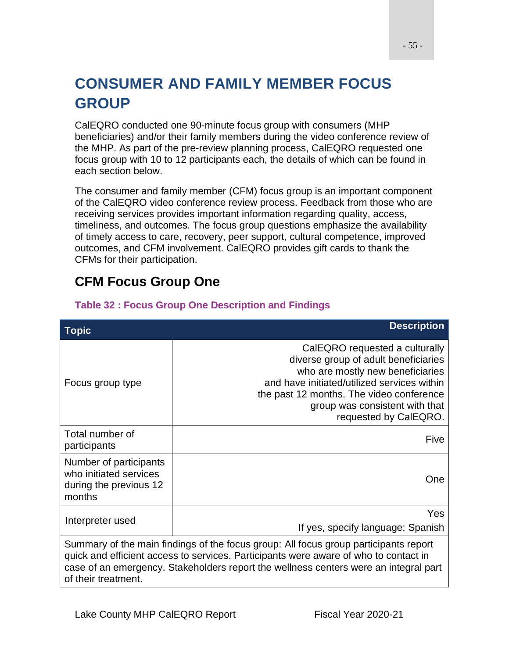# **CONSUMER AND FAMILY MEMBER FOCUS GROUP**

CalEQRO conducted one 90-minute focus group with consumers (MHP beneficiaries) and/or their family members during the video conference review of the MHP. As part of the pre-review planning process, CalEQRO requested one focus group with 10 to 12 participants each, the details of which can be found in each section below.

The consumer and family member (CFM) focus group is an important component of the CalEQRO video conference review process. Feedback from those who are receiving services provides important information regarding quality, access, timeliness, and outcomes. The focus group questions emphasize the availability of timely access to care, recovery, peer support, cultural competence, improved outcomes, and CFM involvement. CalEQRO provides gift cards to thank the CFMs for their participation.

# **CFM Focus Group One**

| <b>Topic</b>                                                                                                                                                                                                                                                                                | <b>Description</b>                                                                                                                                                                                                                                               |  |
|---------------------------------------------------------------------------------------------------------------------------------------------------------------------------------------------------------------------------------------------------------------------------------------------|------------------------------------------------------------------------------------------------------------------------------------------------------------------------------------------------------------------------------------------------------------------|--|
| Focus group type                                                                                                                                                                                                                                                                            | CalEQRO requested a culturally<br>diverse group of adult beneficiaries<br>who are mostly new beneficiaries<br>and have initiated/utilized services within<br>the past 12 months. The video conference<br>group was consistent with that<br>requested by CalEQRO. |  |
| Total number of<br>participants                                                                                                                                                                                                                                                             | Five                                                                                                                                                                                                                                                             |  |
| Number of participants<br>who initiated services<br>during the previous 12<br>months                                                                                                                                                                                                        | One                                                                                                                                                                                                                                                              |  |
| Interpreter used                                                                                                                                                                                                                                                                            | <b>Yes</b><br>If yes, specify language: Spanish                                                                                                                                                                                                                  |  |
| Summary of the main findings of the focus group: All focus group participants report<br>quick and efficient access to services. Participants were aware of who to contact in<br>case of an emergency. Stakeholders report the wellness centers were an integral part<br>of their treatment. |                                                                                                                                                                                                                                                                  |  |

#### **Table 32 : Focus Group One Description and Findings**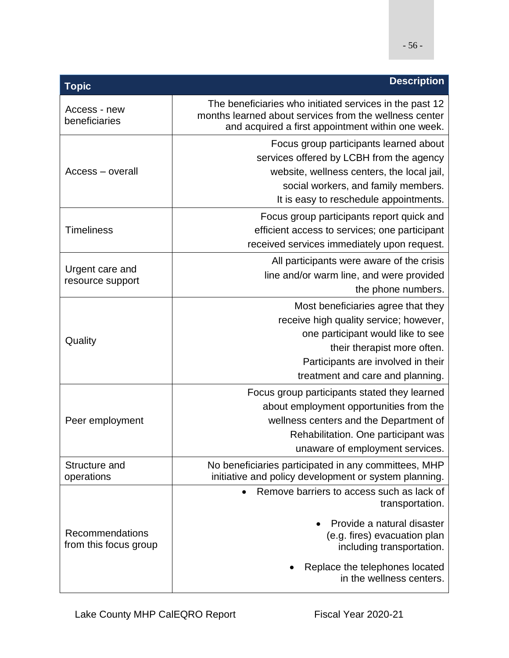| <b>Topic</b>                             | <b>Description</b>                                                                                                                                                                                                                 |
|------------------------------------------|------------------------------------------------------------------------------------------------------------------------------------------------------------------------------------------------------------------------------------|
| Access - new<br>beneficiaries            | The beneficiaries who initiated services in the past 12<br>months learned about services from the wellness center<br>and acquired a first appointment within one week.                                                             |
| Access – overall                         | Focus group participants learned about<br>services offered by LCBH from the agency<br>website, wellness centers, the local jail,<br>social workers, and family members.<br>It is easy to reschedule appointments.                  |
| <b>Timeliness</b>                        | Focus group participants report quick and<br>efficient access to services; one participant<br>received services immediately upon request.                                                                                          |
| Urgent care and<br>resource support      | All participants were aware of the crisis<br>line and/or warm line, and were provided<br>the phone numbers.                                                                                                                        |
| Quality                                  | Most beneficiaries agree that they<br>receive high quality service; however,<br>one participant would like to see<br>their therapist more often.<br>Participants are involved in their<br>treatment and care and planning.         |
| Peer employment                          | Focus group participants stated they learned<br>about employment opportunities from the<br>wellness centers and the Department of<br>Rehabilitation. One participant was<br>unaware of employment services.                        |
| Structure and<br>operations              | No beneficiaries participated in any committees, MHP<br>initiative and policy development or system planning.                                                                                                                      |
| Recommendations<br>from this focus group | Remove barriers to access such as lack of<br>$\bullet$<br>transportation.<br>Provide a natural disaster<br>(e.g. fires) evacuation plan<br>including transportation.<br>Replace the telephones located<br>in the wellness centers. |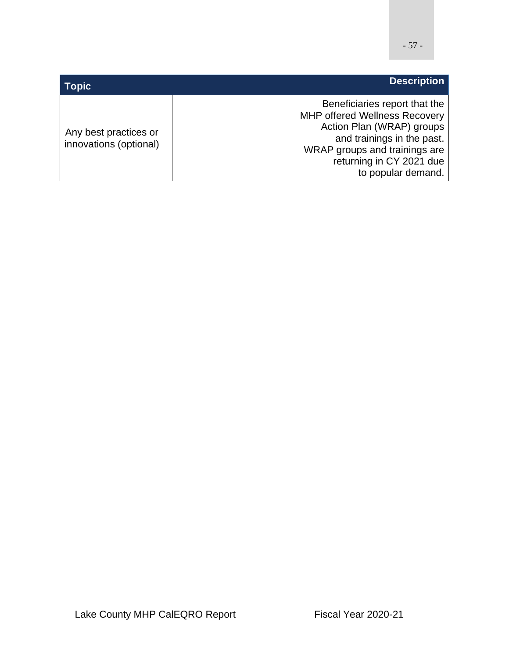| <b>Topic</b>                                    | <b>Description</b>                                                                                                                                                                                                  |
|-------------------------------------------------|---------------------------------------------------------------------------------------------------------------------------------------------------------------------------------------------------------------------|
| Any best practices or<br>innovations (optional) | Beneficiaries report that the<br><b>MHP offered Wellness Recovery</b><br>Action Plan (WRAP) groups<br>and trainings in the past.<br>WRAP groups and trainings are<br>returning in CY 2021 due<br>to popular demand. |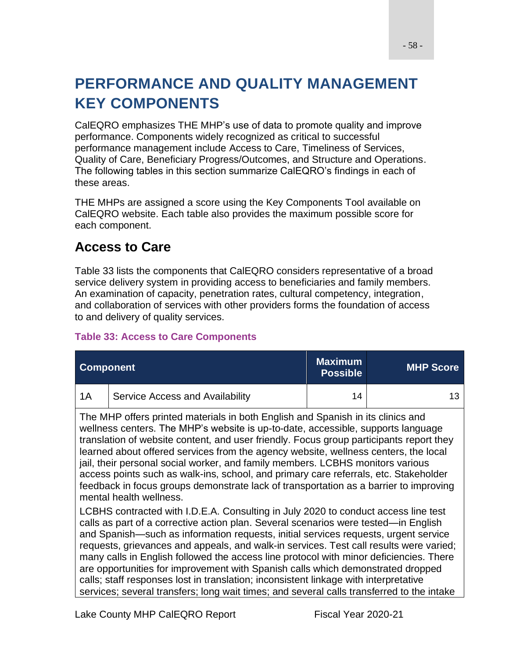# **PERFORMANCE AND QUALITY MANAGEMENT KEY COMPONENTS**

CalEQRO emphasizes THE MHP's use of data to promote quality and improve performance. Components widely recognized as critical to successful performance management include Access to Care, Timeliness of Services, Quality of Care, Beneficiary Progress/Outcomes, and Structure and Operations. The following tables in this section summarize CalEQRO's findings in each of these areas.

THE MHPs are assigned a score using the Key Components Tool available on CalEQRO website. Each table also provides the maximum possible score for each component.

## **Access to Care**

Table 33 lists the components that CalEQRO considers representative of a broad service delivery system in providing access to beneficiaries and family members. An examination of capacity, penetration rates, cultural competency, integration, and collaboration of services with other providers forms the foundation of access to and delivery of quality services.

#### **Table 33: Access to Care Components**

| <b>Component</b> |                                 | <b>Maximum</b><br><b>Possible</b> | <b>MHP Score</b> |
|------------------|---------------------------------|-----------------------------------|------------------|
| 1A               | Service Access and Availability | 14                                |                  |

The MHP offers printed materials in both English and Spanish in its clinics and wellness centers. The MHP's website is up-to-date, accessible, supports language translation of website content, and user friendly. Focus group participants report they learned about offered services from the agency website, wellness centers, the local jail, their personal social worker, and family members. LCBHS monitors various access points such as walk-ins, school, and primary care referrals, etc. Stakeholder feedback in focus groups demonstrate lack of transportation as a barrier to improving mental health wellness.

LCBHS contracted with I.D.E.A. Consulting in July 2020 to conduct access line test calls as part of a corrective action plan. Several scenarios were tested—in English and Spanish—such as information requests, initial services requests, urgent service requests, grievances and appeals, and walk-in services. Test call results were varied; many calls in English followed the access line protocol with minor deficiencies. There are opportunities for improvement with Spanish calls which demonstrated dropped calls; staff responses lost in translation; inconsistent linkage with interpretative services; several transfers; long wait times; and several calls transferred to the intake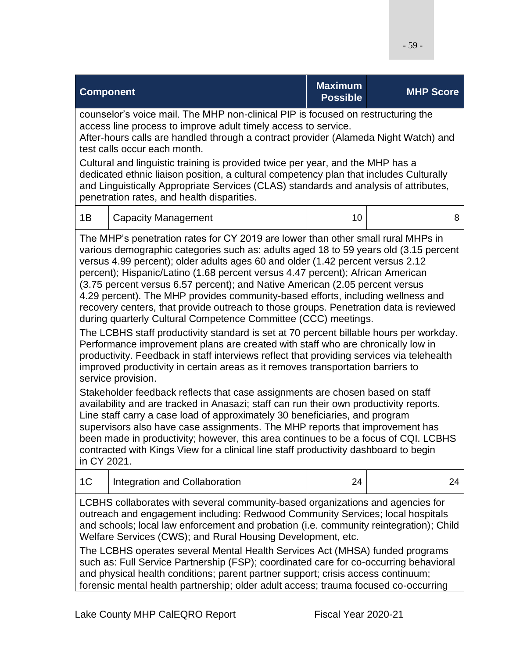| <b>Component</b>                                                                                                                                                                                                                                                                                                                                                                                                                                                                                                                                                                                                                                                                                                                                                                                                                                                                                                                                                                                                                                                                                                                                                                                                                                                                                                                                                                                                                                                                                                                                                                                      |                                                                                                                                                                                                                                                                                                                                                                                                                                                                                                                                                                                             | <b>Maximum</b><br><b>Possible</b> | <b>MHP Score</b> |  |
|-------------------------------------------------------------------------------------------------------------------------------------------------------------------------------------------------------------------------------------------------------------------------------------------------------------------------------------------------------------------------------------------------------------------------------------------------------------------------------------------------------------------------------------------------------------------------------------------------------------------------------------------------------------------------------------------------------------------------------------------------------------------------------------------------------------------------------------------------------------------------------------------------------------------------------------------------------------------------------------------------------------------------------------------------------------------------------------------------------------------------------------------------------------------------------------------------------------------------------------------------------------------------------------------------------------------------------------------------------------------------------------------------------------------------------------------------------------------------------------------------------------------------------------------------------------------------------------------------------|---------------------------------------------------------------------------------------------------------------------------------------------------------------------------------------------------------------------------------------------------------------------------------------------------------------------------------------------------------------------------------------------------------------------------------------------------------------------------------------------------------------------------------------------------------------------------------------------|-----------------------------------|------------------|--|
|                                                                                                                                                                                                                                                                                                                                                                                                                                                                                                                                                                                                                                                                                                                                                                                                                                                                                                                                                                                                                                                                                                                                                                                                                                                                                                                                                                                                                                                                                                                                                                                                       | counselor's voice mail. The MHP non-clinical PIP is focused on restructuring the<br>access line process to improve adult timely access to service.<br>After-hours calls are handled through a contract provider (Alameda Night Watch) and<br>test calls occur each month.<br>Cultural and linguistic training is provided twice per year, and the MHP has a<br>dedicated ethnic liaison position, a cultural competency plan that includes Culturally<br>and Linguistically Appropriate Services (CLAS) standards and analysis of attributes,<br>penetration rates, and health disparities. |                                   |                  |  |
| 1B                                                                                                                                                                                                                                                                                                                                                                                                                                                                                                                                                                                                                                                                                                                                                                                                                                                                                                                                                                                                                                                                                                                                                                                                                                                                                                                                                                                                                                                                                                                                                                                                    | <b>Capacity Management</b>                                                                                                                                                                                                                                                                                                                                                                                                                                                                                                                                                                  | 10                                | 8                |  |
| The MHP's penetration rates for CY 2019 are lower than other small rural MHPs in<br>various demographic categories such as: adults aged 18 to 59 years old (3.15 percent<br>versus 4.99 percent); older adults ages 60 and older (1.42 percent versus 2.12<br>percent); Hispanic/Latino (1.68 percent versus 4.47 percent); African American<br>(3.75 percent versus 6.57 percent); and Native American (2.05 percent versus<br>4.29 percent). The MHP provides community-based efforts, including wellness and<br>recovery centers, that provide outreach to those groups. Penetration data is reviewed<br>during quarterly Cultural Competence Committee (CCC) meetings.<br>The LCBHS staff productivity standard is set at 70 percent billable hours per workday.<br>Performance improvement plans are created with staff who are chronically low in<br>productivity. Feedback in staff interviews reflect that providing services via telehealth<br>improved productivity in certain areas as it removes transportation barriers to<br>service provision.<br>Stakeholder feedback reflects that case assignments are chosen based on staff<br>availability and are tracked in Anasazi; staff can run their own productivity reports.<br>Line staff carry a case load of approximately 30 beneficiaries, and program<br>supervisors also have case assignments. The MHP reports that improvement has<br>been made in productivity; however, this area continues to be a focus of CQI. LCBHS<br>contracted with Kings View for a clinical line staff productivity dashboard to begin<br>in CY 2021. |                                                                                                                                                                                                                                                                                                                                                                                                                                                                                                                                                                                             |                                   |                  |  |
| 1 <sup>C</sup>                                                                                                                                                                                                                                                                                                                                                                                                                                                                                                                                                                                                                                                                                                                                                                                                                                                                                                                                                                                                                                                                                                                                                                                                                                                                                                                                                                                                                                                                                                                                                                                        | Integration and Collaboration                                                                                                                                                                                                                                                                                                                                                                                                                                                                                                                                                               | 24                                | 24               |  |
| LCBHS collaborates with several community-based organizations and agencies for<br>outreach and engagement including: Redwood Community Services; local hospitals<br>and schools; local law enforcement and probation (i.e. community reintegration); Child<br>Welfare Services (CWS); and Rural Housing Development, etc.<br>The LCBHS operates several Mental Health Services Act (MHSA) funded programs<br>such as: Full Service Partnership (FSP); coordinated care for co-occurring behavioral<br>and physical health conditions; parent partner support; crisis access continuum;<br>forensic mental health partnership; older adult access; trauma focused co-occurring                                                                                                                                                                                                                                                                                                                                                                                                                                                                                                                                                                                                                                                                                                                                                                                                                                                                                                                         |                                                                                                                                                                                                                                                                                                                                                                                                                                                                                                                                                                                             |                                   |                  |  |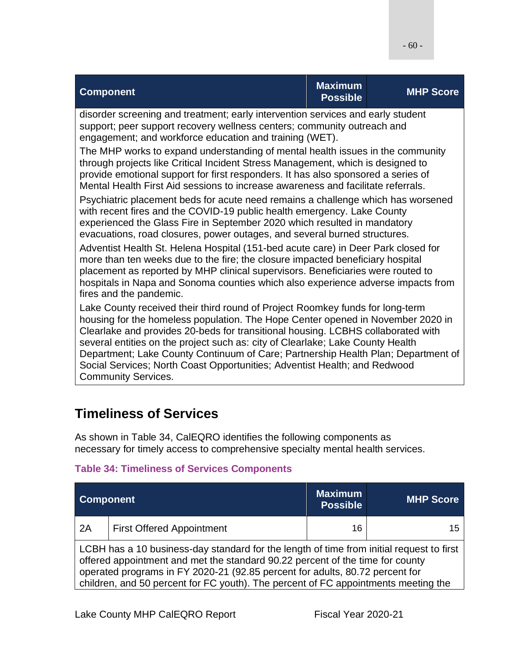| <b>Component</b>                                                                                                                                                                                                                                                                                                                                                                                                                                                                                                                       | <b>Maximum</b><br><b>Possible</b> | <b>MHP Score</b> |
|----------------------------------------------------------------------------------------------------------------------------------------------------------------------------------------------------------------------------------------------------------------------------------------------------------------------------------------------------------------------------------------------------------------------------------------------------------------------------------------------------------------------------------------|-----------------------------------|------------------|
| disorder screening and treatment; early intervention services and early student<br>support; peer support recovery wellness centers; community outreach and<br>engagement; and workforce education and training (WET).                                                                                                                                                                                                                                                                                                                  |                                   |                  |
| The MHP works to expand understanding of mental health issues in the community<br>through projects like Critical Incident Stress Management, which is designed to<br>provide emotional support for first responders. It has also sponsored a series of<br>Mental Health First Aid sessions to increase awareness and facilitate referrals.                                                                                                                                                                                             |                                   |                  |
| Psychiatric placement beds for acute need remains a challenge which has worsened<br>with recent fires and the COVID-19 public health emergency. Lake County<br>experienced the Glass Fire in September 2020 which resulted in mandatory<br>evacuations, road closures, power outages, and several burned structures.                                                                                                                                                                                                                   |                                   |                  |
| Adventist Health St. Helena Hospital (151-bed acute care) in Deer Park closed for<br>more than ten weeks due to the fire; the closure impacted beneficiary hospital<br>placement as reported by MHP clinical supervisors. Beneficiaries were routed to<br>hospitals in Napa and Sonoma counties which also experience adverse impacts from<br>fires and the pandemic.                                                                                                                                                                  |                                   |                  |
| Lake County received their third round of Project Roomkey funds for long-term<br>housing for the homeless population. The Hope Center opened in November 2020 in<br>Clearlake and provides 20-beds for transitional housing. LCBHS collaborated with<br>several entities on the project such as: city of Clearlake; Lake County Health<br>Department; Lake County Continuum of Care; Partnership Health Plan; Department of<br>Social Services; North Coast Opportunities; Adventist Health; and Redwood<br><b>Community Services.</b> |                                   |                  |

## **Timeliness of Services**

As shown in Table 34, CalEQRO identifies the following components as necessary for timely access to comprehensive specialty mental health services.

### **Table 34: Timeliness of Services Components**

| <b>Component</b>                                                                                                                                                                                                                                                                                                                                |                                  | <b>Maximum</b><br><b>Possible</b> | <b>MHP Score</b> |
|-------------------------------------------------------------------------------------------------------------------------------------------------------------------------------------------------------------------------------------------------------------------------------------------------------------------------------------------------|----------------------------------|-----------------------------------|------------------|
| 2A                                                                                                                                                                                                                                                                                                                                              | <b>First Offered Appointment</b> | 16                                | 15               |
| LCBH has a 10 business-day standard for the length of time from initial request to first<br>offered appointment and met the standard 90.22 percent of the time for county<br>operated programs in FY 2020-21 (92.85 percent for adults, 80.72 percent for<br>children, and 50 percent for FC youth). The percent of FC appointments meeting the |                                  |                                   |                  |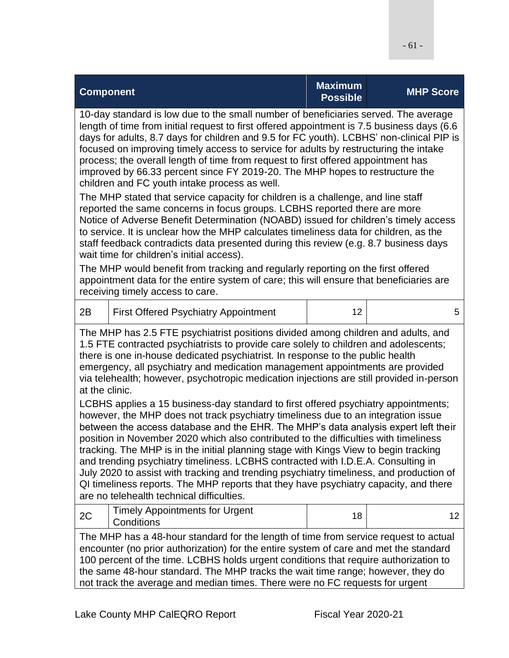|                                                                                                                                                                                                                                                                                                                                                                                                                                                                                                                                                                                                                                                                                                                                                                                                                                                                                                                                                                                                                                                                                                                                                                                                                                                                                                      | <b>Component</b>                                    | <b>Maximum</b><br><b>Possible</b> | <b>MHP Score</b> |
|------------------------------------------------------------------------------------------------------------------------------------------------------------------------------------------------------------------------------------------------------------------------------------------------------------------------------------------------------------------------------------------------------------------------------------------------------------------------------------------------------------------------------------------------------------------------------------------------------------------------------------------------------------------------------------------------------------------------------------------------------------------------------------------------------------------------------------------------------------------------------------------------------------------------------------------------------------------------------------------------------------------------------------------------------------------------------------------------------------------------------------------------------------------------------------------------------------------------------------------------------------------------------------------------------|-----------------------------------------------------|-----------------------------------|------------------|
| 10-day standard is low due to the small number of beneficiaries served. The average<br>length of time from initial request to first offered appointment is 7.5 business days (6.6<br>days for adults, 8.7 days for children and 9.5 for FC youth). LCBHS' non-clinical PIP is<br>focused on improving timely access to service for adults by restructuring the intake<br>process; the overall length of time from request to first offered appointment has<br>improved by 66.33 percent since FY 2019-20. The MHP hopes to restructure the<br>children and FC youth intake process as well.<br>The MHP stated that service capacity for children is a challenge, and line staff<br>reported the same concerns in focus groups. LCBHS reported there are more<br>Notice of Adverse Benefit Determination (NOABD) issued for children's timely access<br>to service. It is unclear how the MHP calculates timeliness data for children, as the<br>staff feedback contradicts data presented during this review (e.g. 8.7 business days<br>wait time for children's initial access).<br>The MHP would benefit from tracking and regularly reporting on the first offered<br>appointment data for the entire system of care; this will ensure that beneficiaries are<br>receiving timely access to care. |                                                     |                                   |                  |
| 2B                                                                                                                                                                                                                                                                                                                                                                                                                                                                                                                                                                                                                                                                                                                                                                                                                                                                                                                                                                                                                                                                                                                                                                                                                                                                                                   | <b>First Offered Psychiatry Appointment</b>         | 12                                | 5                |
| The MHP has 2.5 FTE psychiatrist positions divided among children and adults, and<br>1.5 FTE contracted psychiatrists to provide care solely to children and adolescents;<br>there is one in-house dedicated psychiatrist. In response to the public health<br>emergency, all psychiatry and medication management appointments are provided<br>via telehealth; however, psychotropic medication injections are still provided in-person<br>at the clinic.<br>LCBHS applies a 15 business-day standard to first offered psychiatry appointments;<br>however, the MHP does not track psychiatry timeliness due to an integration issue<br>between the access database and the EHR. The MHP's data analysis expert left their<br>position in November 2020 which also contributed to the difficulties with timeliness<br>tracking. The MHP is in the initial planning stage with Kings View to begin tracking<br>and trending psychiatry timeliness. LCBHS contracted with I.D.E.A. Consulting in<br>July 2020 to assist with tracking and trending psychiatry timeliness, and production of<br>QI timeliness reports. The MHP reports that they have psychiatry capacity, and there<br>are no telehealth technical difficulties.                                                                      |                                                     |                                   |                  |
| 2C                                                                                                                                                                                                                                                                                                                                                                                                                                                                                                                                                                                                                                                                                                                                                                                                                                                                                                                                                                                                                                                                                                                                                                                                                                                                                                   | <b>Timely Appointments for Urgent</b><br>Conditions | 18                                | 12               |
| The MHP has a 48-hour standard for the length of time from service request to actual<br>encounter (no prior authorization) for the entire system of care and met the standard<br>100 percent of the time. LCBHS holds urgent conditions that require authorization to<br>the same 48-hour standard. The MHP tracks the wait time range; however, they do                                                                                                                                                                                                                                                                                                                                                                                                                                                                                                                                                                                                                                                                                                                                                                                                                                                                                                                                             |                                                     |                                   |                  |

not track the average and median times. There were no FC requests for urgent

- 61 -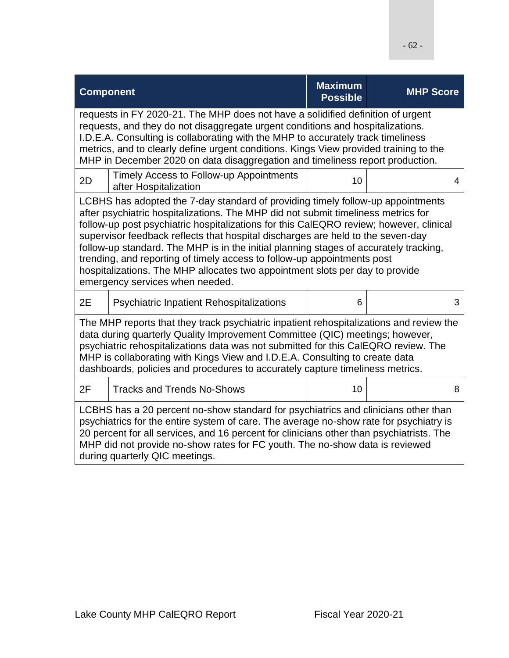| <b>Component</b>                                                                                                                                                                                                                                                                                                                                                                                                                                                                                                                                                                                                                         |                                                                  | <b>Maximum</b><br><b>Possible</b> | <b>MHP Score</b> |  |
|------------------------------------------------------------------------------------------------------------------------------------------------------------------------------------------------------------------------------------------------------------------------------------------------------------------------------------------------------------------------------------------------------------------------------------------------------------------------------------------------------------------------------------------------------------------------------------------------------------------------------------------|------------------------------------------------------------------|-----------------------------------|------------------|--|
| requests in FY 2020-21. The MHP does not have a solidified definition of urgent<br>requests, and they do not disaggregate urgent conditions and hospitalizations.<br>I.D.E.A. Consulting is collaborating with the MHP to accurately track timeliness<br>metrics, and to clearly define urgent conditions. Kings View provided training to the<br>MHP in December 2020 on data disaggregation and timeliness report production.                                                                                                                                                                                                          |                                                                  |                                   |                  |  |
| 2D                                                                                                                                                                                                                                                                                                                                                                                                                                                                                                                                                                                                                                       | Timely Access to Follow-up Appointments<br>after Hospitalization | 10                                | 4                |  |
| LCBHS has adopted the 7-day standard of providing timely follow-up appointments<br>after psychiatric hospitalizations. The MHP did not submit timeliness metrics for<br>follow-up post psychiatric hospitalizations for this CalEQRO review; however, clinical<br>supervisor feedback reflects that hospital discharges are held to the seven-day<br>follow-up standard. The MHP is in the initial planning stages of accurately tracking,<br>trending, and reporting of timely access to follow-up appointments post<br>hospitalizations. The MHP allocates two appointment slots per day to provide<br>emergency services when needed. |                                                                  |                                   |                  |  |
| 2E                                                                                                                                                                                                                                                                                                                                                                                                                                                                                                                                                                                                                                       | <b>Psychiatric Inpatient Rehospitalizations</b>                  | 6                                 | 3                |  |
| The MHP reports that they track psychiatric inpatient rehospitalizations and review the<br>data during quarterly Quality Improvement Committee (QIC) meetings; however,<br>psychiatric rehospitalizations data was not submitted for this CalEQRO review. The<br>MHP is collaborating with Kings View and I.D.E.A. Consulting to create data<br>dashboards, policies and procedures to accurately capture timeliness metrics.                                                                                                                                                                                                            |                                                                  |                                   |                  |  |
| 2F                                                                                                                                                                                                                                                                                                                                                                                                                                                                                                                                                                                                                                       | <b>Tracks and Trends No-Shows</b>                                | 10                                | 8                |  |
| LCBHS has a 20 percent no-show standard for psychiatrics and clinicians other than<br>psychiatrics for the entire system of care. The average no-show rate for psychiatry is<br>20 percent for all services, and 16 percent for clinicians other than psychiatrists. The<br>MHP did not provide no-show rates for FC youth. The no-show data is reviewed<br>during quarterly QIC meetings.                                                                                                                                                                                                                                               |                                                                  |                                   |                  |  |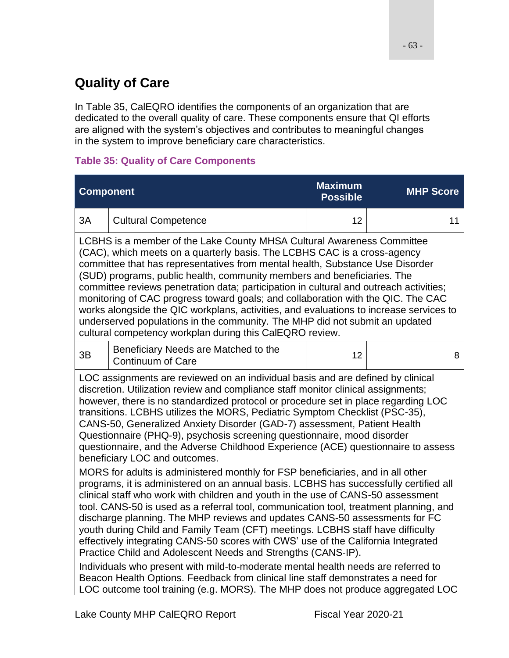# **Quality of Care**

In Table 35, CalEQRO identifies the components of an organization that are dedicated to the overall quality of care. These components ensure that QI efforts are aligned with the system's objectives and contributes to meaningful changes in the system to improve beneficiary care characteristics.

### **Table 35: Quality of Care Components**

| <b>Component</b>                                                                                                                                                                                                                                                                                                                                                                                                                                                                                                                                                                                                                                                                                                                  |                                                                                                                                                                                                                                                                                                                                                                                                                                                                                                                                                                                                                                                                            | <b>Maximum</b><br><b>Possible</b> | <b>MHP Score</b> |
|-----------------------------------------------------------------------------------------------------------------------------------------------------------------------------------------------------------------------------------------------------------------------------------------------------------------------------------------------------------------------------------------------------------------------------------------------------------------------------------------------------------------------------------------------------------------------------------------------------------------------------------------------------------------------------------------------------------------------------------|----------------------------------------------------------------------------------------------------------------------------------------------------------------------------------------------------------------------------------------------------------------------------------------------------------------------------------------------------------------------------------------------------------------------------------------------------------------------------------------------------------------------------------------------------------------------------------------------------------------------------------------------------------------------------|-----------------------------------|------------------|
| 3A                                                                                                                                                                                                                                                                                                                                                                                                                                                                                                                                                                                                                                                                                                                                | <b>Cultural Competence</b>                                                                                                                                                                                                                                                                                                                                                                                                                                                                                                                                                                                                                                                 | 12                                | 11               |
| LCBHS is a member of the Lake County MHSA Cultural Awareness Committee<br>(CAC), which meets on a quarterly basis. The LCBHS CAC is a cross-agency<br>committee that has representatives from mental health, Substance Use Disorder<br>(SUD) programs, public health, community members and beneficiaries. The<br>committee reviews penetration data; participation in cultural and outreach activities;<br>monitoring of CAC progress toward goals; and collaboration with the QIC. The CAC<br>works alongside the QIC workplans, activities, and evaluations to increase services to<br>underserved populations in the community. The MHP did not submit an updated<br>cultural competency workplan during this CalEQRO review. |                                                                                                                                                                                                                                                                                                                                                                                                                                                                                                                                                                                                                                                                            |                                   |                  |
| 3B                                                                                                                                                                                                                                                                                                                                                                                                                                                                                                                                                                                                                                                                                                                                | Beneficiary Needs are Matched to the<br><b>Continuum of Care</b>                                                                                                                                                                                                                                                                                                                                                                                                                                                                                                                                                                                                           | 12                                | 8                |
| LOC assignments are reviewed on an individual basis and are defined by clinical<br>discretion. Utilization review and compliance staff monitor clinical assignments;<br>however, there is no standardized protocol or procedure set in place regarding LOC<br>transitions. LCBHS utilizes the MORS, Pediatric Symptom Checklist (PSC-35),<br>CANS-50, Generalized Anxiety Disorder (GAD-7) assessment, Patient Health<br>Questionnaire (PHQ-9), psychosis screening questionnaire, mood disorder<br>questionnaire, and the Adverse Childhood Experience (ACE) questionnaire to assess<br>beneficiary LOC and outcomes.                                                                                                            |                                                                                                                                                                                                                                                                                                                                                                                                                                                                                                                                                                                                                                                                            |                                   |                  |
|                                                                                                                                                                                                                                                                                                                                                                                                                                                                                                                                                                                                                                                                                                                                   | MORS for adults is administered monthly for FSP beneficiaries, and in all other<br>programs, it is administered on an annual basis. LCBHS has successfully certified all<br>clinical staff who work with children and youth in the use of CANS-50 assessment<br>tool. CANS-50 is used as a referral tool, communication tool, treatment planning, and<br>discharge planning. The MHP reviews and updates CANS-50 assessments for FC<br>youth during Child and Family Team (CFT) meetings. LCBHS staff have difficulty<br>effectively integrating CANS-50 scores with CWS' use of the California Integrated<br>Practice Child and Adolescent Needs and Strengths (CANS-IP). |                                   |                  |
| Individuals who present with mild-to-moderate mental health needs are referred to<br>Beacon Health Options. Feedback from clinical line staff demonstrates a need for<br>LOC outcome tool training (e.g. MORS). The MHP does not produce aggregated LOC                                                                                                                                                                                                                                                                                                                                                                                                                                                                           |                                                                                                                                                                                                                                                                                                                                                                                                                                                                                                                                                                                                                                                                            |                                   |                  |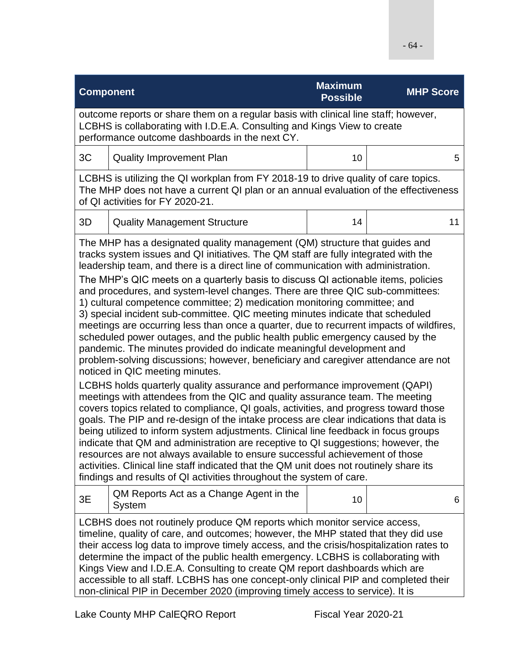| <b>Component</b>                                                                                                                                                                                                                                                                                                                                                                                                                                                                                                                                                                                                                                                                                                                                                                                                                                                                                                                                                                                                                                                                                                                                                                                                                                                                                                                                                                                                                                                                                                                                                                                                                                                                                                                                        |                                                                                                                                                                                                                                      | <b>Maximum</b> | <b>MHP Score</b> |  |  |
|---------------------------------------------------------------------------------------------------------------------------------------------------------------------------------------------------------------------------------------------------------------------------------------------------------------------------------------------------------------------------------------------------------------------------------------------------------------------------------------------------------------------------------------------------------------------------------------------------------------------------------------------------------------------------------------------------------------------------------------------------------------------------------------------------------------------------------------------------------------------------------------------------------------------------------------------------------------------------------------------------------------------------------------------------------------------------------------------------------------------------------------------------------------------------------------------------------------------------------------------------------------------------------------------------------------------------------------------------------------------------------------------------------------------------------------------------------------------------------------------------------------------------------------------------------------------------------------------------------------------------------------------------------------------------------------------------------------------------------------------------------|--------------------------------------------------------------------------------------------------------------------------------------------------------------------------------------------------------------------------------------|----------------|------------------|--|--|
|                                                                                                                                                                                                                                                                                                                                                                                                                                                                                                                                                                                                                                                                                                                                                                                                                                                                                                                                                                                                                                                                                                                                                                                                                                                                                                                                                                                                                                                                                                                                                                                                                                                                                                                                                         | <b>Possible</b><br>outcome reports or share them on a regular basis with clinical line staff; however,<br>LCBHS is collaborating with I.D.E.A. Consulting and Kings View to create<br>performance outcome dashboards in the next CY. |                |                  |  |  |
| 3C                                                                                                                                                                                                                                                                                                                                                                                                                                                                                                                                                                                                                                                                                                                                                                                                                                                                                                                                                                                                                                                                                                                                                                                                                                                                                                                                                                                                                                                                                                                                                                                                                                                                                                                                                      | <b>Quality Improvement Plan</b>                                                                                                                                                                                                      | 10             | 5                |  |  |
|                                                                                                                                                                                                                                                                                                                                                                                                                                                                                                                                                                                                                                                                                                                                                                                                                                                                                                                                                                                                                                                                                                                                                                                                                                                                                                                                                                                                                                                                                                                                                                                                                                                                                                                                                         | LCBHS is utilizing the QI workplan from FY 2018-19 to drive quality of care topics.<br>The MHP does not have a current QI plan or an annual evaluation of the effectiveness<br>of QI activities for FY 2020-21.                      |                |                  |  |  |
| 3D                                                                                                                                                                                                                                                                                                                                                                                                                                                                                                                                                                                                                                                                                                                                                                                                                                                                                                                                                                                                                                                                                                                                                                                                                                                                                                                                                                                                                                                                                                                                                                                                                                                                                                                                                      | <b>Quality Management Structure</b>                                                                                                                                                                                                  | 14             | 11               |  |  |
| The MHP has a designated quality management (QM) structure that guides and<br>tracks system issues and QI initiatives. The QM staff are fully integrated with the<br>leadership team, and there is a direct line of communication with administration.<br>The MHP's QIC meets on a quarterly basis to discuss QI actionable items, policies<br>and procedures, and system-level changes. There are three QIC sub-committees:<br>1) cultural competence committee; 2) medication monitoring committee; and<br>3) special incident sub-committee. QIC meeting minutes indicate that scheduled<br>meetings are occurring less than once a quarter, due to recurrent impacts of wildfires,<br>scheduled power outages, and the public health public emergency caused by the<br>pandemic. The minutes provided do indicate meaningful development and<br>problem-solving discussions; however, beneficiary and caregiver attendance are not<br>noticed in QIC meeting minutes.<br>LCBHS holds quarterly quality assurance and performance improvement (QAPI)<br>meetings with attendees from the QIC and quality assurance team. The meeting<br>covers topics related to compliance, QI goals, activities, and progress toward those<br>goals. The PIP and re-design of the intake process are clear indications that data is<br>being utilized to inform system adjustments. Clinical line feedback in focus groups<br>indicate that QM and administration are receptive to QI suggestions; however, the<br>resources are not always available to ensure successful achievement of those<br>activities. Clinical line staff indicated that the QM unit does not routinely share its<br>findings and results of QI activities throughout the system of care. |                                                                                                                                                                                                                                      |                |                  |  |  |
| 3E                                                                                                                                                                                                                                                                                                                                                                                                                                                                                                                                                                                                                                                                                                                                                                                                                                                                                                                                                                                                                                                                                                                                                                                                                                                                                                                                                                                                                                                                                                                                                                                                                                                                                                                                                      | QM Reports Act as a Change Agent in the<br><b>System</b>                                                                                                                                                                             | 10             | 6                |  |  |
| LCBHS does not routinely produce QM reports which monitor service access,<br>timeline, quality of care, and outcomes; however, the MHP stated that they did use<br>their access log data to improve timely access, and the crisis/hospitalization rates to<br>determine the impact of the public health emergency. LCBHS is collaborating with<br>Kings View and I.D.E.A. Consulting to create QM report dashboards which are<br>accessible to all staff. LCBHS has one concept-only clinical PIP and completed their<br>non-clinical PIP in December 2020 (improving timely access to service). It is                                                                                                                                                                                                                                                                                                                                                                                                                                                                                                                                                                                                                                                                                                                                                                                                                                                                                                                                                                                                                                                                                                                                                  |                                                                                                                                                                                                                                      |                |                  |  |  |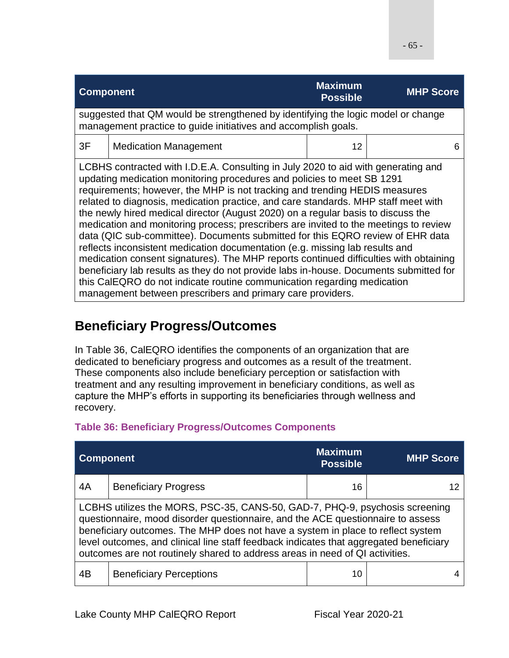| <b>Component</b>                                                                                                                                                                                                                                                                                                                                                                                                                                                                                                                                                                                                                                                                                                                                                                                                                                                                                                                           |                              | <b>Maximum</b><br><b>Possible</b> | <b>MHP Score</b> |
|--------------------------------------------------------------------------------------------------------------------------------------------------------------------------------------------------------------------------------------------------------------------------------------------------------------------------------------------------------------------------------------------------------------------------------------------------------------------------------------------------------------------------------------------------------------------------------------------------------------------------------------------------------------------------------------------------------------------------------------------------------------------------------------------------------------------------------------------------------------------------------------------------------------------------------------------|------------------------------|-----------------------------------|------------------|
| suggested that QM would be strengthened by identifying the logic model or change<br>management practice to guide initiatives and accomplish goals.                                                                                                                                                                                                                                                                                                                                                                                                                                                                                                                                                                                                                                                                                                                                                                                         |                              |                                   |                  |
| 3F                                                                                                                                                                                                                                                                                                                                                                                                                                                                                                                                                                                                                                                                                                                                                                                                                                                                                                                                         | <b>Medication Management</b> | 12                                | 6                |
| LCBHS contracted with I.D.E.A. Consulting in July 2020 to aid with generating and<br>updating medication monitoring procedures and policies to meet SB 1291<br>requirements; however, the MHP is not tracking and trending HEDIS measures<br>related to diagnosis, medication practice, and care standards. MHP staff meet with<br>the newly hired medical director (August 2020) on a regular basis to discuss the<br>medication and monitoring process; prescribers are invited to the meetings to review<br>data (QIC sub-committee). Documents submitted for this EQRO review of EHR data<br>reflects inconsistent medication documentation (e.g. missing lab results and<br>medication consent signatures). The MHP reports continued difficulties with obtaining<br>beneficiary lab results as they do not provide labs in-house. Documents submitted for<br>this CalEQRO do not indicate routine communication regarding medication |                              |                                   |                  |

# **Beneficiary Progress/Outcomes**

In Table 36, CalEQRO identifies the components of an organization that are dedicated to beneficiary progress and outcomes as a result of the treatment. These components also include beneficiary perception or satisfaction with treatment and any resulting improvement in beneficiary conditions, as well as capture the MHP's efforts in supporting its beneficiaries through wellness and recovery.

### **Table 36: Beneficiary Progress/Outcomes Components**

| <b>Component</b>                                                                                                                                                                                                                                                                                                                                                                                                            |                                | <b>Maximum</b><br><b>Possible</b> | <b>MHP Score</b> |
|-----------------------------------------------------------------------------------------------------------------------------------------------------------------------------------------------------------------------------------------------------------------------------------------------------------------------------------------------------------------------------------------------------------------------------|--------------------------------|-----------------------------------|------------------|
| 4A                                                                                                                                                                                                                                                                                                                                                                                                                          | <b>Beneficiary Progress</b>    | 16                                |                  |
| LCBHS utilizes the MORS, PSC-35, CANS-50, GAD-7, PHQ-9, psychosis screening<br>questionnaire, mood disorder questionnaire, and the ACE questionnaire to assess<br>beneficiary outcomes. The MHP does not have a system in place to reflect system<br>level outcomes, and clinical line staff feedback indicates that aggregated beneficiary<br>outcomes are not routinely shared to address areas in need of QI activities. |                                |                                   |                  |
| 4B                                                                                                                                                                                                                                                                                                                                                                                                                          | <b>Beneficiary Perceptions</b> | 10                                |                  |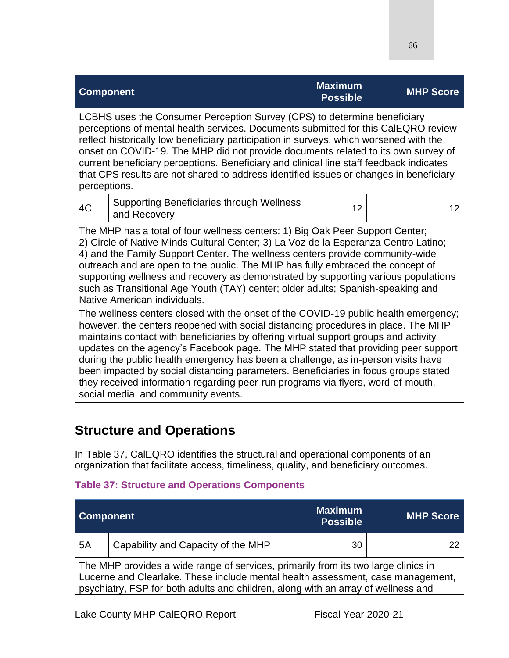|                                                                                                                                                                                                                                                                                                                                                                                                                                                                                                                                                                                                                                                              | <b>Component</b>                                                 | <b>Maximum</b><br><b>Possible</b> | <b>MHP Score</b> |  |
|--------------------------------------------------------------------------------------------------------------------------------------------------------------------------------------------------------------------------------------------------------------------------------------------------------------------------------------------------------------------------------------------------------------------------------------------------------------------------------------------------------------------------------------------------------------------------------------------------------------------------------------------------------------|------------------------------------------------------------------|-----------------------------------|------------------|--|
| LCBHS uses the Consumer Perception Survey (CPS) to determine beneficiary<br>perceptions of mental health services. Documents submitted for this CalEQRO review<br>reflect historically low beneficiary participation in surveys, which worsened with the<br>onset on COVID-19. The MHP did not provide documents related to its own survey of<br>current beneficiary perceptions. Beneficiary and clinical line staff feedback indicates<br>that CPS results are not shared to address identified issues or changes in beneficiary<br>perceptions.                                                                                                           |                                                                  |                                   |                  |  |
| 4C                                                                                                                                                                                                                                                                                                                                                                                                                                                                                                                                                                                                                                                           | <b>Supporting Beneficiaries through Wellness</b><br>and Recovery | 12                                | 12               |  |
| The MHP has a total of four wellness centers: 1) Big Oak Peer Support Center;<br>2) Circle of Native Minds Cultural Center; 3) La Voz de la Esperanza Centro Latino;<br>4) and the Family Support Center. The wellness centers provide community-wide<br>outreach and are open to the public. The MHP has fully embraced the concept of<br>supporting wellness and recovery as demonstrated by supporting various populations<br>such as Transitional Age Youth (TAY) center; older adults; Spanish-speaking and<br>Native American individuals.                                                                                                             |                                                                  |                                   |                  |  |
| The wellness centers closed with the onset of the COVID-19 public health emergency;<br>however, the centers reopened with social distancing procedures in place. The MHP<br>maintains contact with beneficiaries by offering virtual support groups and activity<br>updates on the agency's Facebook page. The MHP stated that providing peer support<br>during the public health emergency has been a challenge, as in-person visits have<br>been impacted by social distancing parameters. Beneficiaries in focus groups stated<br>they received information regarding peer-run programs via flyers, word-of-mouth,<br>social media, and community events. |                                                                  |                                   |                  |  |

## **Structure and Operations**

In Table 37, CalEQRO identifies the structural and operational components of an organization that facilitate access, timeliness, quality, and beneficiary outcomes.

#### **Table 37: Structure and Operations Components**

| <b>Component</b>                                                                                                                                                                                                                                           |                                    | <b>Maximum</b><br><b>Possible</b> | <b>MHP Score</b> |
|------------------------------------------------------------------------------------------------------------------------------------------------------------------------------------------------------------------------------------------------------------|------------------------------------|-----------------------------------|------------------|
| 5A                                                                                                                                                                                                                                                         | Capability and Capacity of the MHP | 30                                |                  |
| The MHP provides a wide range of services, primarily from its two large clinics in<br>Lucerne and Clearlake. These include mental health assessment, case management,<br>psychiatry, FSP for both adults and children, along with an array of wellness and |                                    |                                   |                  |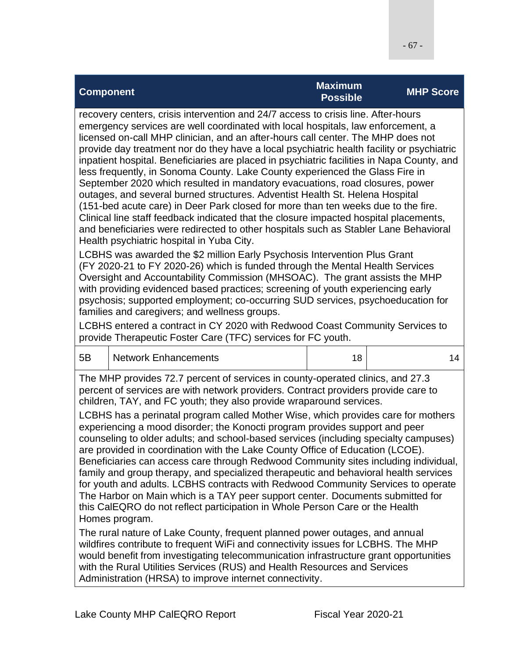| <b>Component</b>                                                                  | <b>Maximum</b><br><b>Possible</b> | <b>MHP Score</b> |
|-----------------------------------------------------------------------------------|-----------------------------------|------------------|
| recovery centers, crisis intervention and 24/7 access to crisis line. After-hours |                                   |                  |

emergency services are well coordinated with local hospitals, law enforcement, a licensed on-call MHP clinician, and an after-hours call center. The MHP does not provide day treatment nor do they have a local psychiatric health facility or psychiatric inpatient hospital. Beneficiaries are placed in psychiatric facilities in Napa County, and less frequently, in Sonoma County. Lake County experienced the Glass Fire in September 2020 which resulted in mandatory evacuations, road closures, power outages, and several burned structures. Adventist Health St. Helena Hospital (151-bed acute care) in Deer Park closed for more than ten weeks due to the fire. Clinical line staff feedback indicated that the closure impacted hospital placements, and beneficiaries were redirected to other hospitals such as Stabler Lane Behavioral Health psychiatric hospital in Yuba City.

LCBHS was awarded the \$2 million Early Psychosis Intervention Plus Grant (FY 2020-21 to FY 2020-26) which is funded through the Mental Health Services Oversight and Accountability Commission (MHSOAC). The grant assists the MHP with providing evidenced based practices; screening of youth experiencing early psychosis; supported employment; co-occurring SUD services, psychoeducation for families and caregivers; and wellness groups.

LCBHS entered a contract in CY 2020 with Redwood Coast Community Services to provide Therapeutic Foster Care (TFC) services for FC youth.

| 5B | Network Enhancements |  |
|----|----------------------|--|
|    |                      |  |

The MHP provides 72.7 percent of services in county-operated clinics, and 27.3 percent of services are with network providers. Contract providers provide care to children, TAY, and FC youth; they also provide wraparound services.

LCBHS has a perinatal program called Mother Wise, which provides care for mothers experiencing a mood disorder; the Konocti program provides support and peer counseling to older adults; and school-based services (including specialty campuses) are provided in coordination with the Lake County Office of Education (LCOE). Beneficiaries can access care through Redwood Community sites including individual, family and group therapy, and specialized therapeutic and behavioral health services for youth and adults. LCBHS contracts with Redwood Community Services to operate The Harbor on Main which is a TAY peer support center. Documents submitted for this CalEQRO do not reflect participation in Whole Person Care or the Health Homes program.

The rural nature of Lake County, frequent planned power outages, and annual wildfires contribute to frequent WiFi and connectivity issues for LCBHS. The MHP would benefit from investigating telecommunication infrastructure grant opportunities with the Rural Utilities Services (RUS) and Health Resources and Services Administration (HRSA) to improve internet connectivity.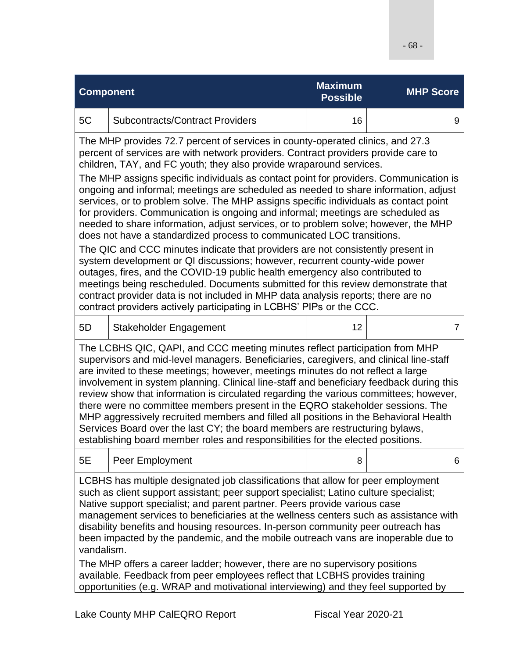| <b>Component</b>                                                                                                                                                                                                                                                                                                                                                                                                                                                                                                                                                                                                                                                                                                                                                                                                                                                                                                                                                                                                                                                                                                                                                                                                                                                         |                                        | <b>Maximum</b><br><b>Possible</b> | <b>MHP Score</b> |  |
|--------------------------------------------------------------------------------------------------------------------------------------------------------------------------------------------------------------------------------------------------------------------------------------------------------------------------------------------------------------------------------------------------------------------------------------------------------------------------------------------------------------------------------------------------------------------------------------------------------------------------------------------------------------------------------------------------------------------------------------------------------------------------------------------------------------------------------------------------------------------------------------------------------------------------------------------------------------------------------------------------------------------------------------------------------------------------------------------------------------------------------------------------------------------------------------------------------------------------------------------------------------------------|----------------------------------------|-----------------------------------|------------------|--|
| 5C                                                                                                                                                                                                                                                                                                                                                                                                                                                                                                                                                                                                                                                                                                                                                                                                                                                                                                                                                                                                                                                                                                                                                                                                                                                                       | <b>Subcontracts/Contract Providers</b> | 16                                | 9                |  |
| The MHP provides 72.7 percent of services in county-operated clinics, and 27.3<br>percent of services are with network providers. Contract providers provide care to<br>children, TAY, and FC youth; they also provide wraparound services.<br>The MHP assigns specific individuals as contact point for providers. Communication is<br>ongoing and informal; meetings are scheduled as needed to share information, adjust<br>services, or to problem solve. The MHP assigns specific individuals as contact point<br>for providers. Communication is ongoing and informal; meetings are scheduled as<br>needed to share information, adjust services, or to problem solve; however, the MHP<br>does not have a standardized process to communicated LOC transitions.<br>The QIC and CCC minutes indicate that providers are not consistently present in<br>system development or QI discussions; however, recurrent county-wide power<br>outages, fires, and the COVID-19 public health emergency also contributed to<br>meetings being rescheduled. Documents submitted for this review demonstrate that<br>contract provider data is not included in MHP data analysis reports; there are no<br>contract providers actively participating in LCBHS' PIPs or the CCC. |                                        |                                   |                  |  |
| 5D                                                                                                                                                                                                                                                                                                                                                                                                                                                                                                                                                                                                                                                                                                                                                                                                                                                                                                                                                                                                                                                                                                                                                                                                                                                                       | Stakeholder Engagement                 | 12                                | $\overline{7}$   |  |
| The LCBHS QIC, QAPI, and CCC meeting minutes reflect participation from MHP<br>supervisors and mid-level managers. Beneficiaries, caregivers, and clinical line-staff<br>are invited to these meetings; however, meetings minutes do not reflect a large<br>involvement in system planning. Clinical line-staff and beneficiary feedback during this<br>review show that information is circulated regarding the various committees; however,<br>there were no committee members present in the EQRO stakeholder sessions. The<br>MHP aggressively recruited members and filled all positions in the Behavioral Health<br>Services Board over the last CY; the board members are restructuring bylaws,<br>establishing board member roles and responsibilities for the elected positions.                                                                                                                                                                                                                                                                                                                                                                                                                                                                                |                                        |                                   |                  |  |
| 5Ε                                                                                                                                                                                                                                                                                                                                                                                                                                                                                                                                                                                                                                                                                                                                                                                                                                                                                                                                                                                                                                                                                                                                                                                                                                                                       | Peer Employment                        | 8                                 | 6                |  |
| LCBHS has multiple designated job classifications that allow for peer employment<br>such as client support assistant; peer support specialist; Latino culture specialist;<br>Native support specialist; and parent partner. Peers provide various case<br>management services to beneficiaries at the wellness centers such as assistance with<br>disability benefits and housing resources. In-person community peer outreach has<br>been impacted by the pandemic, and the mobile outreach vans are inoperable due to<br>vandalism.<br>The MHP offers a career ladder; however, there are no supervisory positions<br>available. Feedback from peer employees reflect that LCBHS provides training<br>opportunities (e.g. WRAP and motivational interviewing) and they feel supported by                                                                                                                                                                                                                                                                                                                                                                                                                                                                               |                                        |                                   |                  |  |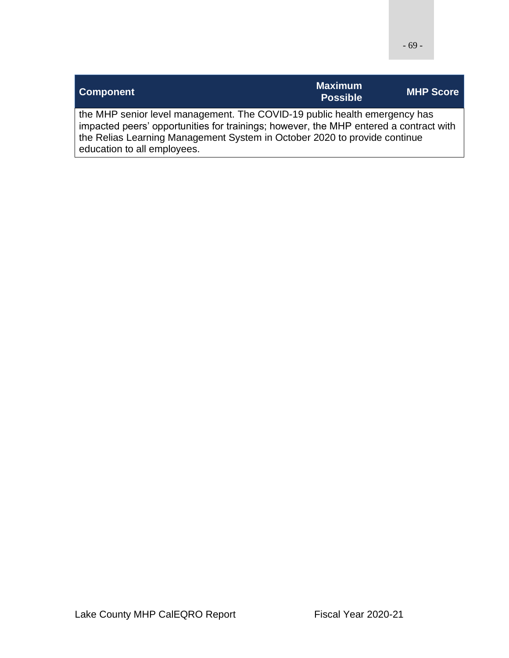|--|--|

| <b>Component</b>                                                                                                                                                                                                                                                               | <b>Maximum</b><br><b>Possible</b> | <b>MHP Score</b> |
|--------------------------------------------------------------------------------------------------------------------------------------------------------------------------------------------------------------------------------------------------------------------------------|-----------------------------------|------------------|
| the MHP senior level management. The COVID-19 public health emergency has<br>impacted peers' opportunities for trainings; however, the MHP entered a contract with<br>the Relias Learning Management System in October 2020 to provide continue<br>education to all employees. |                                   |                  |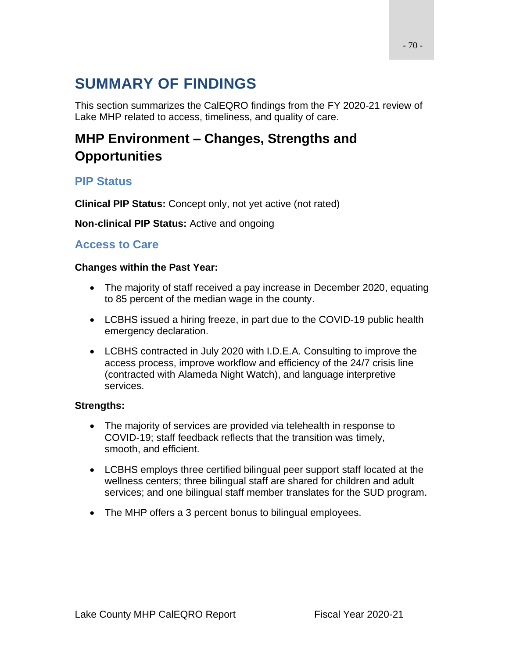# **SUMMARY OF FINDINGS**

This section summarizes the CalEQRO findings from the FY 2020-21 review of Lake MHP related to access, timeliness, and quality of care.

# **MHP Environment – Changes, Strengths and Opportunities**

### **PIP Status**

**Clinical PIP Status:** Concept only, not yet active (not rated)

**Non-clinical PIP Status:** Active and ongoing

### **Access to Care**

#### **Changes within the Past Year:**

- The majority of staff received a pay increase in December 2020, equating to 85 percent of the median wage in the county.
- LCBHS issued a hiring freeze, in part due to the COVID-19 public health emergency declaration.
- LCBHS contracted in July 2020 with I.D.E.A. Consulting to improve the access process, improve workflow and efficiency of the 24/7 crisis line (contracted with Alameda Night Watch), and language interpretive services.

#### **Strengths:**

- The majority of services are provided via telehealth in response to COVID-19; staff feedback reflects that the transition was timely, smooth, and efficient.
- LCBHS employs three certified bilingual peer support staff located at the wellness centers; three bilingual staff are shared for children and adult services; and one bilingual staff member translates for the SUD program.
- The MHP offers a 3 percent bonus to bilingual employees.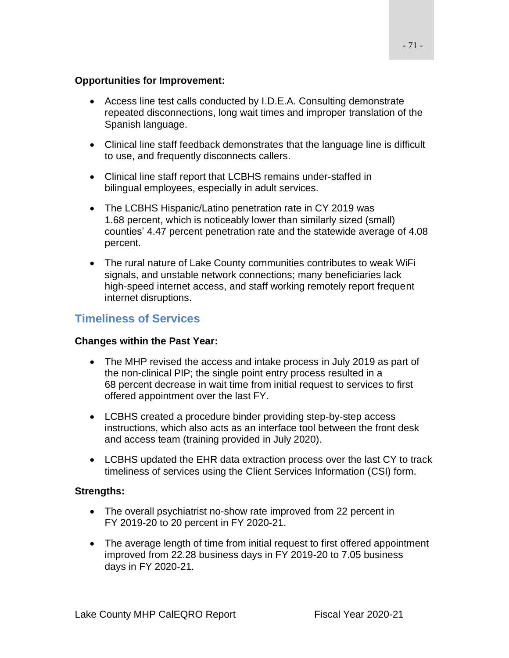#### **Opportunities for Improvement:**

- Access line test calls conducted by I.D.E.A. Consulting demonstrate repeated disconnections, long wait times and improper translation of the Spanish language.
- Clinical line staff feedback demonstrates that the language line is difficult to use, and frequently disconnects callers.
- Clinical line staff report that LCBHS remains under-staffed in bilingual employees, especially in adult services.
- The LCBHS Hispanic/Latino penetration rate in CY 2019 was 1.68 percent, which is noticeably lower than similarly sized (small) counties' 4.47 percent penetration rate and the statewide average of 4.08 percent.
- The rural nature of Lake County communities contributes to weak WiFi signals, and unstable network connections; many beneficiaries lack high-speed internet access, and staff working remotely report frequent internet disruptions.

### **Timeliness of Services**

#### **Changes within the Past Year:**

- The MHP revised the access and intake process in July 2019 as part of the non-clinical PIP; the single point entry process resulted in a 68 percent decrease in wait time from initial request to services to first offered appointment over the last FY.
- LCBHS created a procedure binder providing step-by-step access instructions, which also acts as an interface tool between the front desk and access team (training provided in July 2020).
- LCBHS updated the EHR data extraction process over the last CY to track timeliness of services using the Client Services Information (CSI) form.

#### **Strengths:**

- The overall psychiatrist no-show rate improved from 22 percent in FY 2019-20 to 20 percent in FY 2020-21.
- The average length of time from initial request to first offered appointment improved from 22.28 business days in FY 2019-20 to 7.05 business days in FY 2020-21.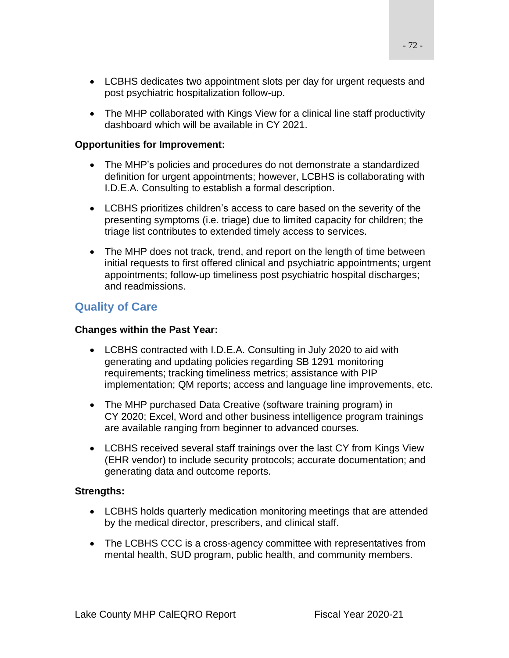- LCBHS dedicates two appointment slots per day for urgent requests and post psychiatric hospitalization follow-up.
- The MHP collaborated with Kings View for a clinical line staff productivity dashboard which will be available in CY 2021.

#### **Opportunities for Improvement:**

- The MHP's policies and procedures do not demonstrate a standardized definition for urgent appointments; however, LCBHS is collaborating with I.D.E.A. Consulting to establish a formal description.
- LCBHS prioritizes children's access to care based on the severity of the presenting symptoms (i.e. triage) due to limited capacity for children; the triage list contributes to extended timely access to services.
- The MHP does not track, trend, and report on the length of time between initial requests to first offered clinical and psychiatric appointments; urgent appointments; follow-up timeliness post psychiatric hospital discharges; and readmissions.

### **Quality of Care**

#### **Changes within the Past Year:**

- LCBHS contracted with I.D.E.A. Consulting in July 2020 to aid with generating and updating policies regarding SB 1291 monitoring requirements; tracking timeliness metrics; assistance with PIP implementation; QM reports; access and language line improvements, etc.
- The MHP purchased Data Creative (software training program) in CY 2020; Excel, Word and other business intelligence program trainings are available ranging from beginner to advanced courses.
- LCBHS received several staff trainings over the last CY from Kings View (EHR vendor) to include security protocols; accurate documentation; and generating data and outcome reports.

#### **Strengths:**

- LCBHS holds quarterly medication monitoring meetings that are attended by the medical director, prescribers, and clinical staff.
- The LCBHS CCC is a cross-agency committee with representatives from mental health, SUD program, public health, and community members.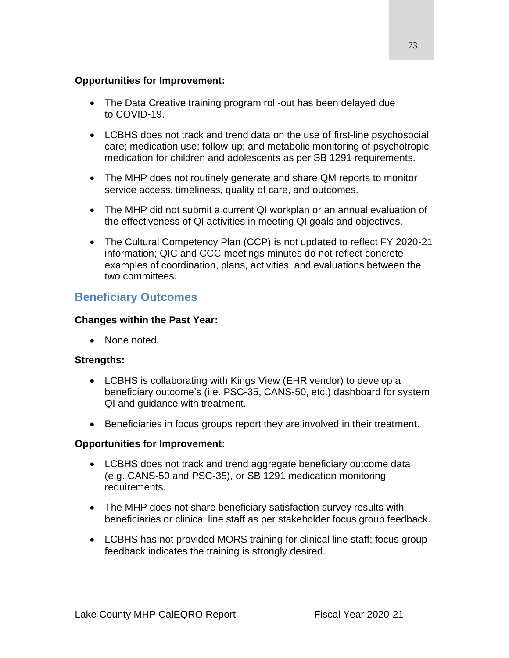#### **Opportunities for Improvement:**

- The Data Creative training program roll-out has been delayed due to COVID-19.
- LCBHS does not track and trend data on the use of first-line psychosocial care; medication use; follow-up; and metabolic monitoring of psychotropic medication for children and adolescents as per SB 1291 requirements.
- The MHP does not routinely generate and share QM reports to monitor service access, timeliness, quality of care, and outcomes.
- The MHP did not submit a current QI workplan or an annual evaluation of the effectiveness of QI activities in meeting QI goals and objectives.
- The Cultural Competency Plan (CCP) is not updated to reflect FY 2020-21 information; QIC and CCC meetings minutes do not reflect concrete examples of coordination, plans, activities, and evaluations between the two committees.

### **Beneficiary Outcomes**

#### **Changes within the Past Year:**

• None noted.

#### **Strengths:**

- LCBHS is collaborating with Kings View (EHR vendor) to develop a beneficiary outcome's (i.e. PSC-35, CANS-50, etc.) dashboard for system QI and guidance with treatment.
- Beneficiaries in focus groups report they are involved in their treatment.

#### **Opportunities for Improvement:**

- LCBHS does not track and trend aggregate beneficiary outcome data (e.g. CANS-50 and PSC-35), or SB 1291 medication monitoring requirements.
- The MHP does not share beneficiary satisfaction survey results with beneficiaries or clinical line staff as per stakeholder focus group feedback.
- LCBHS has not provided MORS training for clinical line staff; focus group feedback indicates the training is strongly desired.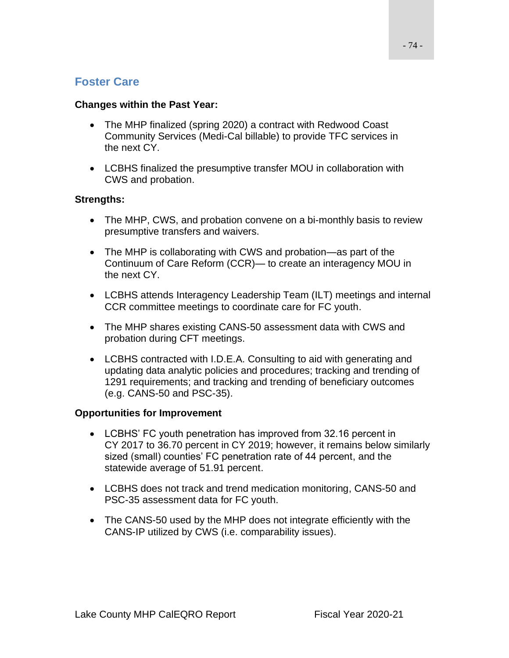## **Foster Care**

#### **Changes within the Past Year:**

- The MHP finalized (spring 2020) a contract with Redwood Coast Community Services (Medi-Cal billable) to provide TFC services in the next CY.
- LCBHS finalized the presumptive transfer MOU in collaboration with CWS and probation.

#### **Strengths:**

- The MHP, CWS, and probation convene on a bi-monthly basis to review presumptive transfers and waivers.
- The MHP is collaborating with CWS and probation—as part of the Continuum of Care Reform (CCR)— to create an interagency MOU in the next CY.
- LCBHS attends Interagency Leadership Team (ILT) meetings and internal CCR committee meetings to coordinate care for FC youth.
- The MHP shares existing CANS-50 assessment data with CWS and probation during CFT meetings.
- LCBHS contracted with I.D.E.A. Consulting to aid with generating and updating data analytic policies and procedures; tracking and trending of 1291 requirements; and tracking and trending of beneficiary outcomes (e.g. CANS-50 and PSC-35).

#### **Opportunities for Improvement**

- LCBHS' FC youth penetration has improved from 32.16 percent in CY 2017 to 36.70 percent in CY 2019; however, it remains below similarly sized (small) counties' FC penetration rate of 44 percent, and the statewide average of 51.91 percent.
- LCBHS does not track and trend medication monitoring, CANS-50 and PSC-35 assessment data for FC youth.
- The CANS-50 used by the MHP does not integrate efficiently with the CANS-IP utilized by CWS (i.e. comparability issues).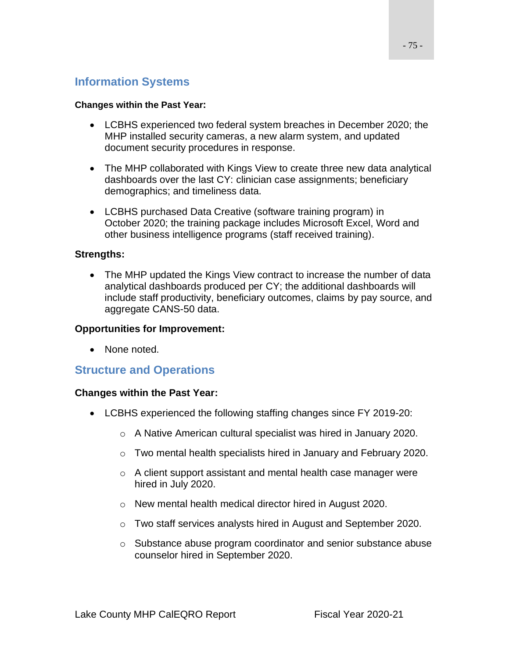## **Information Systems**

#### **Changes within the Past Year:**

- LCBHS experienced two federal system breaches in December 2020; the MHP installed security cameras, a new alarm system, and updated document security procedures in response.
- The MHP collaborated with Kings View to create three new data analytical dashboards over the last CY: clinician case assignments; beneficiary demographics; and timeliness data.
- LCBHS purchased Data Creative (software training program) in October 2020; the training package includes Microsoft Excel, Word and other business intelligence programs (staff received training).

#### **Strengths:**

• The MHP updated the Kings View contract to increase the number of data analytical dashboards produced per CY; the additional dashboards will include staff productivity, beneficiary outcomes, claims by pay source, and aggregate CANS-50 data.

#### **Opportunities for Improvement:**

• None noted.

### **Structure and Operations**

#### **Changes within the Past Year:**

- LCBHS experienced the following staffing changes since FY 2019-20:
	- o A Native American cultural specialist was hired in January 2020.
	- o Two mental health specialists hired in January and February 2020.
	- o A client support assistant and mental health case manager were hired in July 2020.
	- o New mental health medical director hired in August 2020.
	- o Two staff services analysts hired in August and September 2020.
	- o Substance abuse program coordinator and senior substance abuse counselor hired in September 2020.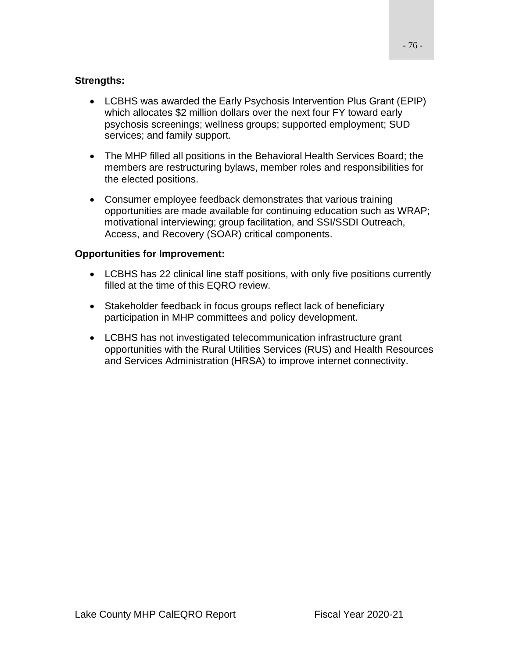#### **Strengths:**

- LCBHS was awarded the Early Psychosis Intervention Plus Grant (EPIP) which allocates \$2 million dollars over the next four FY toward early psychosis screenings; wellness groups; supported employment; SUD services; and family support.
- The MHP filled all positions in the Behavioral Health Services Board; the members are restructuring bylaws, member roles and responsibilities for the elected positions.
- Consumer employee feedback demonstrates that various training opportunities are made available for continuing education such as WRAP; motivational interviewing; group facilitation, and SSI/SSDI Outreach, Access, and Recovery (SOAR) critical components.

#### **Opportunities for Improvement:**

- LCBHS has 22 clinical line staff positions, with only five positions currently filled at the time of this EQRO review.
- Stakeholder feedback in focus groups reflect lack of beneficiary participation in MHP committees and policy development.
- LCBHS has not investigated telecommunication infrastructure grant opportunities with the Rural Utilities Services (RUS) and Health Resources and Services Administration (HRSA) to improve internet connectivity.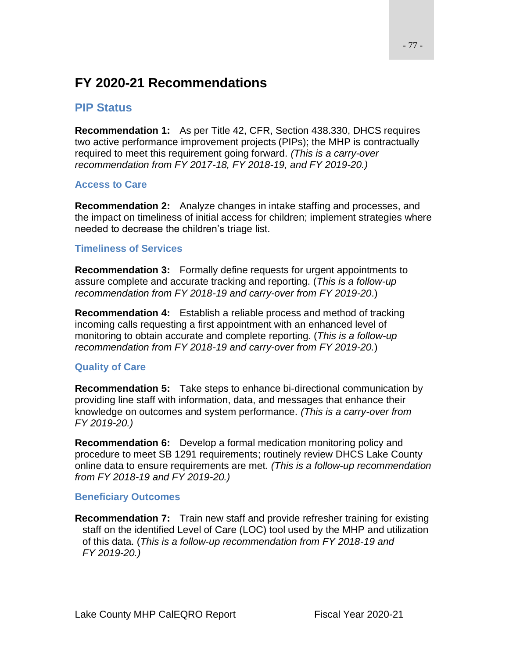## **FY 2020-21 Recommendations**

### **PIP Status**

**Recommendation 1:** As per Title 42, CFR, Section 438.330, DHCS requires two active performance improvement projects (PIPs); the MHP is contractually required to meet this requirement going forward. *(This is a carry-over recommendation from FY 2017-18, FY 2018-19, and FY 2019-20.)*

#### **Access to Care**

**Recommendation 2:** Analyze changes in intake staffing and processes, and the impact on timeliness of initial access for children; implement strategies where needed to decrease the children's triage list.

#### **Timeliness of Services**

**Recommendation 3:** Formally define requests for urgent appointments to assure complete and accurate tracking and reporting. (*This is a follow-up recommendation from FY 2018-19 and carry-over from FY 2019-20*.)

**Recommendation 4:** Establish a reliable process and method of tracking incoming calls requesting a first appointment with an enhanced level of monitoring to obtain accurate and complete reporting. (*This is a follow-up recommendation from FY 2018-19 and carry-over from FY 2019-20.*)

#### **Quality of Care**

**Recommendation 5:** Take steps to enhance bi-directional communication by providing line staff with information, data, and messages that enhance their knowledge on outcomes and system performance. *(This is a carry-over from FY 2019-20.)*

**Recommendation 6:** Develop a formal medication monitoring policy and procedure to meet SB 1291 requirements; routinely review DHCS Lake County online data to ensure requirements are met. *(This is a follow-up recommendation from FY 2018-19 and FY 2019-20.)*

#### **Beneficiary Outcomes**

**Recommendation 7:** Train new staff and provide refresher training for existing staff on the identified Level of Care (LOC) tool used by the MHP and utilization of this data. (*This is a follow-up recommendation from FY 2018-19 and FY 2019-20.)*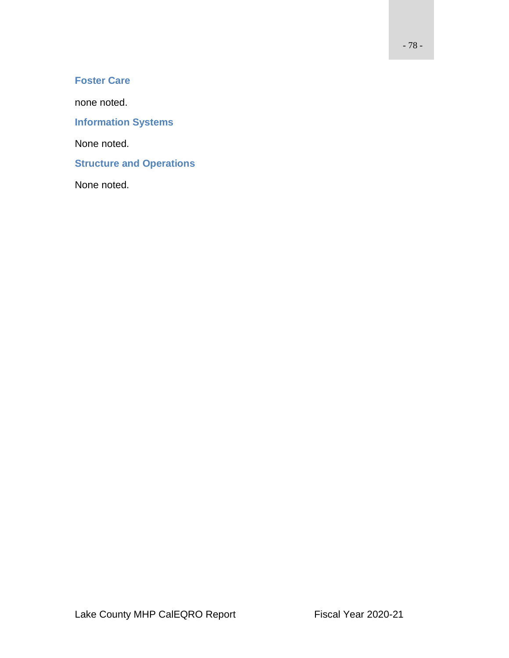### **Foster Care**

none noted.

**Information Systems**

None noted.

**Structure and Operations**

None noted.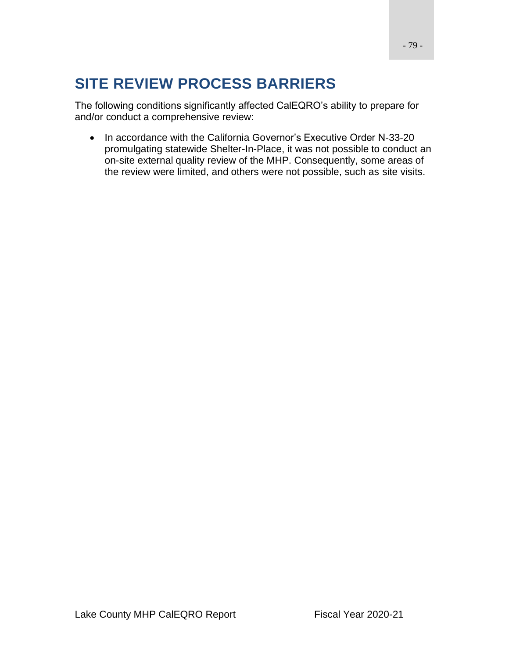# **SITE REVIEW PROCESS BARRIERS**

The following conditions significantly affected CalEQRO's ability to prepare for and/or conduct a comprehensive review:

• In accordance with the California Governor's Executive Order N-33-20 promulgating statewide Shelter-In-Place, it was not possible to conduct an on-site external quality review of the MHP. Consequently, some areas of the review were limited, and others were not possible, such as site visits.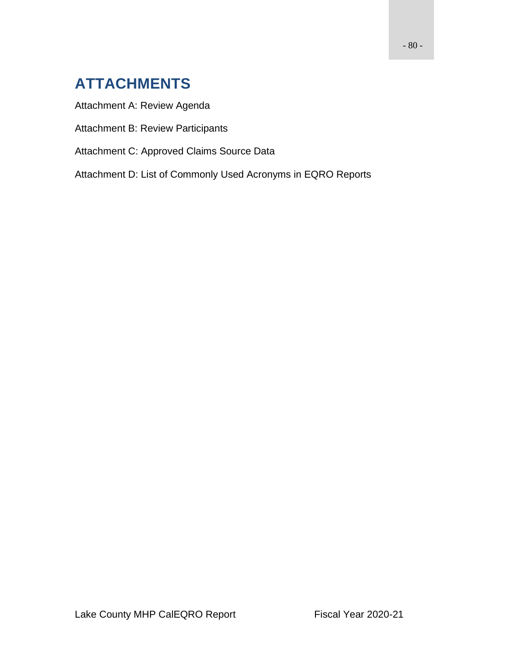# **ATTACHMENTS**

Attachment A: Review Agenda

Attachment B: Review Participants

Attachment C: Approved Claims Source Data

Attachment D: List of Commonly Used Acronyms in EQRO Reports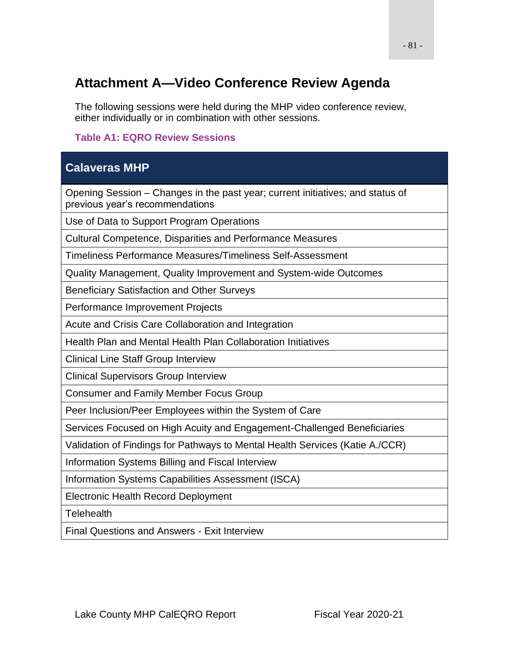## **Attachment A—Video Conference Review Agenda**

The following sessions were held during the MHP video conference review, either individually or in combination with other sessions.

### **Table A1: EQRO Review Sessions**

## **Calaveras MHP**

Opening Session – Changes in the past year; current initiatives; and status of previous year's recommendations

Use of Data to Support Program Operations

Cultural Competence, Disparities and Performance Measures

Timeliness Performance Measures/Timeliness Self-Assessment

Quality Management, Quality Improvement and System-wide Outcomes

Beneficiary Satisfaction and Other Surveys

Performance Improvement Projects

Acute and Crisis Care Collaboration and Integration

Health Plan and Mental Health Plan Collaboration Initiatives

Clinical Line Staff Group Interview

Clinical Supervisors Group Interview

Consumer and Family Member Focus Group

Peer Inclusion/Peer Employees within the System of Care

Services Focused on High Acuity and Engagement-Challenged Beneficiaries

Validation of Findings for Pathways to Mental Health Services (Katie A./CCR)

Information Systems Billing and Fiscal Interview

Information Systems Capabilities Assessment (ISCA)

Electronic Health Record Deployment

**Telehealth** 

Final Questions and Answers - Exit Interview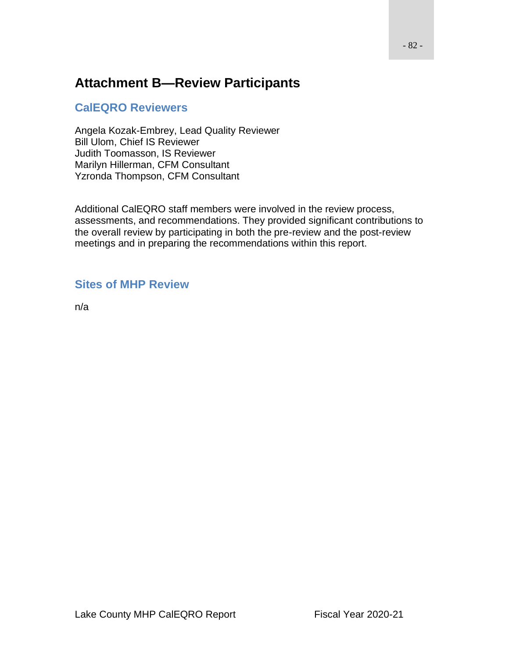## **Attachment B—Review Participants**

## **CalEQRO Reviewers**

Angela Kozak-Embrey, Lead Quality Reviewer Bill Ulom, Chief IS Reviewer Judith Toomasson, IS Reviewer Marilyn Hillerman, CFM Consultant Yzronda Thompson, CFM Consultant

Additional CalEQRO staff members were involved in the review process, assessments, and recommendations. They provided significant contributions to the overall review by participating in both the pre-review and the post-review meetings and in preparing the recommendations within this report.

## **Sites of MHP Review**

n/a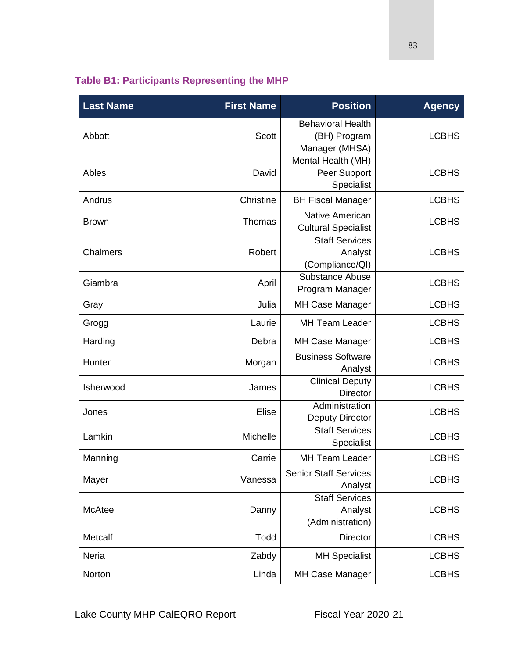|  |  |  | <b>Table B1: Participants Representing the MHP</b> |  |
|--|--|--|----------------------------------------------------|--|
|--|--|--|----------------------------------------------------|--|

| <b>Last Name</b> | <b>First Name</b> | <b>Position</b>                                            | <b>Agency</b> |
|------------------|-------------------|------------------------------------------------------------|---------------|
| Abbott           | <b>Scott</b>      | <b>Behavioral Health</b><br>(BH) Program<br>Manager (MHSA) | <b>LCBHS</b>  |
| Ables            | David             | Mental Health (MH)<br>Peer Support<br>Specialist           | <b>LCBHS</b>  |
| Andrus           | Christine         | <b>BH Fiscal Manager</b>                                   | <b>LCBHS</b>  |
| <b>Brown</b>     | Thomas            | <b>Native American</b><br><b>Cultural Specialist</b>       | <b>LCBHS</b>  |
| Chalmers         | Robert            | <b>Staff Services</b><br>Analyst<br>(Compliance/QI)        | <b>LCBHS</b>  |
| Giambra          | April             | Substance Abuse<br>Program Manager                         | <b>LCBHS</b>  |
| Gray             | Julia             | MH Case Manager                                            | <b>LCBHS</b>  |
| Grogg            | Laurie            | <b>MH Team Leader</b>                                      | <b>LCBHS</b>  |
| Harding          | Debra             | MH Case Manager                                            | <b>LCBHS</b>  |
| Hunter           | Morgan            | <b>Business Software</b><br>Analyst                        | <b>LCBHS</b>  |
| Isherwood        | James             | <b>Clinical Deputy</b><br><b>Director</b>                  | <b>LCBHS</b>  |
| Jones            | Elise             | Administration<br><b>Deputy Director</b>                   | <b>LCBHS</b>  |
| Lamkin           | Michelle          | <b>Staff Services</b><br>Specialist                        | <b>LCBHS</b>  |
| Manning          | Carrie            | <b>MH Team Leader</b>                                      | <b>LCBHS</b>  |
| Mayer            | Vanessa           | <b>Senior Staff Services</b><br>Analyst                    | <b>LCBHS</b>  |
| McAtee           | Danny             | <b>Staff Services</b><br>Analyst<br>(Administration)       | <b>LCBHS</b>  |
| Metcalf          | Todd              | <b>Director</b>                                            | <b>LCBHS</b>  |
| Neria            | Zabdy             | <b>MH Specialist</b>                                       | <b>LCBHS</b>  |
| Norton           | Linda             | <b>MH Case Manager</b>                                     | <b>LCBHS</b>  |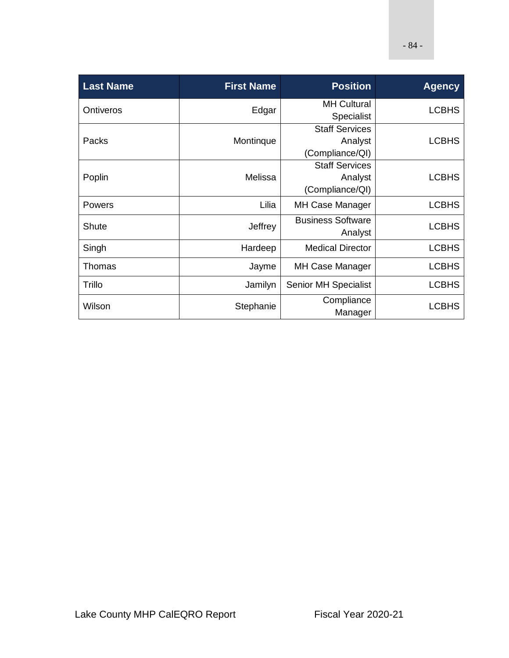| <b>Last Name</b> | <b>First Name</b> | <b>Position</b>                                     | <b>Agency</b> |
|------------------|-------------------|-----------------------------------------------------|---------------|
| <b>Ontiveros</b> | Edgar             | <b>MH Cultural</b><br><b>Specialist</b>             | <b>LCBHS</b>  |
| Packs            | Montinque         | <b>Staff Services</b><br>Analyst<br>(Compliance/QI) | <b>LCBHS</b>  |
| Poplin           | Melissa           | <b>Staff Services</b><br>Analyst<br>(Compliance/QI) | <b>LCBHS</b>  |
| <b>Powers</b>    | Lilia             | <b>MH Case Manager</b>                              | <b>LCBHS</b>  |
| <b>Shute</b>     | Jeffrey           | <b>Business Software</b><br>Analyst                 | <b>LCBHS</b>  |
| Singh            | Hardeep           | <b>Medical Director</b>                             | <b>LCBHS</b>  |
| Thomas           | Jayme             | <b>MH Case Manager</b>                              | <b>LCBHS</b>  |
| Trillo           | Jamilyn           | <b>Senior MH Specialist</b>                         | <b>LCBHS</b>  |
| Wilson           | Stephanie         | Compliance<br>Manager                               | <b>LCBHS</b>  |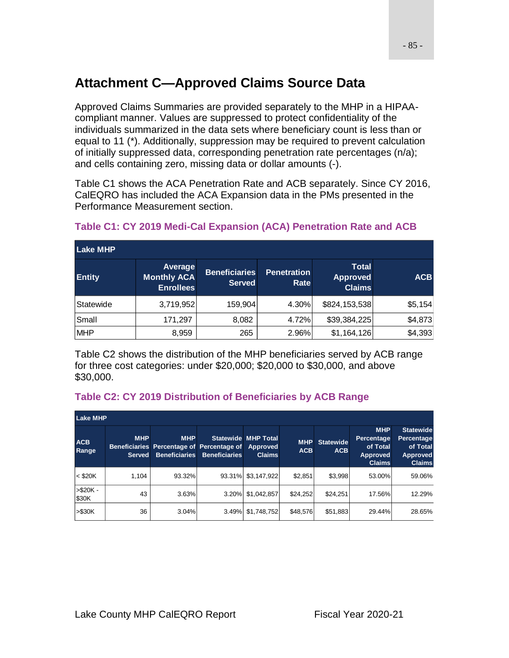# **Attachment C—Approved Claims Source Data**

Approved Claims Summaries are provided separately to the MHP in a HIPAAcompliant manner. Values are suppressed to protect confidentiality of the individuals summarized in the data sets where beneficiary count is less than or equal to 11 (\*). Additionally, suppression may be required to prevent calculation of initially suppressed data, corresponding penetration rate percentages (n/a); and cells containing zero, missing data or dollar amounts (-).

Table C1 shows the ACA Penetration Rate and ACB separately. Since CY 2016, CalEQRO has included the ACA Expansion data in the PMs presented in the Performance Measurement section.

| <b>Lake MHP</b> |                                                   |                                       |                            |                                                  |            |
|-----------------|---------------------------------------------------|---------------------------------------|----------------------------|--------------------------------------------------|------------|
| <b>Entity</b>   | Average<br><b>Monthly ACA</b><br><b>Enrollees</b> | <b>Beneficiaries</b><br><b>Served</b> | <b>Penetration</b><br>Rate | <b>Total</b><br><b>Approved</b><br><b>Claims</b> | <b>ACB</b> |
| Statewide       | 3,719,952                                         | 159,904                               | 4.30%                      | \$824,153,538                                    | \$5,154    |
| Small           | 171,297                                           | 8,082                                 | 4.72%                      | \$39,384,225                                     | \$4,873    |
| <b>MHP</b>      | 8,959                                             | 265                                   | 2.96%                      | \$1,164,126                                      | \$4,393    |

## **Table C1: CY 2019 Medi-Cal Expansion (ACA) Penetration Rate and ACB**

Table C2 shows the distribution of the MHP beneficiaries served by ACB range for three cost categories: under \$20,000; \$20,000 to \$30,000, and above \$30,000.

### **Table C2: CY 2019 Distribution of Beneficiaries by ACB Range**

| <b>Lake MHP</b>     |                             |                                                                                          |                      |                                             |                          |                                |                                                                          |                                                                                |
|---------------------|-----------------------------|------------------------------------------------------------------------------------------|----------------------|---------------------------------------------|--------------------------|--------------------------------|--------------------------------------------------------------------------|--------------------------------------------------------------------------------|
| <b>ACB</b><br>Range | <b>MHP</b><br><b>Served</b> | <b>MHP</b><br>Beneficiaries Percentage of Percentage of Approved<br><b>Beneficiaries</b> | <b>Beneficiaries</b> | <b>Statewide MHP Total</b><br><b>Claims</b> | <b>MHP</b><br><b>ACB</b> | <b>Statewide</b><br><b>ACB</b> | <b>MHP</b><br>Percentage<br>of Total<br><b>Approved</b><br><b>Claims</b> | <b>Statewide</b><br>Percentage<br>of Total<br><b>Approved</b><br><b>Claims</b> |
| $<$ \$20K           | 1.104                       | 93.32%                                                                                   | 93.31%               | \$3,147,922                                 | \$2,851                  | \$3,998                        | 53.00%                                                                   | 59.06%                                                                         |
| $> $20K -$<br>\$30K | 43                          | 3.63%                                                                                    | 3.20%                | \$1,042,857                                 | \$24,252                 | \$24,251                       | 17.56%                                                                   | 12.29%                                                                         |
| $> $30K$            | 36                          | 3.04%                                                                                    | 3.49%                | \$1,748,752                                 | \$48,576                 | \$51,883                       | 29.44%                                                                   | 28.65%                                                                         |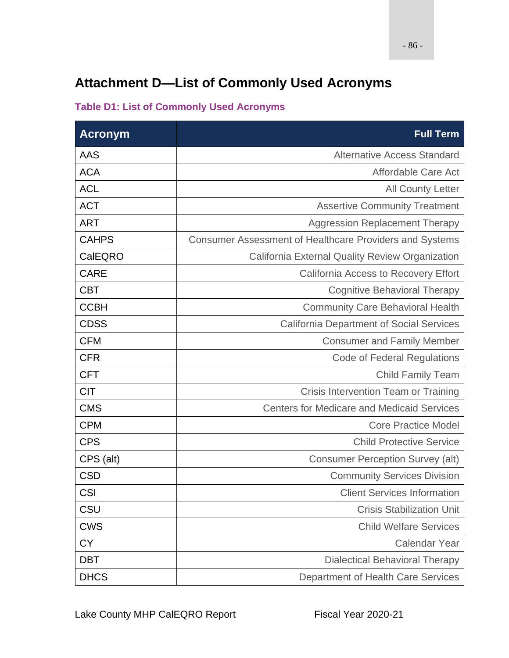# **Attachment D—List of Commonly Used Acronyms**

## **Table D1: List of Commonly Used Acronyms**

| <b>Acronym</b> | <b>Full Term</b>                                               |
|----------------|----------------------------------------------------------------|
| <b>AAS</b>     | <b>Alternative Access Standard</b>                             |
| <b>ACA</b>     | Affordable Care Act                                            |
| <b>ACL</b>     | <b>All County Letter</b>                                       |
| <b>ACT</b>     | <b>Assertive Community Treatment</b>                           |
| <b>ART</b>     | <b>Aggression Replacement Therapy</b>                          |
| <b>CAHPS</b>   | <b>Consumer Assessment of Healthcare Providers and Systems</b> |
| CalEQRO        | <b>California External Quality Review Organization</b>         |
| <b>CARE</b>    | <b>California Access to Recovery Effort</b>                    |
| <b>CBT</b>     | <b>Cognitive Behavioral Therapy</b>                            |
| <b>CCBH</b>    | <b>Community Care Behavioral Health</b>                        |
| <b>CDSS</b>    | <b>California Department of Social Services</b>                |
| <b>CFM</b>     | <b>Consumer and Family Member</b>                              |
| <b>CFR</b>     | <b>Code of Federal Regulations</b>                             |
| <b>CFT</b>     | <b>Child Family Team</b>                                       |
| <b>CIT</b>     | Crisis Intervention Team or Training                           |
| <b>CMS</b>     | <b>Centers for Medicare and Medicaid Services</b>              |
| <b>CPM</b>     | <b>Core Practice Model</b>                                     |
| <b>CPS</b>     | <b>Child Protective Service</b>                                |
| CPS (alt)      | <b>Consumer Perception Survey (alt)</b>                        |
| <b>CSD</b>     | <b>Community Services Division</b>                             |
| <b>CSI</b>     | <b>Client Services Information</b>                             |
| CSU            | <b>Crisis Stabilization Unit</b>                               |
| <b>CWS</b>     | <b>Child Welfare Services</b>                                  |
| <b>CY</b>      | <b>Calendar Year</b>                                           |
| <b>DBT</b>     | <b>Dialectical Behavioral Therapy</b>                          |
| <b>DHCS</b>    | Department of Health Care Services                             |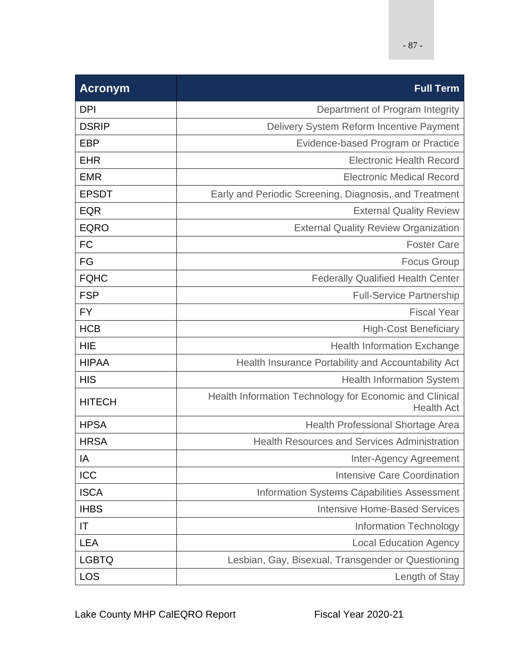| <b>Acronym</b> | <b>Full Term</b>                                                             |
|----------------|------------------------------------------------------------------------------|
| <b>DPI</b>     | Department of Program Integrity                                              |
| <b>DSRIP</b>   | Delivery System Reform Incentive Payment                                     |
| <b>EBP</b>     | Evidence-based Program or Practice                                           |
| <b>EHR</b>     | <b>Electronic Health Record</b>                                              |
| <b>EMR</b>     | <b>Electronic Medical Record</b>                                             |
| <b>EPSDT</b>   | Early and Periodic Screening, Diagnosis, and Treatment                       |
| <b>EQR</b>     | <b>External Quality Review</b>                                               |
| <b>EQRO</b>    | <b>External Quality Review Organization</b>                                  |
| <b>FC</b>      | <b>Foster Care</b>                                                           |
| FG             | <b>Focus Group</b>                                                           |
| <b>FQHC</b>    | <b>Federally Qualified Health Center</b>                                     |
| <b>FSP</b>     | <b>Full-Service Partnership</b>                                              |
| <b>FY</b>      | <b>Fiscal Year</b>                                                           |
| <b>HCB</b>     | <b>High-Cost Beneficiary</b>                                                 |
| <b>HIE</b>     | <b>Health Information Exchange</b>                                           |
| <b>HIPAA</b>   | Health Insurance Portability and Accountability Act                          |
| <b>HIS</b>     | <b>Health Information System</b>                                             |
| <b>HITECH</b>  | Health Information Technology for Economic and Clinical<br><b>Health Act</b> |
| <b>HPSA</b>    | Health Professional Shortage Area                                            |
| <b>HRSA</b>    | <b>Health Resources and Services Administration</b>                          |
| IA             | Inter-Agency Agreement                                                       |
| ICC            | <b>Intensive Care Coordination</b>                                           |
| <b>ISCA</b>    | Information Systems Capabilities Assessment                                  |
| <b>IHBS</b>    | <b>Intensive Home-Based Services</b>                                         |
| IT             | <b>Information Technology</b>                                                |
| <b>LEA</b>     | <b>Local Education Agency</b>                                                |
| <b>LGBTQ</b>   | Lesbian, Gay, Bisexual, Transgender or Questioning                           |
| <b>LOS</b>     | Length of Stay                                                               |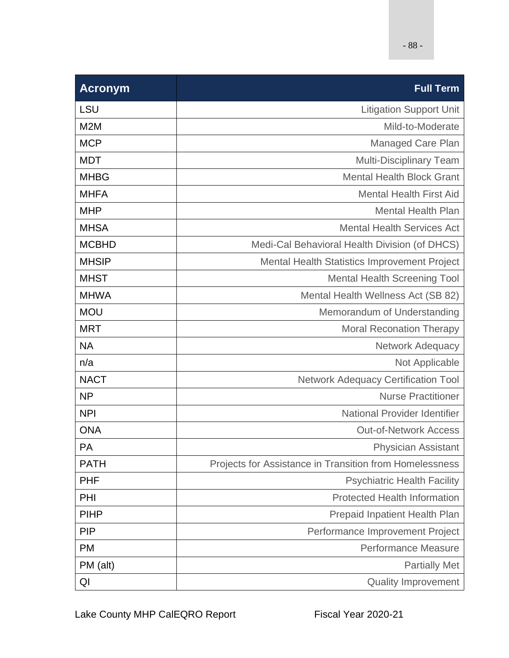| <b>Acronym</b> | <b>Full Term</b>                                        |
|----------------|---------------------------------------------------------|
| <b>LSU</b>     | <b>Litigation Support Unit</b>                          |
| M2M            | Mild-to-Moderate                                        |
| <b>MCP</b>     | Managed Care Plan                                       |
| <b>MDT</b>     | <b>Multi-Disciplinary Team</b>                          |
| <b>MHBG</b>    | <b>Mental Health Block Grant</b>                        |
| <b>MHFA</b>    | <b>Mental Health First Aid</b>                          |
| <b>MHP</b>     | <b>Mental Health Plan</b>                               |
| <b>MHSA</b>    | <b>Mental Health Services Act</b>                       |
| <b>MCBHD</b>   | Medi-Cal Behavioral Health Division (of DHCS)           |
| <b>MHSIP</b>   | <b>Mental Health Statistics Improvement Project</b>     |
| <b>MHST</b>    | <b>Mental Health Screening Tool</b>                     |
| <b>MHWA</b>    | Mental Health Wellness Act (SB 82)                      |
| <b>MOU</b>     | Memorandum of Understanding                             |
| <b>MRT</b>     | <b>Moral Reconation Therapy</b>                         |
| <b>NA</b>      | Network Adequacy                                        |
| n/a            | Not Applicable                                          |
| <b>NACT</b>    | <b>Network Adequacy Certification Tool</b>              |
| <b>NP</b>      | <b>Nurse Practitioner</b>                               |
| <b>NPI</b>     | <b>National Provider Identifier</b>                     |
| <b>ONA</b>     | <b>Out-of-Network Access</b>                            |
| PA             | <b>Physician Assistant</b>                              |
| <b>PATH</b>    | Projects for Assistance in Transition from Homelessness |
| <b>PHF</b>     | <b>Psychiatric Health Facility</b>                      |
| PHI            | <b>Protected Health Information</b>                     |
| <b>PIHP</b>    | <b>Prepaid Inpatient Health Plan</b>                    |
| <b>PIP</b>     | Performance Improvement Project                         |
| <b>PM</b>      | <b>Performance Measure</b>                              |
| PM (alt)       | <b>Partially Met</b>                                    |
| QI             | <b>Quality Improvement</b>                              |